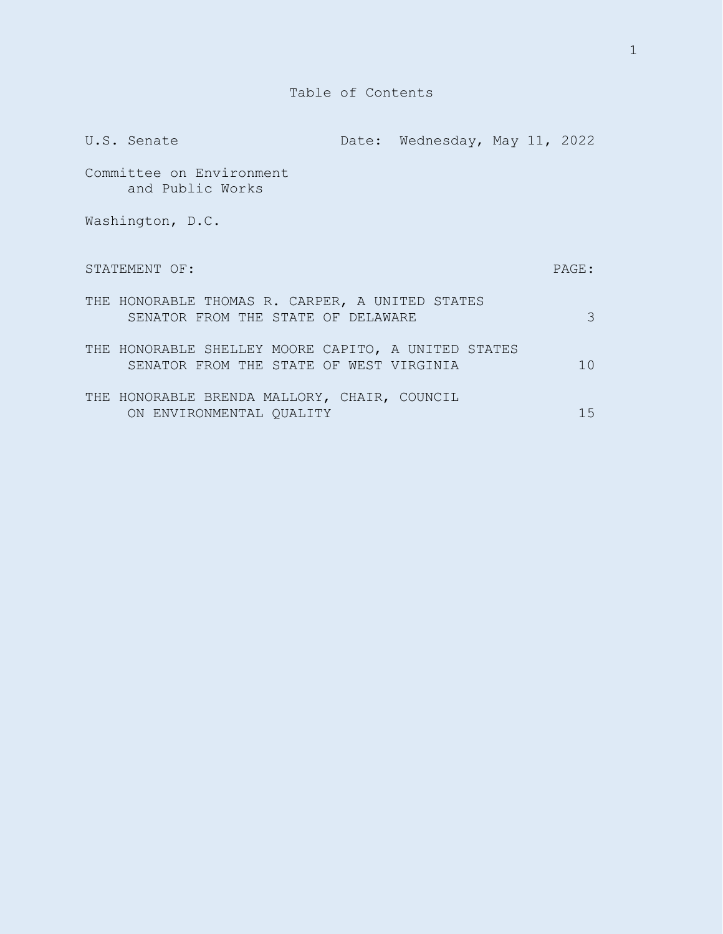|                  | U.S. Senate                                                                                    |  | Date: Wednesday, May 11, 2022 |  |  |          |
|------------------|------------------------------------------------------------------------------------------------|--|-------------------------------|--|--|----------|
|                  | Committee on Environment<br>and Public Works                                                   |  |                               |  |  |          |
| Washington, D.C. |                                                                                                |  |                               |  |  |          |
|                  | STATEMENT OF:                                                                                  |  |                               |  |  | PAGE:    |
|                  | THE HONORABLE THOMAS R. CARPER, A UNITED STATES<br>SENATOR FROM THE STATE OF DELAWARE          |  |                               |  |  | 3        |
|                  | THE HONORABLE SHELLEY MOORE CAPITO, A UNITED STATES<br>SENATOR FROM THE STATE OF WEST VIRGINIA |  |                               |  |  | $10^{-}$ |
|                  | THE HONORABLE BRENDA MALLORY, CHAIR, COUNCIL<br>ON ENVIRONMENTAL QUALITY                       |  |                               |  |  | 15       |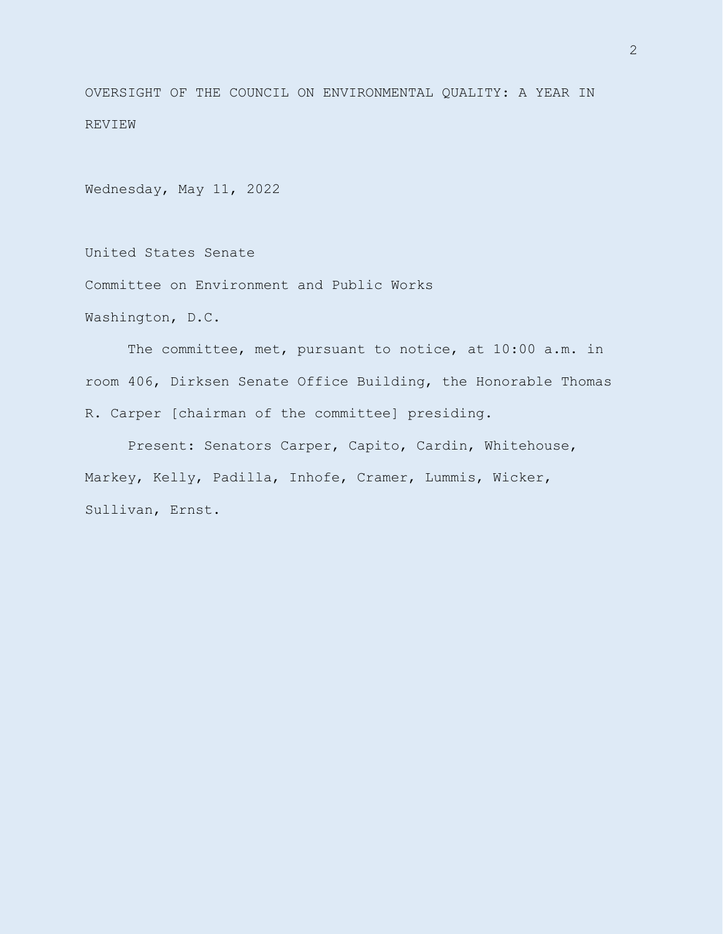OVERSIGHT OF THE COUNCIL ON ENVIRONMENTAL QUALITY: A YEAR IN REVIEW

Wednesday, May 11, 2022

United States Senate

Committee on Environment and Public Works

Washington, D.C.

The committee, met, pursuant to notice, at 10:00 a.m. in room 406, Dirksen Senate Office Building, the Honorable Thomas R. Carper [chairman of the committee] presiding.

Present: Senators Carper, Capito, Cardin, Whitehouse, Markey, Kelly, Padilla, Inhofe, Cramer, Lummis, Wicker, Sullivan, Ernst.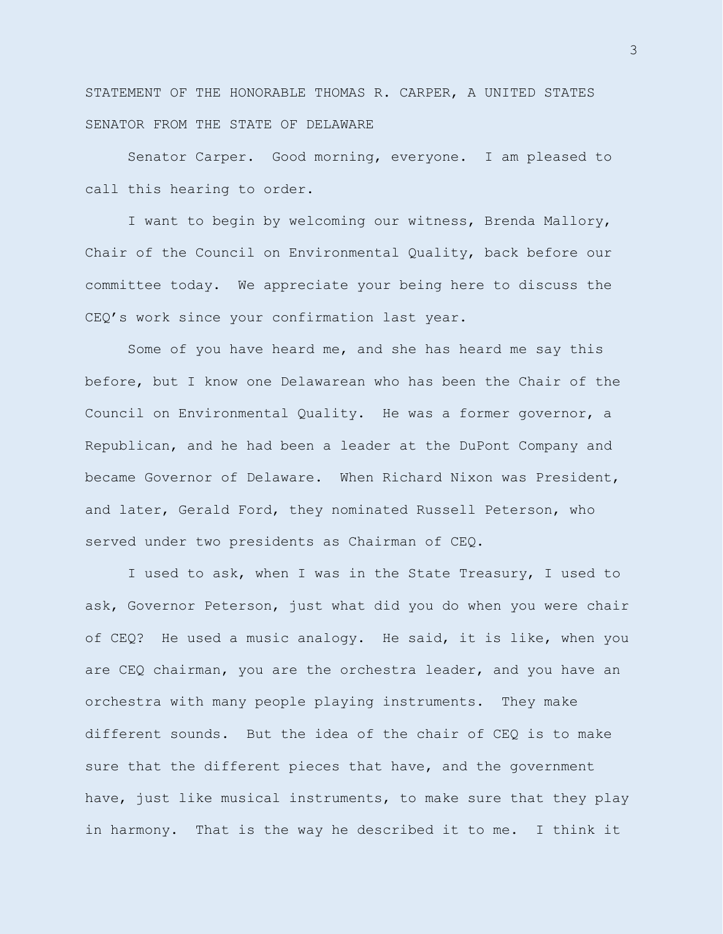STATEMENT OF THE HONORABLE THOMAS R. CARPER, A UNITED STATES SENATOR FROM THE STATE OF DELAWARE

Senator Carper. Good morning, everyone. I am pleased to call this hearing to order.

I want to begin by welcoming our witness, Brenda Mallory, Chair of the Council on Environmental Quality, back before our committee today. We appreciate your being here to discuss the CEQ's work since your confirmation last year.

Some of you have heard me, and she has heard me say this before, but I know one Delawarean who has been the Chair of the Council on Environmental Quality. He was a former governor, a Republican, and he had been a leader at the DuPont Company and became Governor of Delaware. When Richard Nixon was President, and later, Gerald Ford, they nominated Russell Peterson, who served under two presidents as Chairman of CEQ.

I used to ask, when I was in the State Treasury, I used to ask, Governor Peterson, just what did you do when you were chair of CEQ? He used a music analogy. He said, it is like, when you are CEQ chairman, you are the orchestra leader, and you have an orchestra with many people playing instruments. They make different sounds. But the idea of the chair of CEQ is to make sure that the different pieces that have, and the government have, just like musical instruments, to make sure that they play in harmony. That is the way he described it to me. I think it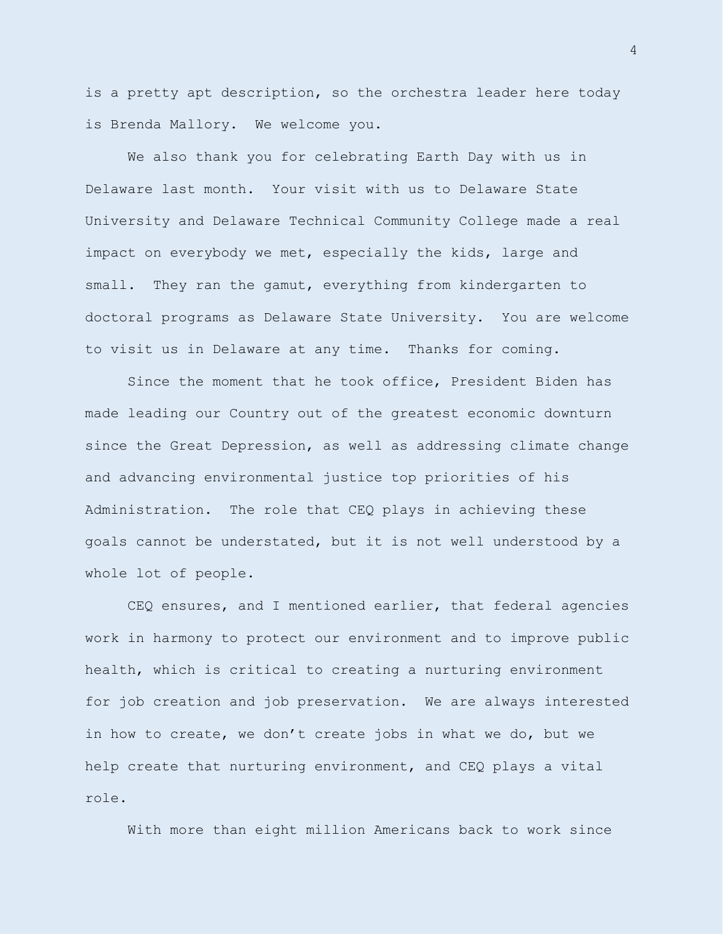is a pretty apt description, so the orchestra leader here today is Brenda Mallory. We welcome you.

We also thank you for celebrating Earth Day with us in Delaware last month. Your visit with us to Delaware State University and Delaware Technical Community College made a real impact on everybody we met, especially the kids, large and small. They ran the gamut, everything from kindergarten to doctoral programs as Delaware State University. You are welcome to visit us in Delaware at any time. Thanks for coming.

Since the moment that he took office, President Biden has made leading our Country out of the greatest economic downturn since the Great Depression, as well as addressing climate change and advancing environmental justice top priorities of his Administration. The role that CEQ plays in achieving these goals cannot be understated, but it is not well understood by a whole lot of people.

CEQ ensures, and I mentioned earlier, that federal agencies work in harmony to protect our environment and to improve public health, which is critical to creating a nurturing environment for job creation and job preservation. We are always interested in how to create, we don't create jobs in what we do, but we help create that nurturing environment, and CEQ plays a vital role.

With more than eight million Americans back to work since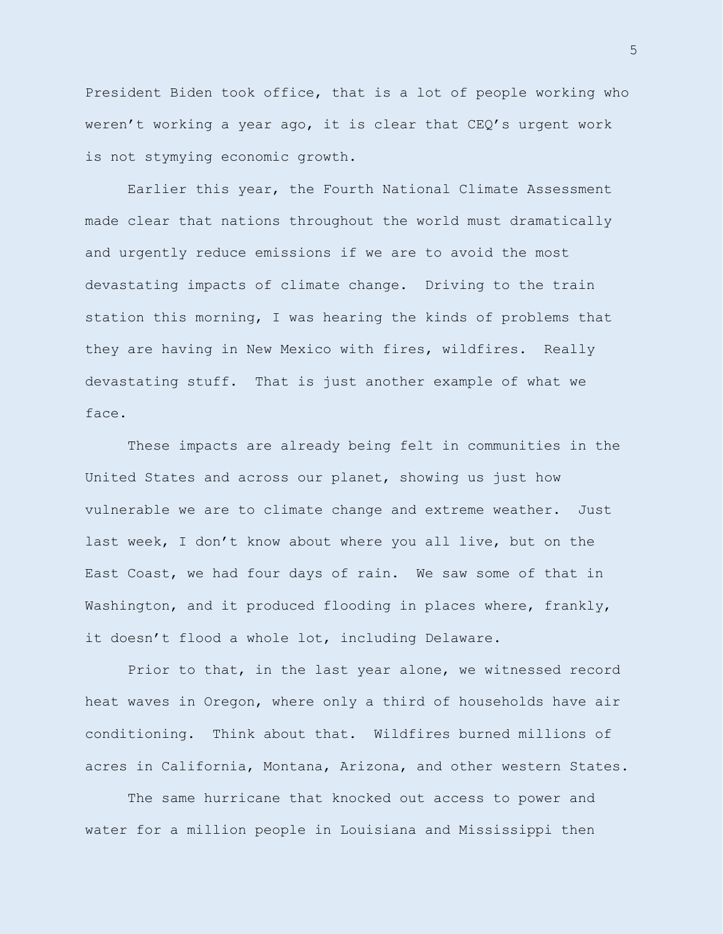President Biden took office, that is a lot of people working who weren't working a year ago, it is clear that CEQ's urgent work is not stymying economic growth.

Earlier this year, the Fourth National Climate Assessment made clear that nations throughout the world must dramatically and urgently reduce emissions if we are to avoid the most devastating impacts of climate change. Driving to the train station this morning, I was hearing the kinds of problems that they are having in New Mexico with fires, wildfires. Really devastating stuff. That is just another example of what we face.

These impacts are already being felt in communities in the United States and across our planet, showing us just how vulnerable we are to climate change and extreme weather. Just last week, I don't know about where you all live, but on the East Coast, we had four days of rain. We saw some of that in Washington, and it produced flooding in places where, frankly, it doesn't flood a whole lot, including Delaware.

Prior to that, in the last year alone, we witnessed record heat waves in Oregon, where only a third of households have air conditioning. Think about that. Wildfires burned millions of acres in California, Montana, Arizona, and other western States.

The same hurricane that knocked out access to power and water for a million people in Louisiana and Mississippi then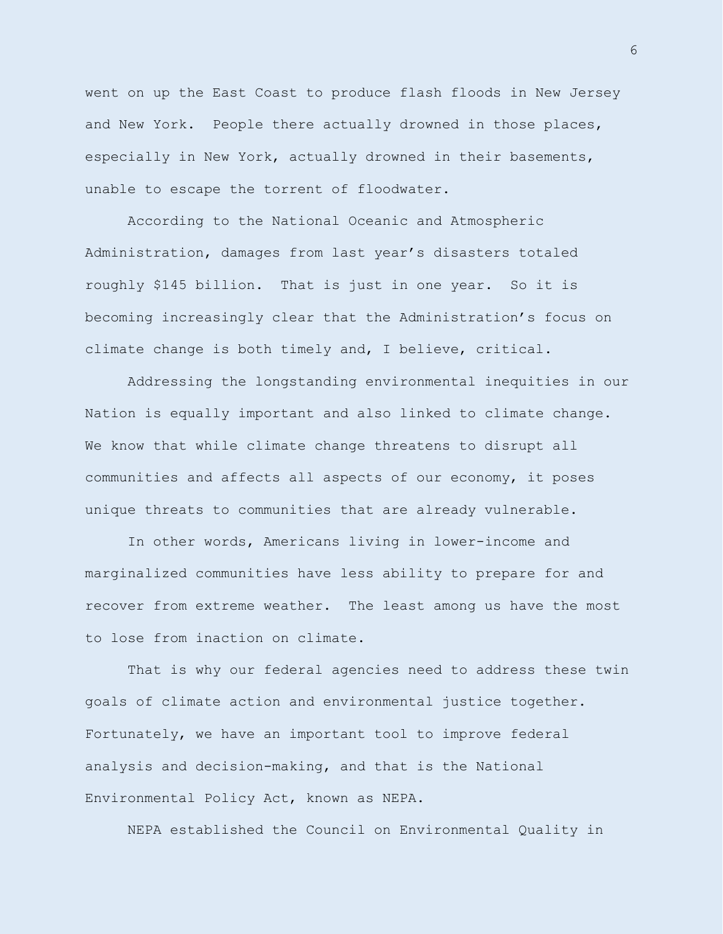went on up the East Coast to produce flash floods in New Jersey and New York. People there actually drowned in those places, especially in New York, actually drowned in their basements, unable to escape the torrent of floodwater.

According to the National Oceanic and Atmospheric Administration, damages from last year's disasters totaled roughly \$145 billion. That is just in one year. So it is becoming increasingly clear that the Administration's focus on climate change is both timely and, I believe, critical.

Addressing the longstanding environmental inequities in our Nation is equally important and also linked to climate change. We know that while climate change threatens to disrupt all communities and affects all aspects of our economy, it poses unique threats to communities that are already vulnerable.

In other words, Americans living in lower-income and marginalized communities have less ability to prepare for and recover from extreme weather. The least among us have the most to lose from inaction on climate.

That is why our federal agencies need to address these twin goals of climate action and environmental justice together. Fortunately, we have an important tool to improve federal analysis and decision-making, and that is the National Environmental Policy Act, known as NEPA.

NEPA established the Council on Environmental Quality in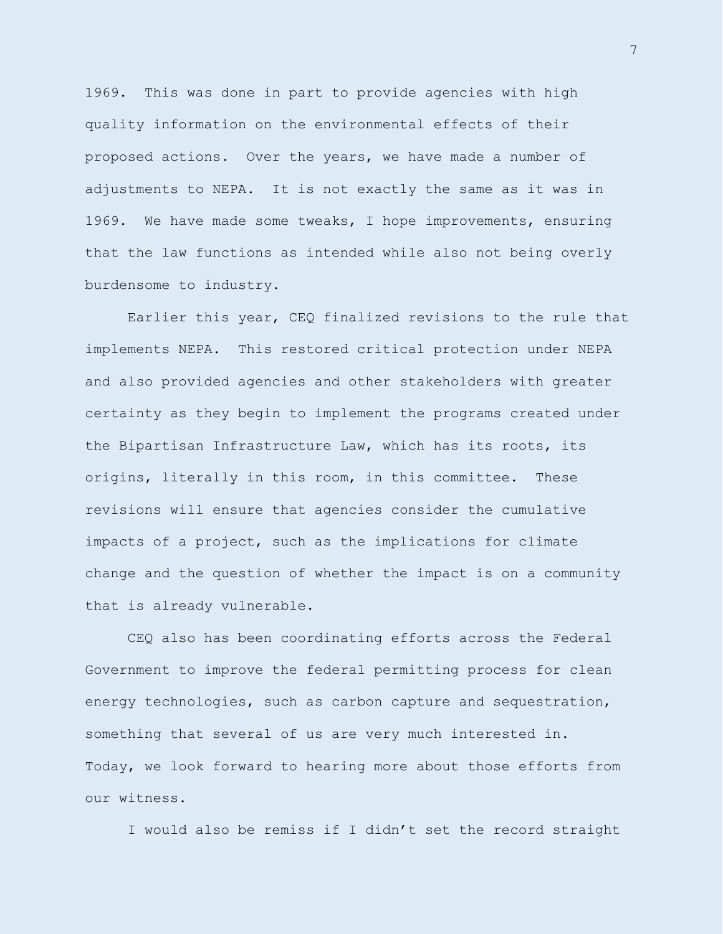1969. This was done in part to provide agencies with high quality information on the environmental effects of their proposed actions. Over the years, we have made a number of adjustments to NEPA. It is not exactly the same as it was in 1969. We have made some tweaks, I hope improvements, ensuring that the law functions as intended while also not being overly burdensome to industry.

Earlier this year, CEQ finalized revisions to the rule that implements NEPA. This restored critical protection under NEPA and also provided agencies and other stakeholders with greater certainty as they begin to implement the programs created under the Bipartisan Infrastructure Law, which has its roots, its origins, literally in this room, in this committee. These revisions will ensure that agencies consider the cumulative impacts of a project, such as the implications for climate change and the question of whether the impact is on a community that is already vulnerable.

CEQ also has been coordinating efforts across the Federal Government to improve the federal permitting process for clean energy technologies, such as carbon capture and sequestration, something that several of us are very much interested in. Today, we look forward to hearing more about those efforts from our witness.

I would also be remiss if I didn't set the record straight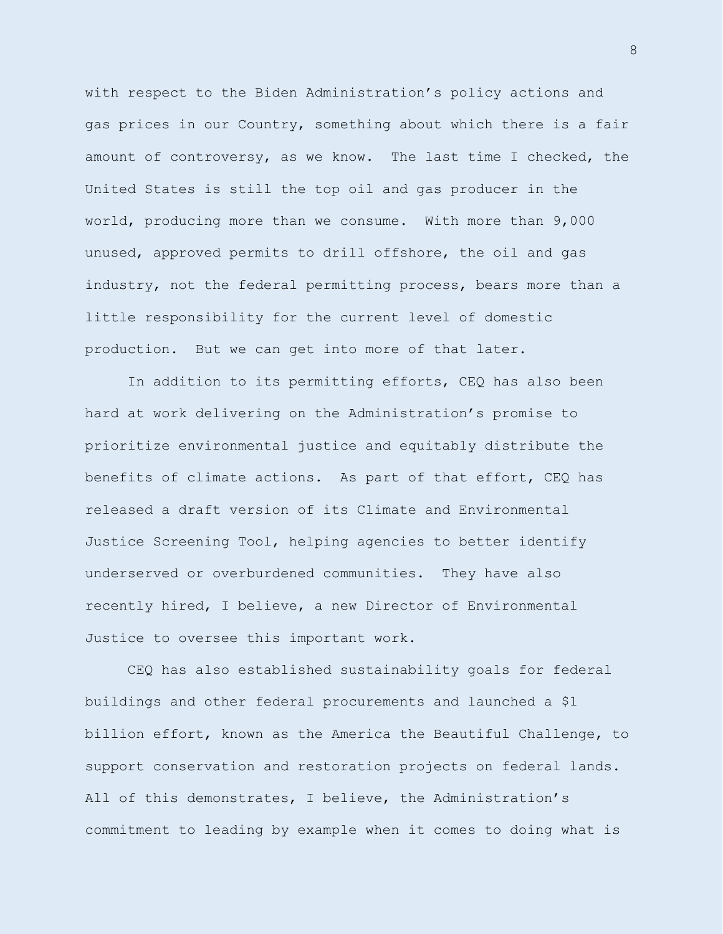with respect to the Biden Administration's policy actions and gas prices in our Country, something about which there is a fair amount of controversy, as we know. The last time I checked, the United States is still the top oil and gas producer in the world, producing more than we consume. With more than 9,000 unused, approved permits to drill offshore, the oil and gas industry, not the federal permitting process, bears more than a little responsibility for the current level of domestic production. But we can get into more of that later.

In addition to its permitting efforts, CEQ has also been hard at work delivering on the Administration's promise to prioritize environmental justice and equitably distribute the benefits of climate actions. As part of that effort, CEQ has released a draft version of its Climate and Environmental Justice Screening Tool, helping agencies to better identify underserved or overburdened communities. They have also recently hired, I believe, a new Director of Environmental Justice to oversee this important work.

CEQ has also established sustainability goals for federal buildings and other federal procurements and launched a \$1 billion effort, known as the America the Beautiful Challenge, to support conservation and restoration projects on federal lands. All of this demonstrates, I believe, the Administration's commitment to leading by example when it comes to doing what is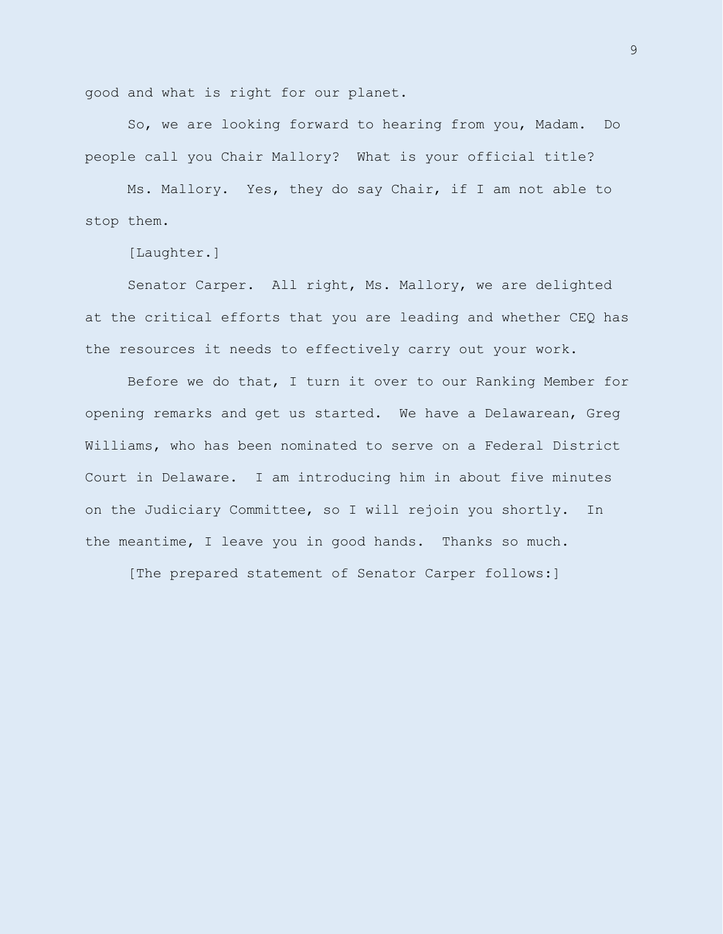good and what is right for our planet.

So, we are looking forward to hearing from you, Madam. Do people call you Chair Mallory? What is your official title?

Ms. Mallory. Yes, they do say Chair, if I am not able to stop them.

[Laughter.]

Senator Carper. All right, Ms. Mallory, we are delighted at the critical efforts that you are leading and whether CEQ has the resources it needs to effectively carry out your work.

Before we do that, I turn it over to our Ranking Member for opening remarks and get us started. We have a Delawarean, Greg Williams, who has been nominated to serve on a Federal District Court in Delaware. I am introducing him in about five minutes on the Judiciary Committee, so I will rejoin you shortly. In the meantime, I leave you in good hands. Thanks so much.

[The prepared statement of Senator Carper follows:]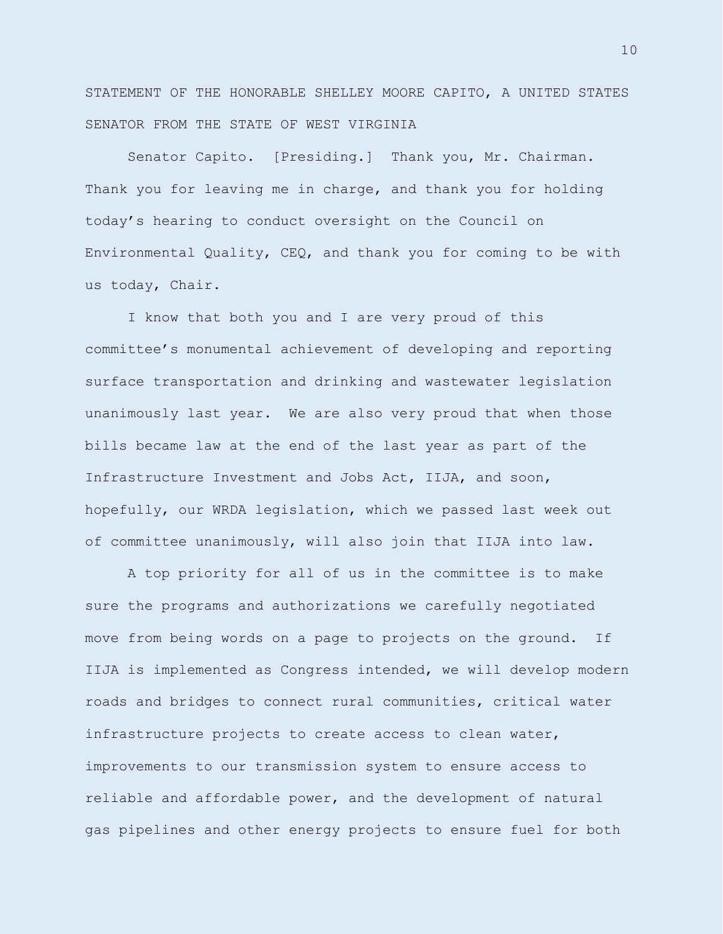STATEMENT OF THE HONORABLE SHELLEY MOORE CAPITO, A UNITED STATES SENATOR FROM THE STATE OF WEST VIRGINIA

Senator Capito. [Presiding.] Thank you, Mr. Chairman. Thank you for leaving me in charge, and thank you for holding today's hearing to conduct oversight on the Council on Environmental Quality, CEQ, and thank you for coming to be with us today, Chair.

I know that both you and I are very proud of this committee's monumental achievement of developing and reporting surface transportation and drinking and wastewater legislation unanimously last year. We are also very proud that when those bills became law at the end of the last year as part of the Infrastructure Investment and Jobs Act, IIJA, and soon, hopefully, our WRDA legislation, which we passed last week out of committee unanimously, will also join that IIJA into law.

A top priority for all of us in the committee is to make sure the programs and authorizations we carefully negotiated move from being words on a page to projects on the ground. If IIJA is implemented as Congress intended, we will develop modern roads and bridges to connect rural communities, critical water infrastructure projects to create access to clean water, improvements to our transmission system to ensure access to reliable and affordable power, and the development of natural gas pipelines and other energy projects to ensure fuel for both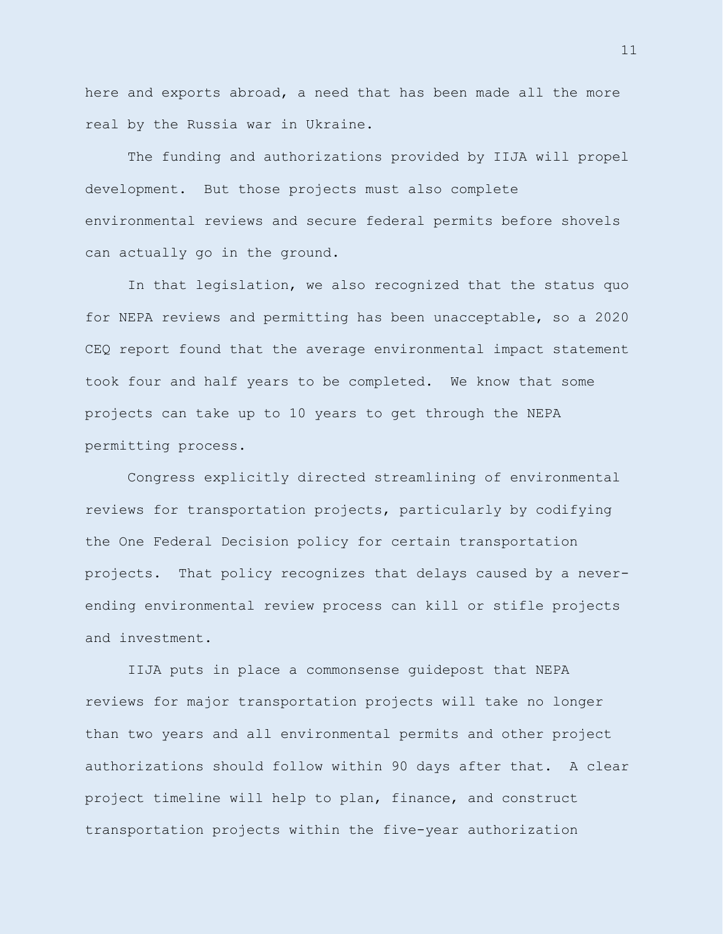here and exports abroad, a need that has been made all the more real by the Russia war in Ukraine.

The funding and authorizations provided by IIJA will propel development. But those projects must also complete environmental reviews and secure federal permits before shovels can actually go in the ground.

In that legislation, we also recognized that the status quo for NEPA reviews and permitting has been unacceptable, so a 2020 CEQ report found that the average environmental impact statement took four and half years to be completed. We know that some projects can take up to 10 years to get through the NEPA permitting process.

Congress explicitly directed streamlining of environmental reviews for transportation projects, particularly by codifying the One Federal Decision policy for certain transportation projects. That policy recognizes that delays caused by a neverending environmental review process can kill or stifle projects and investment.

IIJA puts in place a commonsense guidepost that NEPA reviews for major transportation projects will take no longer than two years and all environmental permits and other project authorizations should follow within 90 days after that. A clear project timeline will help to plan, finance, and construct transportation projects within the five-year authorization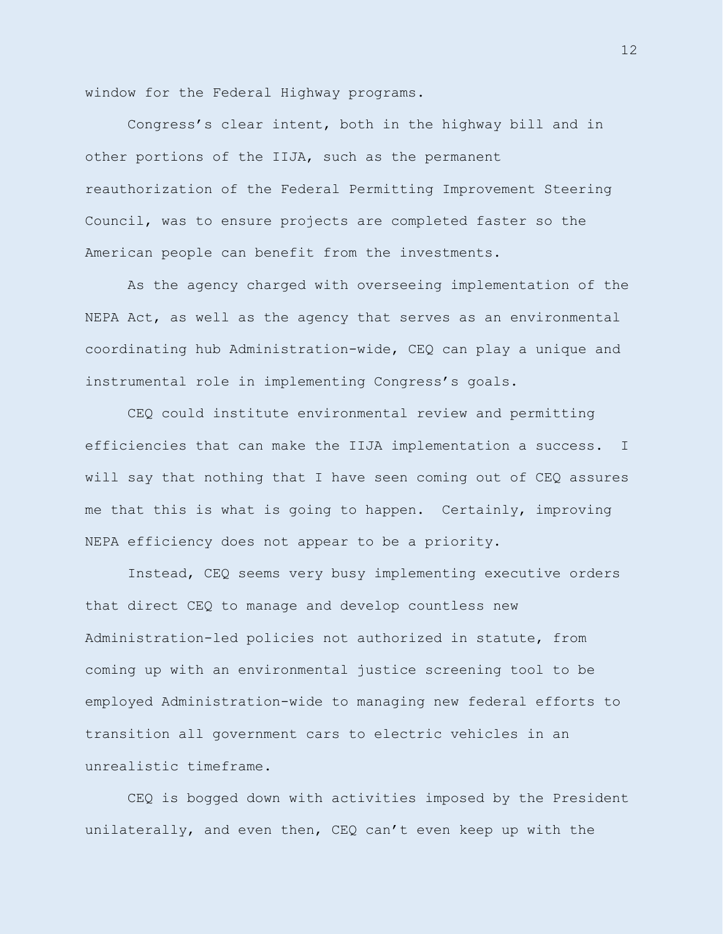window for the Federal Highway programs.

Congress's clear intent, both in the highway bill and in other portions of the IIJA, such as the permanent reauthorization of the Federal Permitting Improvement Steering Council, was to ensure projects are completed faster so the American people can benefit from the investments.

As the agency charged with overseeing implementation of the NEPA Act, as well as the agency that serves as an environmental coordinating hub Administration-wide, CEQ can play a unique and instrumental role in implementing Congress's goals.

CEQ could institute environmental review and permitting efficiencies that can make the IIJA implementation a success. I will say that nothing that I have seen coming out of CEQ assures me that this is what is going to happen. Certainly, improving NEPA efficiency does not appear to be a priority.

Instead, CEQ seems very busy implementing executive orders that direct CEQ to manage and develop countless new Administration-led policies not authorized in statute, from coming up with an environmental justice screening tool to be employed Administration-wide to managing new federal efforts to transition all government cars to electric vehicles in an unrealistic timeframe.

CEQ is bogged down with activities imposed by the President unilaterally, and even then, CEQ can't even keep up with the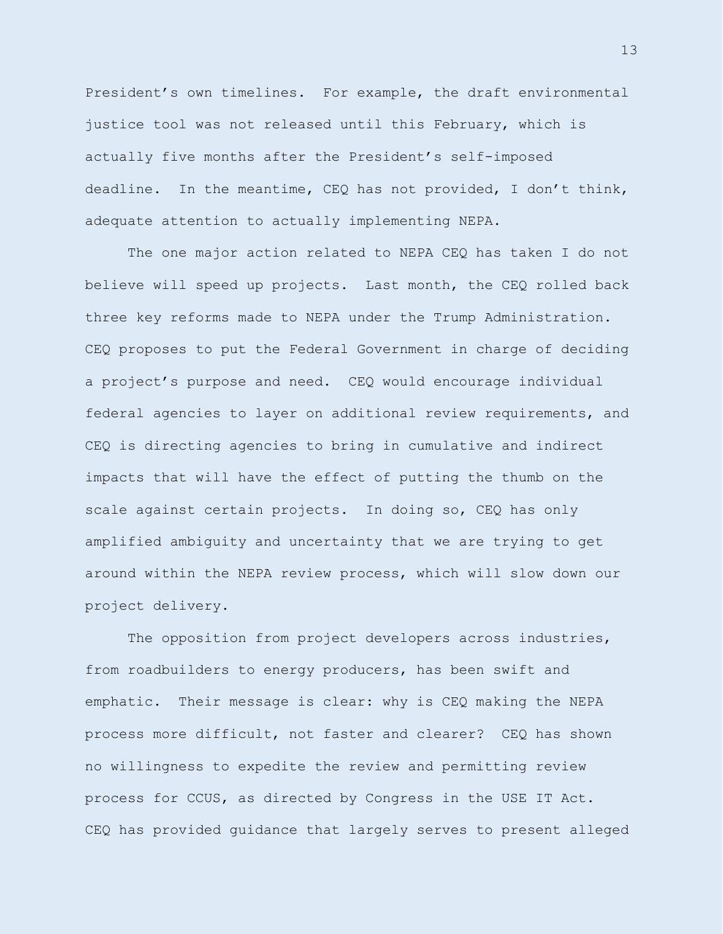President's own timelines. For example, the draft environmental justice tool was not released until this February, which is actually five months after the President's self-imposed deadline. In the meantime, CEQ has not provided, I don't think, adequate attention to actually implementing NEPA.

The one major action related to NEPA CEQ has taken I do not believe will speed up projects. Last month, the CEQ rolled back three key reforms made to NEPA under the Trump Administration. CEQ proposes to put the Federal Government in charge of deciding a project's purpose and need. CEQ would encourage individual federal agencies to layer on additional review requirements, and CEQ is directing agencies to bring in cumulative and indirect impacts that will have the effect of putting the thumb on the scale against certain projects. In doing so, CEQ has only amplified ambiguity and uncertainty that we are trying to get around within the NEPA review process, which will slow down our project delivery.

The opposition from project developers across industries, from roadbuilders to energy producers, has been swift and emphatic. Their message is clear: why is CEQ making the NEPA process more difficult, not faster and clearer? CEQ has shown no willingness to expedite the review and permitting review process for CCUS, as directed by Congress in the USE IT Act. CEQ has provided guidance that largely serves to present alleged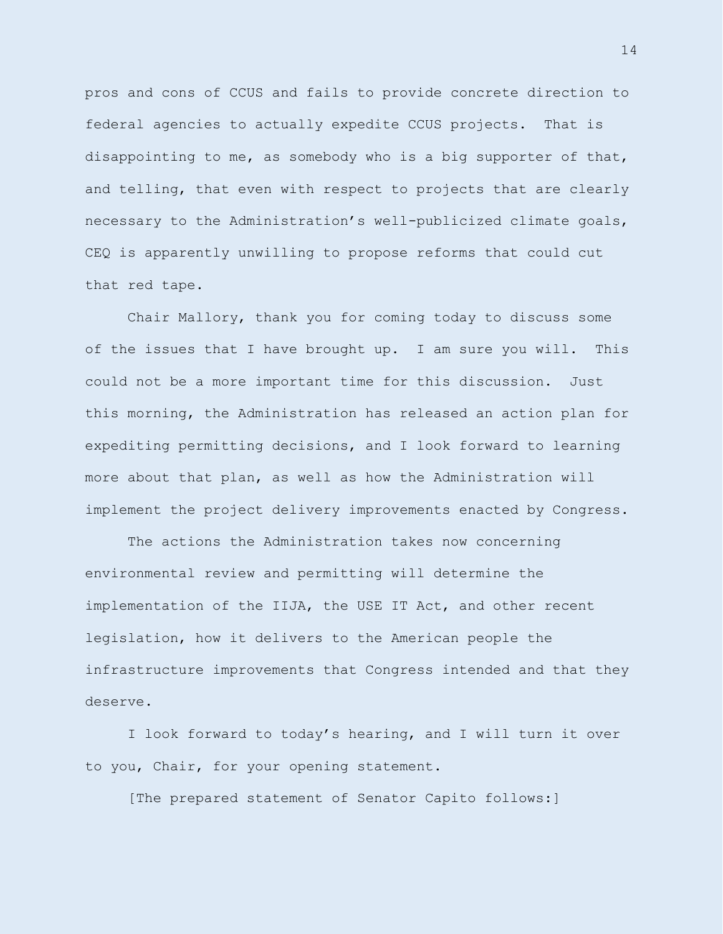pros and cons of CCUS and fails to provide concrete direction to federal agencies to actually expedite CCUS projects. That is disappointing to me, as somebody who is a big supporter of that, and telling, that even with respect to projects that are clearly necessary to the Administration's well-publicized climate goals, CEQ is apparently unwilling to propose reforms that could cut that red tape.

Chair Mallory, thank you for coming today to discuss some of the issues that I have brought up. I am sure you will. This could not be a more important time for this discussion. Just this morning, the Administration has released an action plan for expediting permitting decisions, and I look forward to learning more about that plan, as well as how the Administration will implement the project delivery improvements enacted by Congress.

The actions the Administration takes now concerning environmental review and permitting will determine the implementation of the IIJA, the USE IT Act, and other recent legislation, how it delivers to the American people the infrastructure improvements that Congress intended and that they deserve.

I look forward to today's hearing, and I will turn it over to you, Chair, for your opening statement.

[The prepared statement of Senator Capito follows:]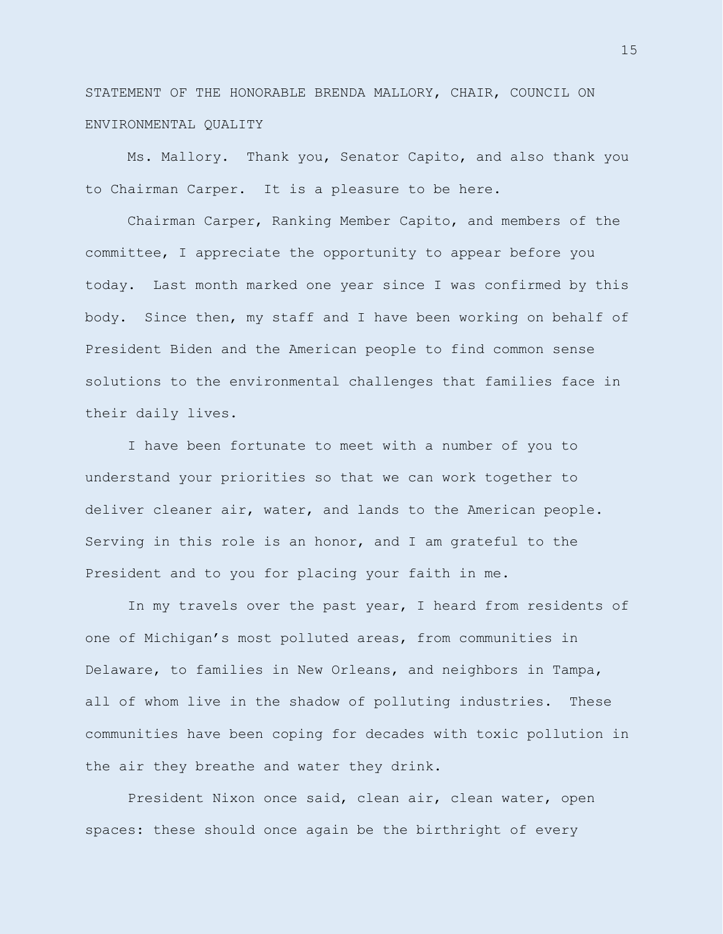STATEMENT OF THE HONORABLE BRENDA MALLORY, CHAIR, COUNCIL ON ENVIRONMENTAL QUALITY

Ms. Mallory. Thank you, Senator Capito, and also thank you to Chairman Carper. It is a pleasure to be here.

Chairman Carper, Ranking Member Capito, and members of the committee, I appreciate the opportunity to appear before you today. Last month marked one year since I was confirmed by this body. Since then, my staff and I have been working on behalf of President Biden and the American people to find common sense solutions to the environmental challenges that families face in their daily lives.

I have been fortunate to meet with a number of you to understand your priorities so that we can work together to deliver cleaner air, water, and lands to the American people. Serving in this role is an honor, and I am grateful to the President and to you for placing your faith in me.

In my travels over the past year, I heard from residents of one of Michigan's most polluted areas, from communities in Delaware, to families in New Orleans, and neighbors in Tampa, all of whom live in the shadow of polluting industries. These communities have been coping for decades with toxic pollution in the air they breathe and water they drink.

President Nixon once said, clean air, clean water, open spaces: these should once again be the birthright of every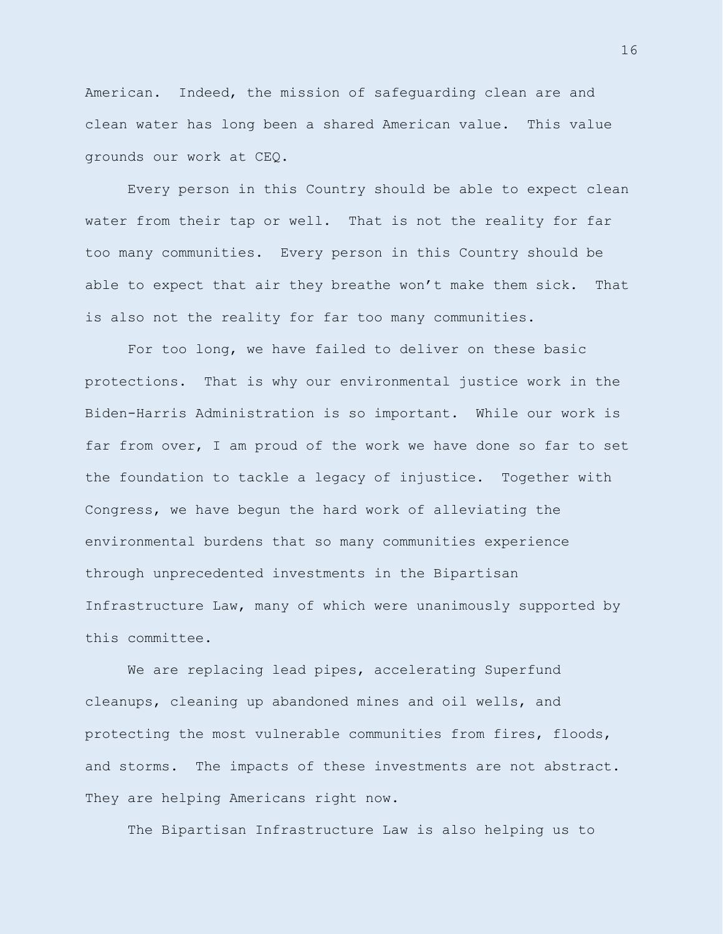American. Indeed, the mission of safeguarding clean are and clean water has long been a shared American value. This value grounds our work at CEQ.

Every person in this Country should be able to expect clean water from their tap or well. That is not the reality for far too many communities. Every person in this Country should be able to expect that air they breathe won't make them sick. That is also not the reality for far too many communities.

For too long, we have failed to deliver on these basic protections. That is why our environmental justice work in the Biden-Harris Administration is so important. While our work is far from over, I am proud of the work we have done so far to set the foundation to tackle a legacy of injustice. Together with Congress, we have begun the hard work of alleviating the environmental burdens that so many communities experience through unprecedented investments in the Bipartisan Infrastructure Law, many of which were unanimously supported by this committee.

We are replacing lead pipes, accelerating Superfund cleanups, cleaning up abandoned mines and oil wells, and protecting the most vulnerable communities from fires, floods, and storms. The impacts of these investments are not abstract. They are helping Americans right now.

The Bipartisan Infrastructure Law is also helping us to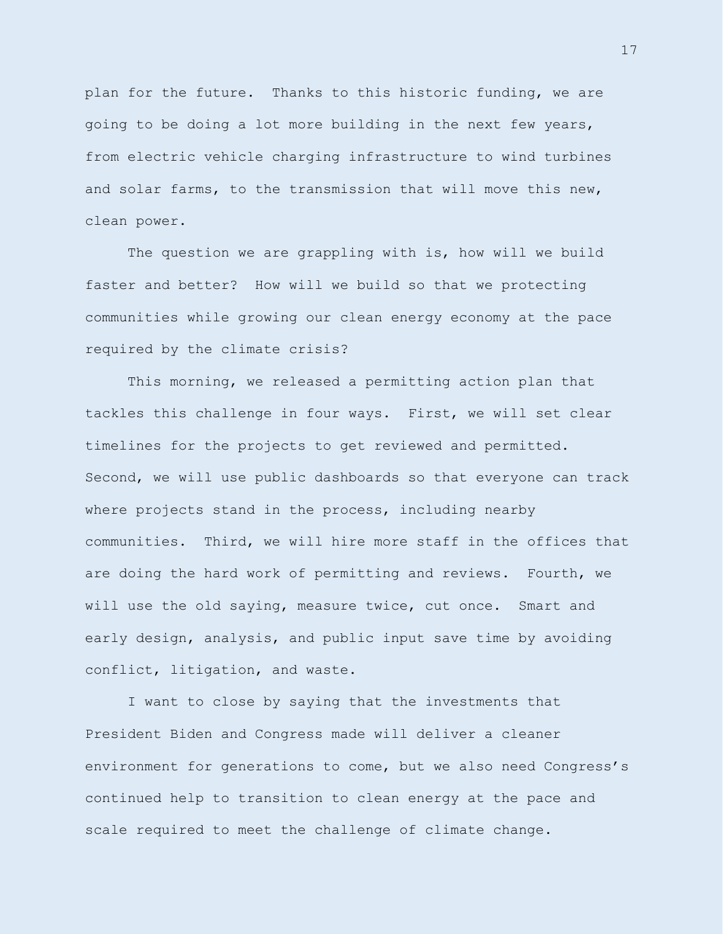plan for the future. Thanks to this historic funding, we are going to be doing a lot more building in the next few years, from electric vehicle charging infrastructure to wind turbines and solar farms, to the transmission that will move this new, clean power.

The question we are grappling with is, how will we build faster and better? How will we build so that we protecting communities while growing our clean energy economy at the pace required by the climate crisis?

This morning, we released a permitting action plan that tackles this challenge in four ways. First, we will set clear timelines for the projects to get reviewed and permitted. Second, we will use public dashboards so that everyone can track where projects stand in the process, including nearby communities. Third, we will hire more staff in the offices that are doing the hard work of permitting and reviews. Fourth, we will use the old saying, measure twice, cut once. Smart and early design, analysis, and public input save time by avoiding conflict, litigation, and waste.

I want to close by saying that the investments that President Biden and Congress made will deliver a cleaner environment for generations to come, but we also need Congress's continued help to transition to clean energy at the pace and scale required to meet the challenge of climate change.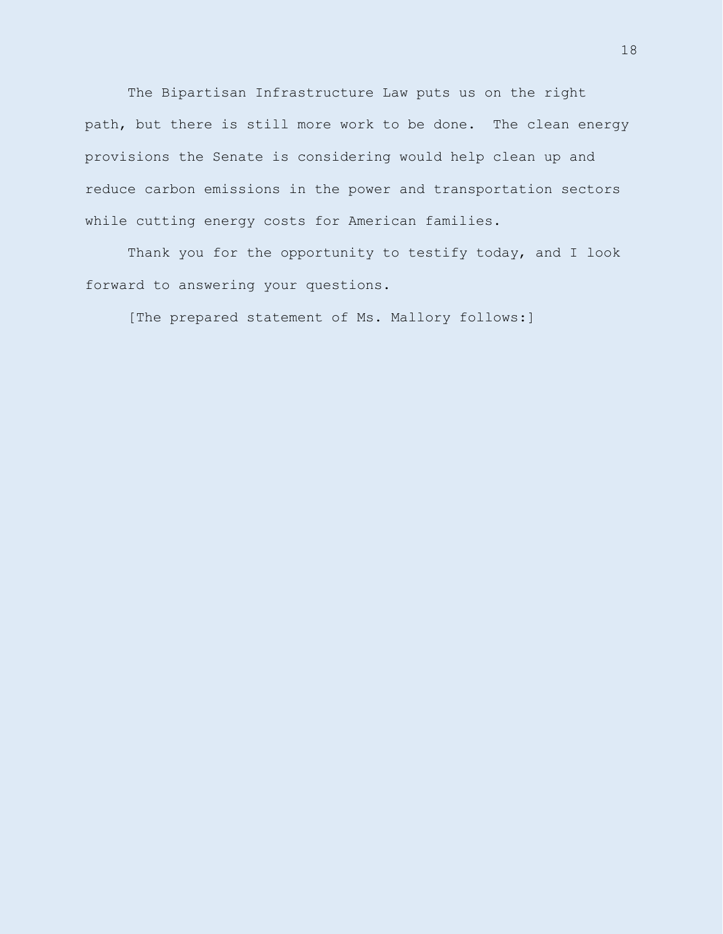The Bipartisan Infrastructure Law puts us on the right path, but there is still more work to be done. The clean energy provisions the Senate is considering would help clean up and reduce carbon emissions in the power and transportation sectors while cutting energy costs for American families.

Thank you for the opportunity to testify today, and I look forward to answering your questions.

[The prepared statement of Ms. Mallory follows:]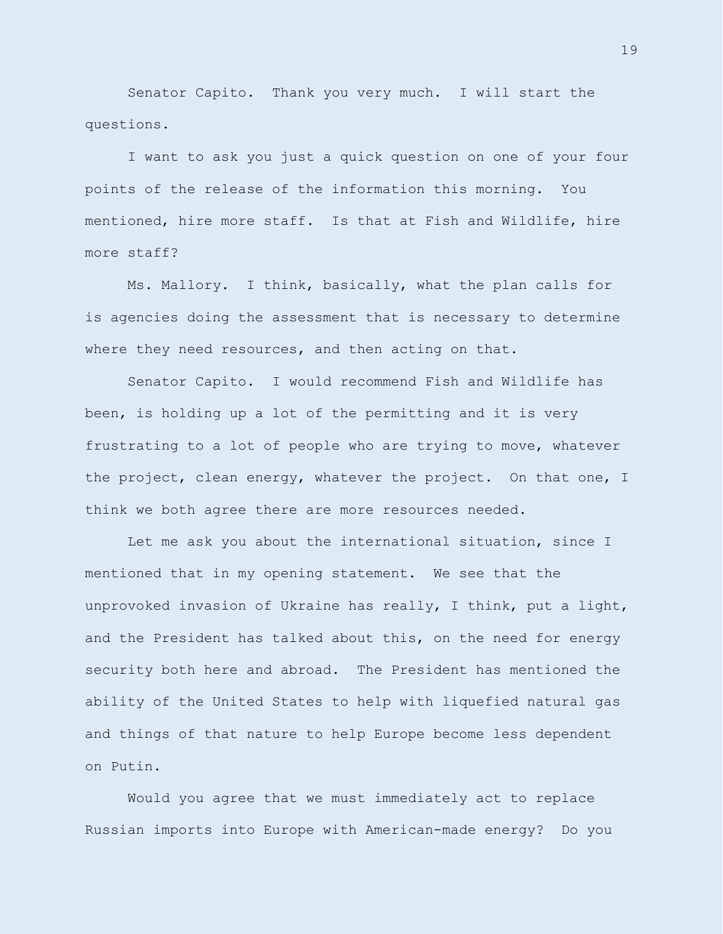Senator Capito. Thank you very much. I will start the questions.

I want to ask you just a quick question on one of your four points of the release of the information this morning. You mentioned, hire more staff. Is that at Fish and Wildlife, hire more staff?

Ms. Mallory. I think, basically, what the plan calls for is agencies doing the assessment that is necessary to determine where they need resources, and then acting on that.

Senator Capito. I would recommend Fish and Wildlife has been, is holding up a lot of the permitting and it is very frustrating to a lot of people who are trying to move, whatever the project, clean energy, whatever the project. On that one, I think we both agree there are more resources needed.

Let me ask you about the international situation, since I mentioned that in my opening statement. We see that the unprovoked invasion of Ukraine has really, I think, put a light, and the President has talked about this, on the need for energy security both here and abroad. The President has mentioned the ability of the United States to help with liquefied natural gas and things of that nature to help Europe become less dependent on Putin.

Would you agree that we must immediately act to replace Russian imports into Europe with American-made energy? Do you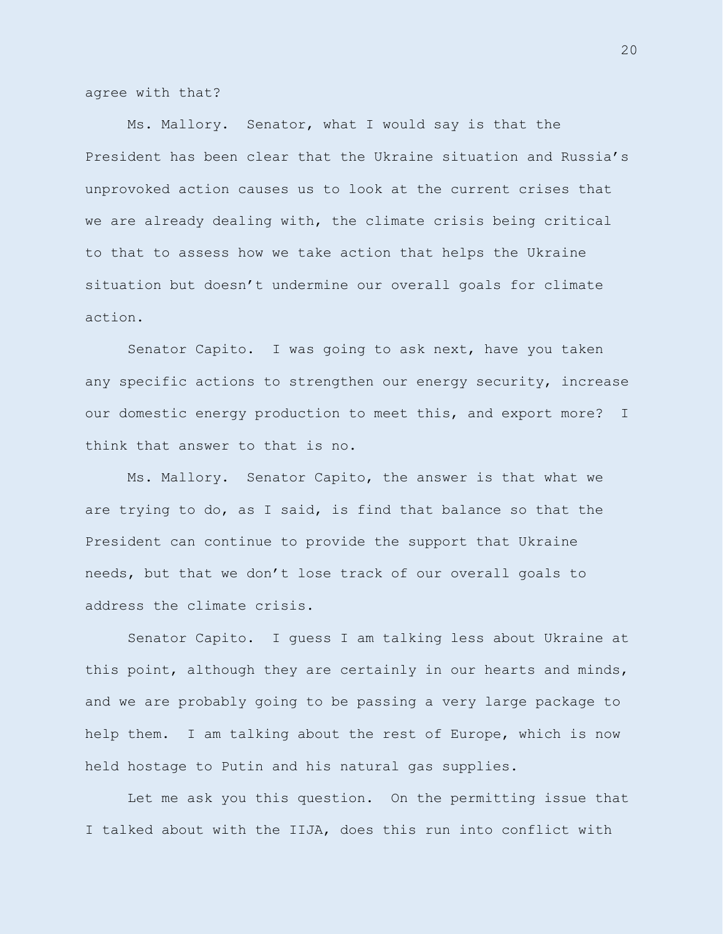agree with that?

Ms. Mallory. Senator, what I would say is that the President has been clear that the Ukraine situation and Russia's unprovoked action causes us to look at the current crises that we are already dealing with, the climate crisis being critical to that to assess how we take action that helps the Ukraine situation but doesn't undermine our overall goals for climate action.

Senator Capito. I was going to ask next, have you taken any specific actions to strengthen our energy security, increase our domestic energy production to meet this, and export more? I think that answer to that is no.

Ms. Mallory. Senator Capito, the answer is that what we are trying to do, as I said, is find that balance so that the President can continue to provide the support that Ukraine needs, but that we don't lose track of our overall goals to address the climate crisis.

Senator Capito. I guess I am talking less about Ukraine at this point, although they are certainly in our hearts and minds, and we are probably going to be passing a very large package to help them. I am talking about the rest of Europe, which is now held hostage to Putin and his natural gas supplies.

Let me ask you this question. On the permitting issue that I talked about with the IIJA, does this run into conflict with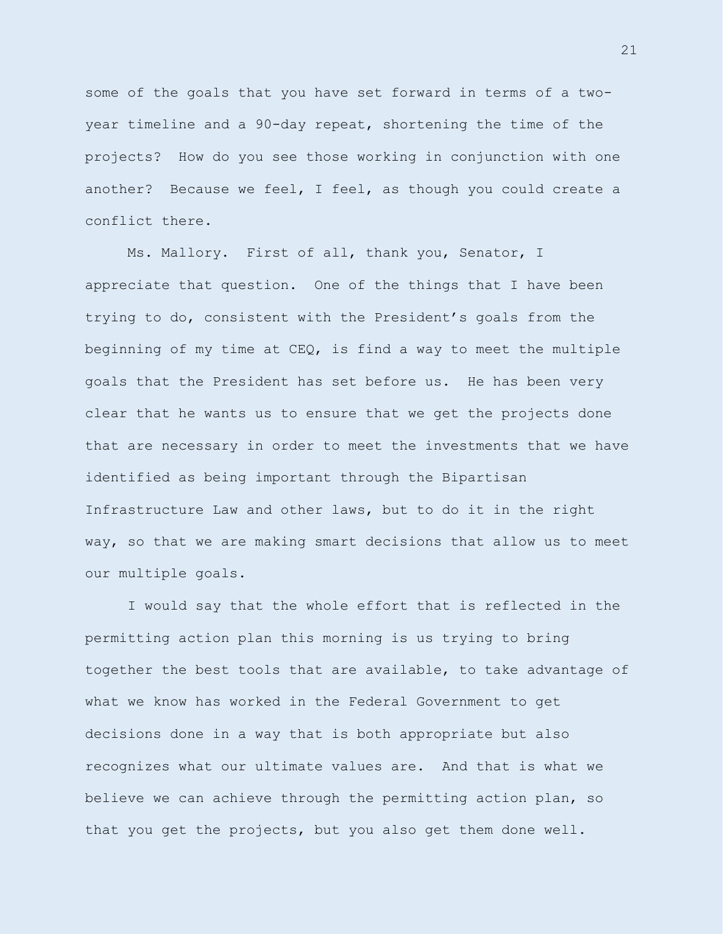some of the goals that you have set forward in terms of a twoyear timeline and a 90-day repeat, shortening the time of the projects? How do you see those working in conjunction with one another? Because we feel, I feel, as though you could create a conflict there.

Ms. Mallory. First of all, thank you, Senator, I appreciate that question. One of the things that I have been trying to do, consistent with the President's goals from the beginning of my time at CEQ, is find a way to meet the multiple goals that the President has set before us. He has been very clear that he wants us to ensure that we get the projects done that are necessary in order to meet the investments that we have identified as being important through the Bipartisan Infrastructure Law and other laws, but to do it in the right way, so that we are making smart decisions that allow us to meet our multiple goals.

I would say that the whole effort that is reflected in the permitting action plan this morning is us trying to bring together the best tools that are available, to take advantage of what we know has worked in the Federal Government to get decisions done in a way that is both appropriate but also recognizes what our ultimate values are. And that is what we believe we can achieve through the permitting action plan, so that you get the projects, but you also get them done well.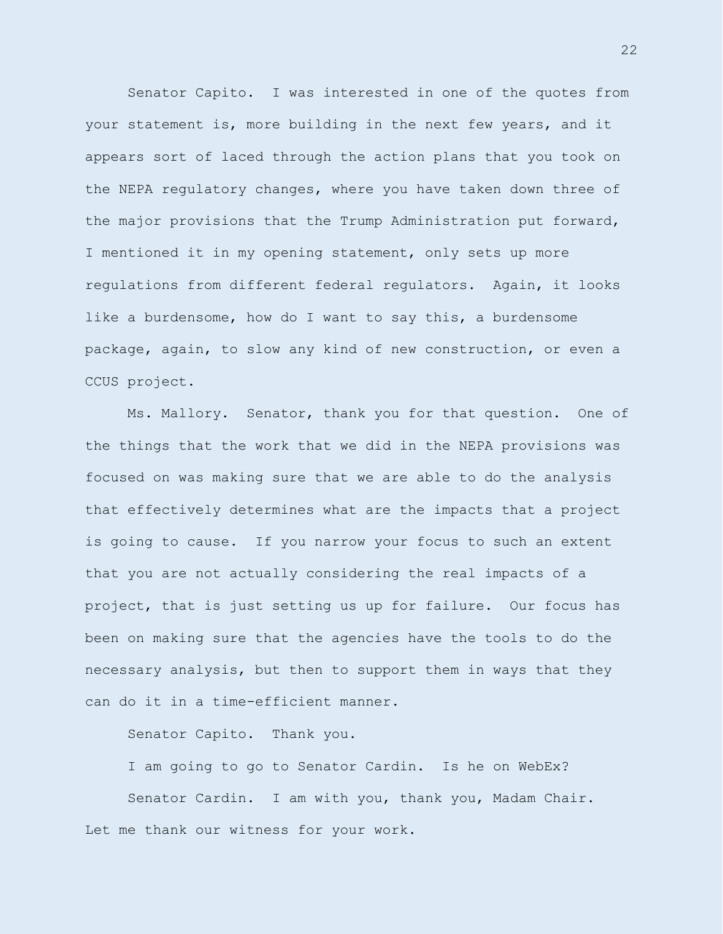Senator Capito. I was interested in one of the quotes from your statement is, more building in the next few years, and it appears sort of laced through the action plans that you took on the NEPA regulatory changes, where you have taken down three of the major provisions that the Trump Administration put forward, I mentioned it in my opening statement, only sets up more regulations from different federal regulators. Again, it looks like a burdensome, how do I want to say this, a burdensome package, again, to slow any kind of new construction, or even a CCUS project.

Ms. Mallory. Senator, thank you for that question. One of the things that the work that we did in the NEPA provisions was focused on was making sure that we are able to do the analysis that effectively determines what are the impacts that a project is going to cause. If you narrow your focus to such an extent that you are not actually considering the real impacts of a project, that is just setting us up for failure. Our focus has been on making sure that the agencies have the tools to do the necessary analysis, but then to support them in ways that they can do it in a time-efficient manner.

Senator Capito. Thank you.

I am going to go to Senator Cardin. Is he on WebEx? Senator Cardin. I am with you, thank you, Madam Chair. Let me thank our witness for your work.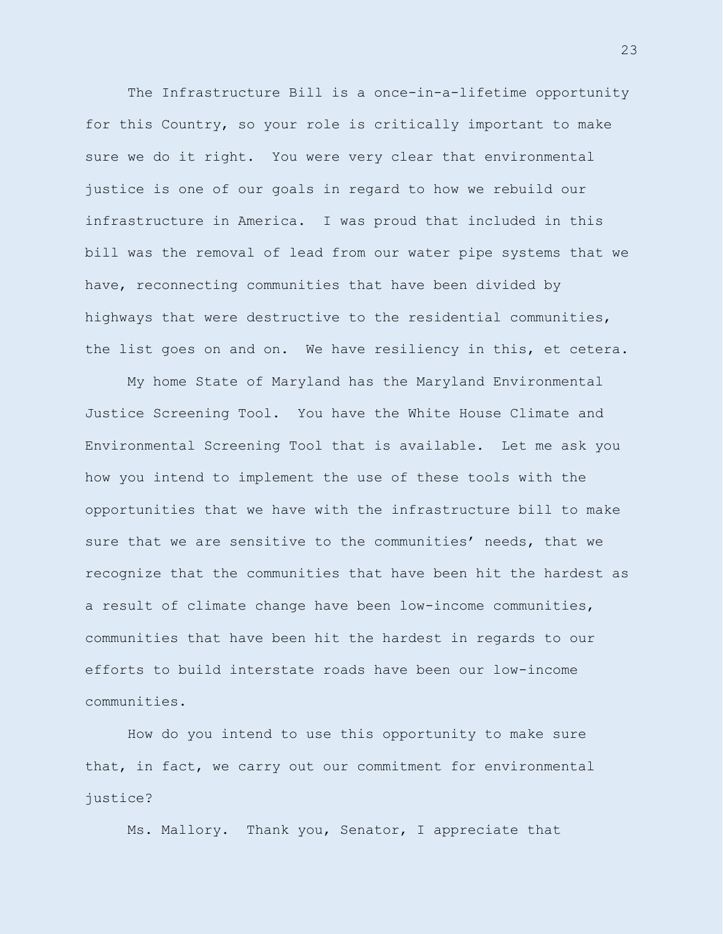The Infrastructure Bill is a once-in-a-lifetime opportunity for this Country, so your role is critically important to make sure we do it right. You were very clear that environmental justice is one of our goals in regard to how we rebuild our infrastructure in America. I was proud that included in this bill was the removal of lead from our water pipe systems that we have, reconnecting communities that have been divided by highways that were destructive to the residential communities, the list goes on and on. We have resiliency in this, et cetera.

My home State of Maryland has the Maryland Environmental Justice Screening Tool. You have the White House Climate and Environmental Screening Tool that is available. Let me ask you how you intend to implement the use of these tools with the opportunities that we have with the infrastructure bill to make sure that we are sensitive to the communities' needs, that we recognize that the communities that have been hit the hardest as a result of climate change have been low-income communities, communities that have been hit the hardest in regards to our efforts to build interstate roads have been our low-income communities.

How do you intend to use this opportunity to make sure that, in fact, we carry out our commitment for environmental justice?

Ms. Mallory. Thank you, Senator, I appreciate that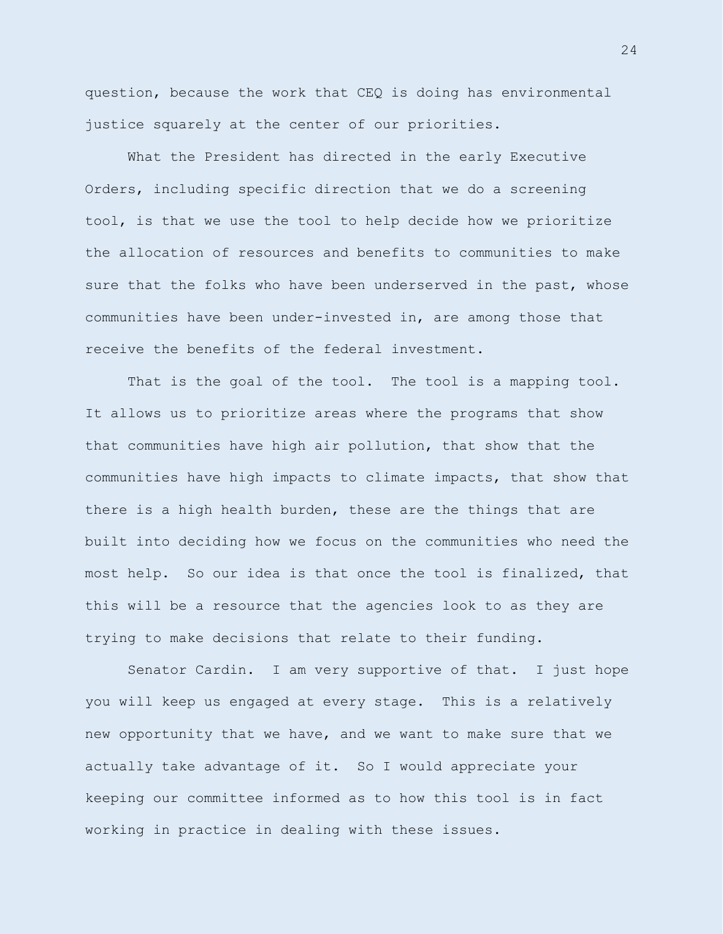question, because the work that CEQ is doing has environmental justice squarely at the center of our priorities.

What the President has directed in the early Executive Orders, including specific direction that we do a screening tool, is that we use the tool to help decide how we prioritize the allocation of resources and benefits to communities to make sure that the folks who have been underserved in the past, whose communities have been under-invested in, are among those that receive the benefits of the federal investment.

That is the goal of the tool. The tool is a mapping tool. It allows us to prioritize areas where the programs that show that communities have high air pollution, that show that the communities have high impacts to climate impacts, that show that there is a high health burden, these are the things that are built into deciding how we focus on the communities who need the most help. So our idea is that once the tool is finalized, that this will be a resource that the agencies look to as they are trying to make decisions that relate to their funding.

Senator Cardin. I am very supportive of that. I just hope you will keep us engaged at every stage. This is a relatively new opportunity that we have, and we want to make sure that we actually take advantage of it. So I would appreciate your keeping our committee informed as to how this tool is in fact working in practice in dealing with these issues.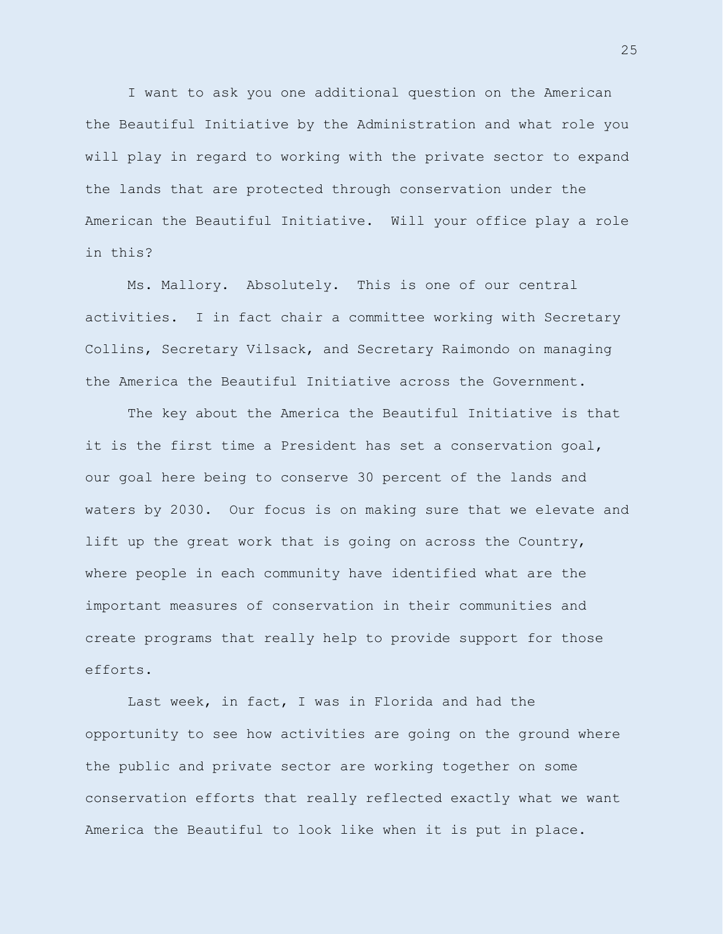I want to ask you one additional question on the American the Beautiful Initiative by the Administration and what role you will play in regard to working with the private sector to expand the lands that are protected through conservation under the American the Beautiful Initiative. Will your office play a role in this?

Ms. Mallory. Absolutely. This is one of our central activities. I in fact chair a committee working with Secretary Collins, Secretary Vilsack, and Secretary Raimondo on managing the America the Beautiful Initiative across the Government.

The key about the America the Beautiful Initiative is that it is the first time a President has set a conservation goal, our goal here being to conserve 30 percent of the lands and waters by 2030. Our focus is on making sure that we elevate and lift up the great work that is going on across the Country, where people in each community have identified what are the important measures of conservation in their communities and create programs that really help to provide support for those efforts.

Last week, in fact, I was in Florida and had the opportunity to see how activities are going on the ground where the public and private sector are working together on some conservation efforts that really reflected exactly what we want America the Beautiful to look like when it is put in place.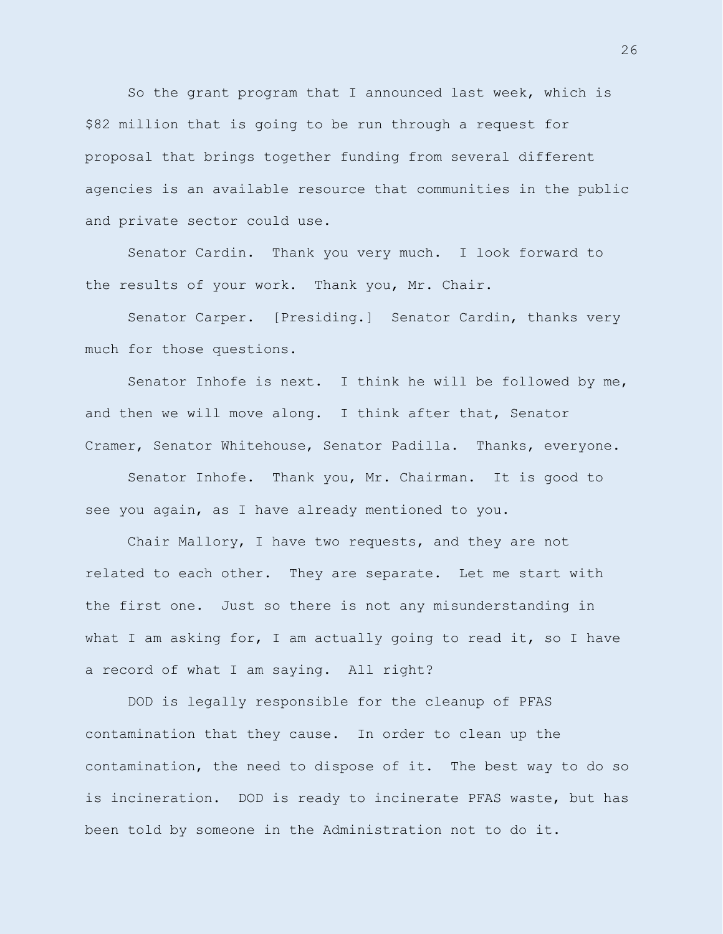So the grant program that I announced last week, which is \$82 million that is going to be run through a request for proposal that brings together funding from several different agencies is an available resource that communities in the public and private sector could use.

Senator Cardin. Thank you very much. I look forward to the results of your work. Thank you, Mr. Chair.

Senator Carper. [Presiding.] Senator Cardin, thanks very much for those questions.

Senator Inhofe is next. I think he will be followed by me, and then we will move along. I think after that, Senator Cramer, Senator Whitehouse, Senator Padilla. Thanks, everyone.

Senator Inhofe. Thank you, Mr. Chairman. It is good to see you again, as I have already mentioned to you.

Chair Mallory, I have two requests, and they are not related to each other. They are separate. Let me start with the first one. Just so there is not any misunderstanding in what I am asking for, I am actually going to read it, so I have a record of what I am saying. All right?

DOD is legally responsible for the cleanup of PFAS contamination that they cause. In order to clean up the contamination, the need to dispose of it. The best way to do so is incineration. DOD is ready to incinerate PFAS waste, but has been told by someone in the Administration not to do it.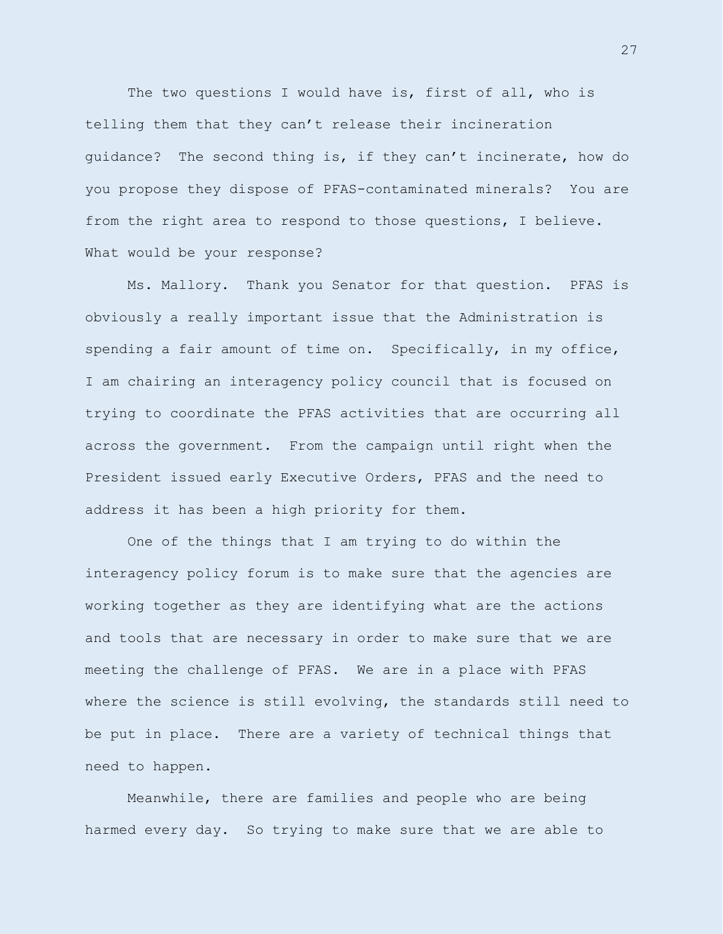The two questions I would have is, first of all, who is telling them that they can't release their incineration guidance? The second thing is, if they can't incinerate, how do you propose they dispose of PFAS-contaminated minerals? You are from the right area to respond to those questions, I believe. What would be your response?

Ms. Mallory. Thank you Senator for that question. PFAS is obviously a really important issue that the Administration is spending a fair amount of time on. Specifically, in my office, I am chairing an interagency policy council that is focused on trying to coordinate the PFAS activities that are occurring all across the government. From the campaign until right when the President issued early Executive Orders, PFAS and the need to address it has been a high priority for them.

One of the things that I am trying to do within the interagency policy forum is to make sure that the agencies are working together as they are identifying what are the actions and tools that are necessary in order to make sure that we are meeting the challenge of PFAS. We are in a place with PFAS where the science is still evolving, the standards still need to be put in place. There are a variety of technical things that need to happen.

Meanwhile, there are families and people who are being harmed every day. So trying to make sure that we are able to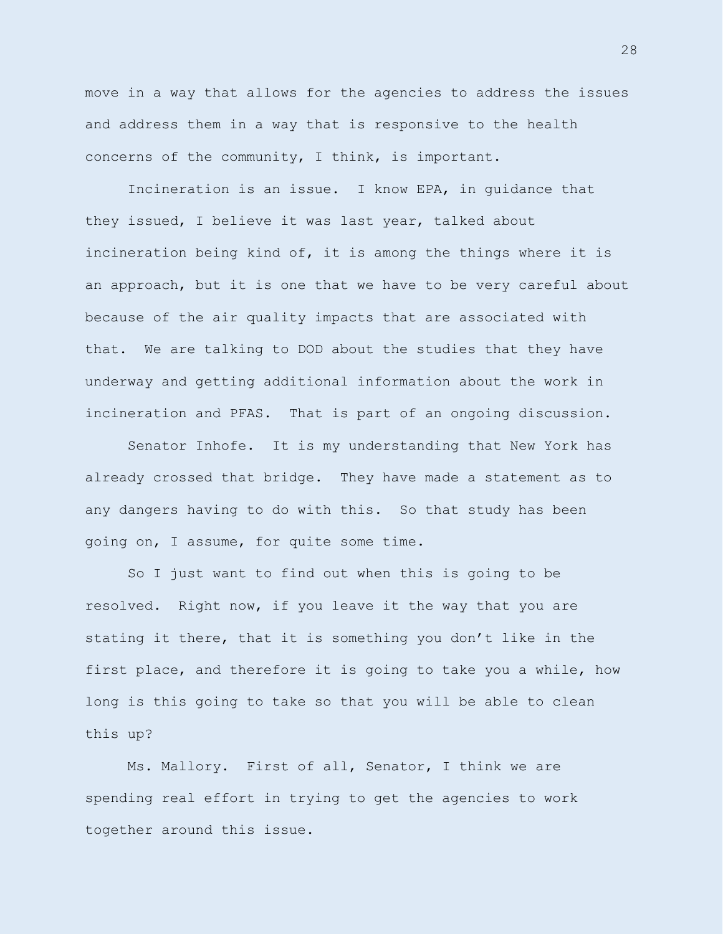move in a way that allows for the agencies to address the issues and address them in a way that is responsive to the health concerns of the community, I think, is important.

Incineration is an issue. I know EPA, in guidance that they issued, I believe it was last year, talked about incineration being kind of, it is among the things where it is an approach, but it is one that we have to be very careful about because of the air quality impacts that are associated with that. We are talking to DOD about the studies that they have underway and getting additional information about the work in incineration and PFAS. That is part of an ongoing discussion.

Senator Inhofe. It is my understanding that New York has already crossed that bridge. They have made a statement as to any dangers having to do with this. So that study has been going on, I assume, for quite some time.

So I just want to find out when this is going to be resolved. Right now, if you leave it the way that you are stating it there, that it is something you don't like in the first place, and therefore it is going to take you a while, how long is this going to take so that you will be able to clean this up?

Ms. Mallory. First of all, Senator, I think we are spending real effort in trying to get the agencies to work together around this issue.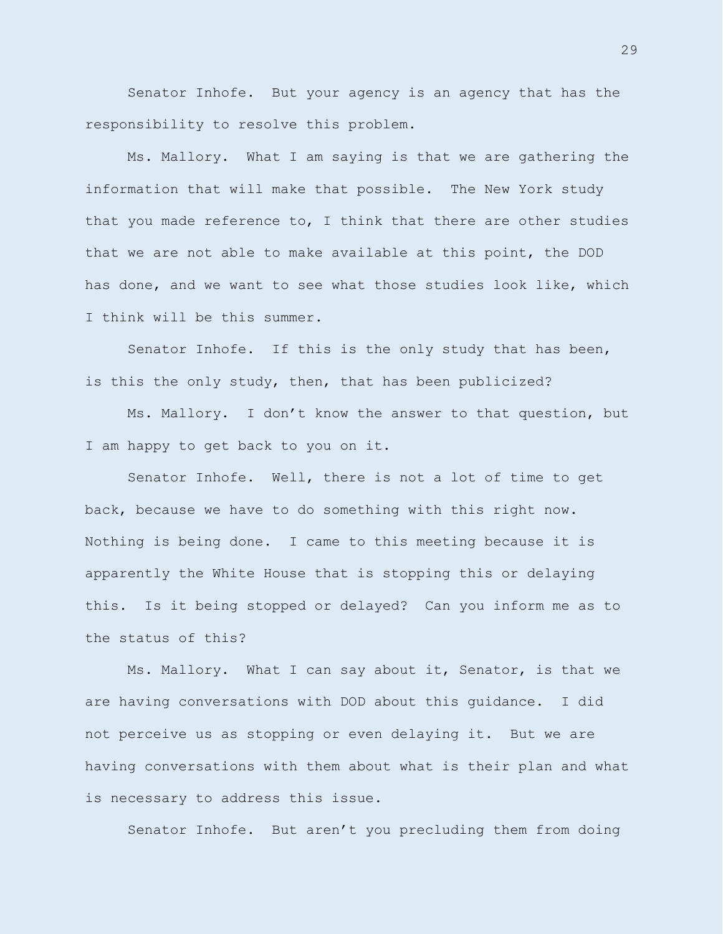Senator Inhofe. But your agency is an agency that has the responsibility to resolve this problem.

Ms. Mallory. What I am saying is that we are gathering the information that will make that possible. The New York study that you made reference to, I think that there are other studies that we are not able to make available at this point, the DOD has done, and we want to see what those studies look like, which I think will be this summer.

Senator Inhofe. If this is the only study that has been, is this the only study, then, that has been publicized?

Ms. Mallory. I don't know the answer to that question, but I am happy to get back to you on it.

Senator Inhofe. Well, there is not a lot of time to get back, because we have to do something with this right now. Nothing is being done. I came to this meeting because it is apparently the White House that is stopping this or delaying this. Is it being stopped or delayed? Can you inform me as to the status of this?

Ms. Mallory. What I can say about it, Senator, is that we are having conversations with DOD about this guidance. I did not perceive us as stopping or even delaying it. But we are having conversations with them about what is their plan and what is necessary to address this issue.

Senator Inhofe. But aren't you precluding them from doing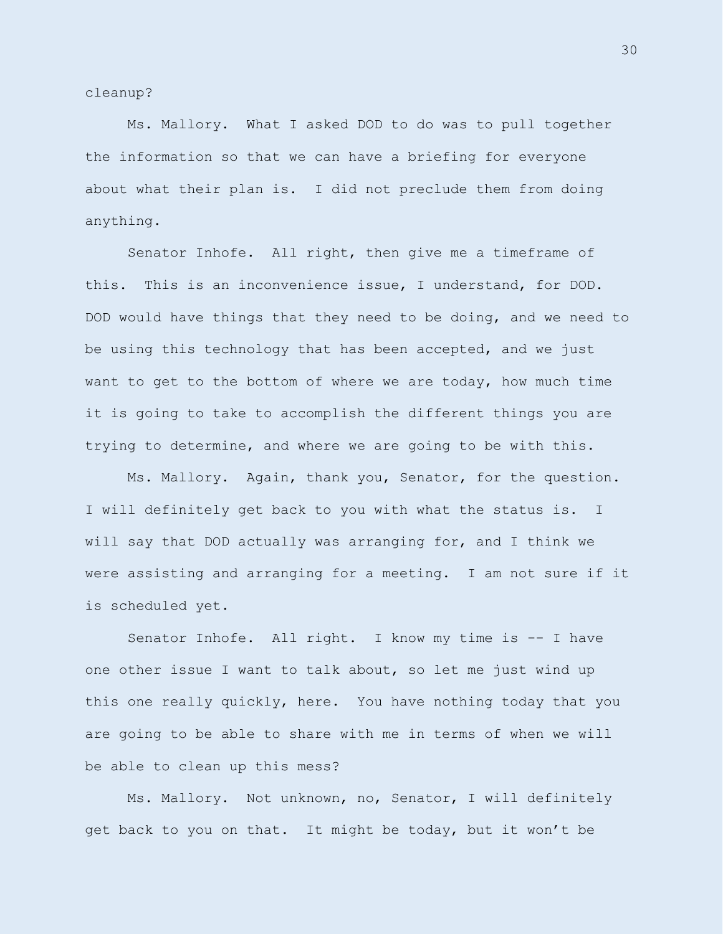cleanup?

Ms. Mallory. What I asked DOD to do was to pull together the information so that we can have a briefing for everyone about what their plan is. I did not preclude them from doing anything.

Senator Inhofe. All right, then give me a timeframe of this. This is an inconvenience issue, I understand, for DOD. DOD would have things that they need to be doing, and we need to be using this technology that has been accepted, and we just want to get to the bottom of where we are today, how much time it is going to take to accomplish the different things you are trying to determine, and where we are going to be with this.

Ms. Mallory. Again, thank you, Senator, for the question. I will definitely get back to you with what the status is. I will say that DOD actually was arranging for, and I think we were assisting and arranging for a meeting. I am not sure if it is scheduled yet.

Senator Inhofe. All right. I know my time is -- I have one other issue I want to talk about, so let me just wind up this one really quickly, here. You have nothing today that you are going to be able to share with me in terms of when we will be able to clean up this mess?

Ms. Mallory. Not unknown, no, Senator, I will definitely get back to you on that. It might be today, but it won't be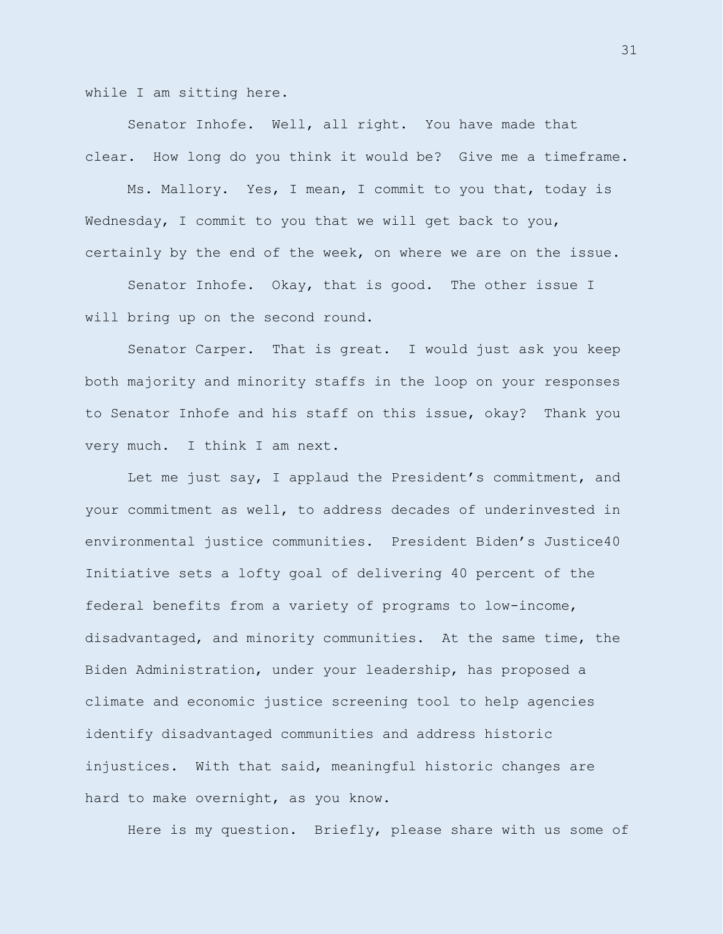while I am sitting here.

Senator Inhofe. Well, all right. You have made that clear. How long do you think it would be? Give me a timeframe.

Ms. Mallory. Yes, I mean, I commit to you that, today is Wednesday, I commit to you that we will get back to you, certainly by the end of the week, on where we are on the issue.

Senator Inhofe. Okay, that is good. The other issue I will bring up on the second round.

Senator Carper. That is great. I would just ask you keep both majority and minority staffs in the loop on your responses to Senator Inhofe and his staff on this issue, okay? Thank you very much. I think I am next.

Let me just say, I applaud the President's commitment, and your commitment as well, to address decades of underinvested in environmental justice communities. President Biden's Justice40 Initiative sets a lofty goal of delivering 40 percent of the federal benefits from a variety of programs to low-income, disadvantaged, and minority communities. At the same time, the Biden Administration, under your leadership, has proposed a climate and economic justice screening tool to help agencies identify disadvantaged communities and address historic injustices. With that said, meaningful historic changes are hard to make overnight, as you know.

Here is my question. Briefly, please share with us some of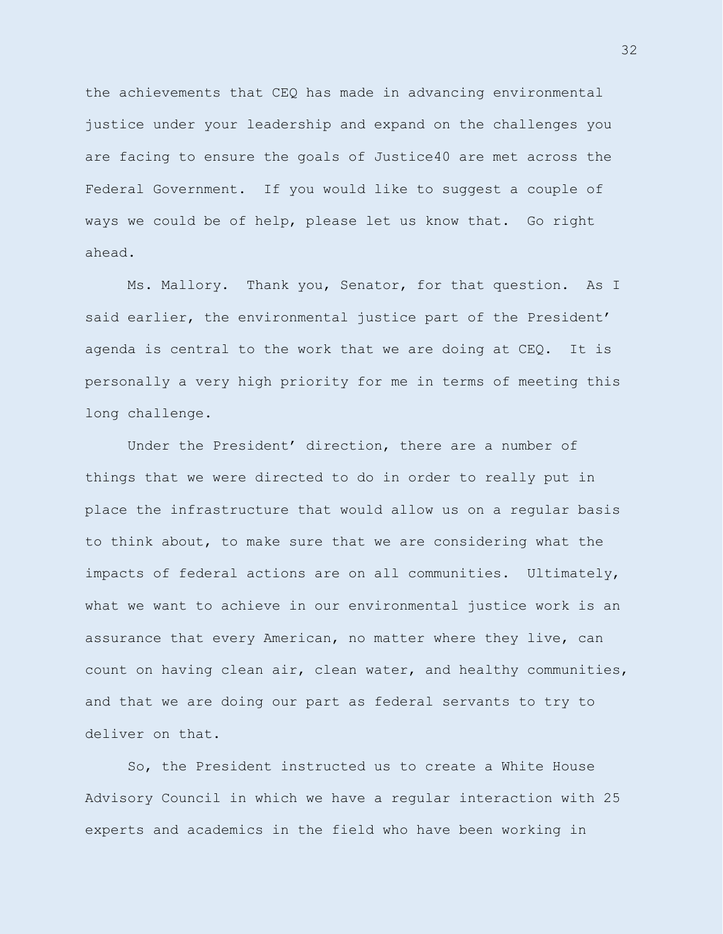the achievements that CEQ has made in advancing environmental justice under your leadership and expand on the challenges you are facing to ensure the goals of Justice40 are met across the Federal Government. If you would like to suggest a couple of ways we could be of help, please let us know that. Go right ahead.

Ms. Mallory. Thank you, Senator, for that question. As I said earlier, the environmental justice part of the President' agenda is central to the work that we are doing at CEQ. It is personally a very high priority for me in terms of meeting this long challenge.

Under the President' direction, there are a number of things that we were directed to do in order to really put in place the infrastructure that would allow us on a regular basis to think about, to make sure that we are considering what the impacts of federal actions are on all communities. Ultimately, what we want to achieve in our environmental justice work is an assurance that every American, no matter where they live, can count on having clean air, clean water, and healthy communities, and that we are doing our part as federal servants to try to deliver on that.

So, the President instructed us to create a White House Advisory Council in which we have a regular interaction with 25 experts and academics in the field who have been working in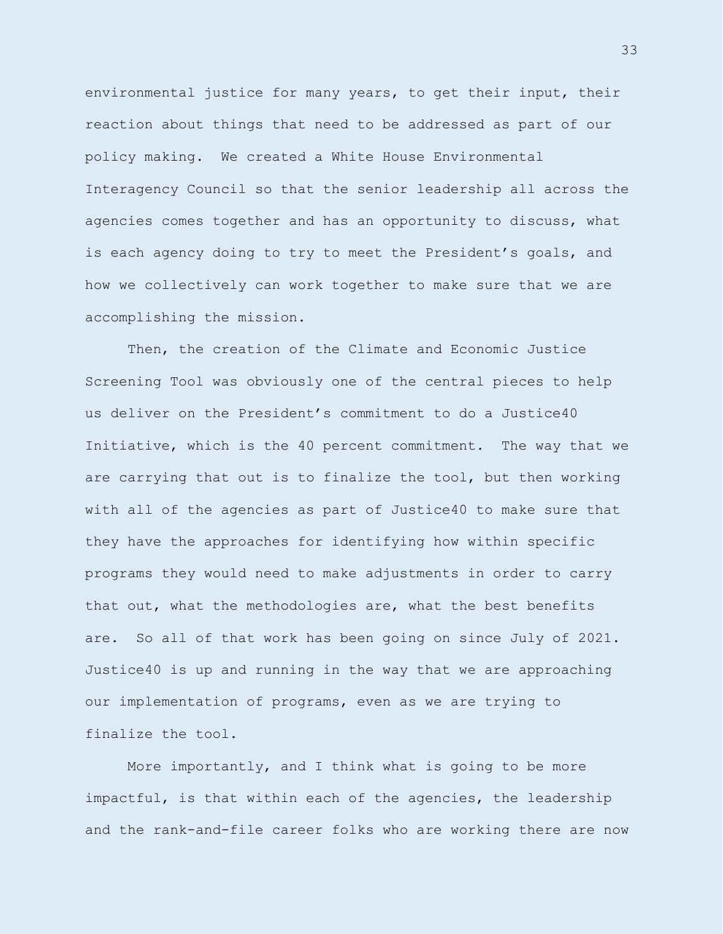environmental justice for many years, to get their input, their reaction about things that need to be addressed as part of our policy making. We created a White House Environmental Interagency Council so that the senior leadership all across the agencies comes together and has an opportunity to discuss, what is each agency doing to try to meet the President's goals, and how we collectively can work together to make sure that we are accomplishing the mission.

Then, the creation of the Climate and Economic Justice Screening Tool was obviously one of the central pieces to help us deliver on the President's commitment to do a Justice40 Initiative, which is the 40 percent commitment. The way that we are carrying that out is to finalize the tool, but then working with all of the agencies as part of Justice40 to make sure that they have the approaches for identifying how within specific programs they would need to make adjustments in order to carry that out, what the methodologies are, what the best benefits are. So all of that work has been going on since July of 2021. Justice40 is up and running in the way that we are approaching our implementation of programs, even as we are trying to finalize the tool.

More importantly, and I think what is going to be more impactful, is that within each of the agencies, the leadership and the rank-and-file career folks who are working there are now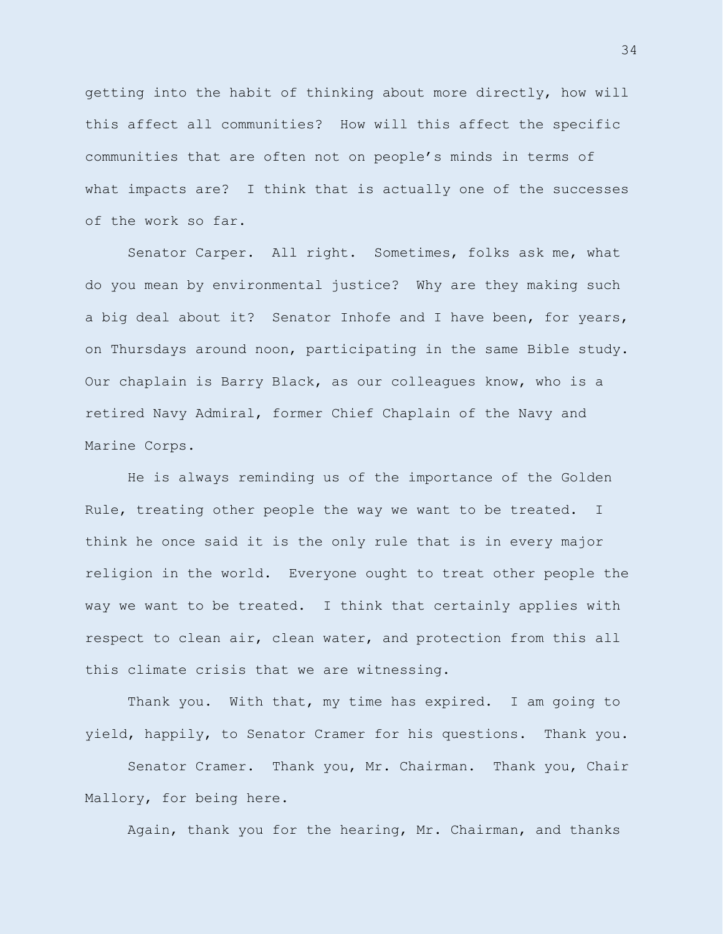getting into the habit of thinking about more directly, how will this affect all communities? How will this affect the specific communities that are often not on people's minds in terms of what impacts are? I think that is actually one of the successes of the work so far.

Senator Carper. All right. Sometimes, folks ask me, what do you mean by environmental justice? Why are they making such a big deal about it? Senator Inhofe and I have been, for years, on Thursdays around noon, participating in the same Bible study. Our chaplain is Barry Black, as our colleagues know, who is a retired Navy Admiral, former Chief Chaplain of the Navy and Marine Corps.

He is always reminding us of the importance of the Golden Rule, treating other people the way we want to be treated. I think he once said it is the only rule that is in every major religion in the world. Everyone ought to treat other people the way we want to be treated. I think that certainly applies with respect to clean air, clean water, and protection from this all this climate crisis that we are witnessing.

Thank you. With that, my time has expired. I am going to yield, happily, to Senator Cramer for his questions. Thank you.

Senator Cramer. Thank you, Mr. Chairman. Thank you, Chair Mallory, for being here.

Again, thank you for the hearing, Mr. Chairman, and thanks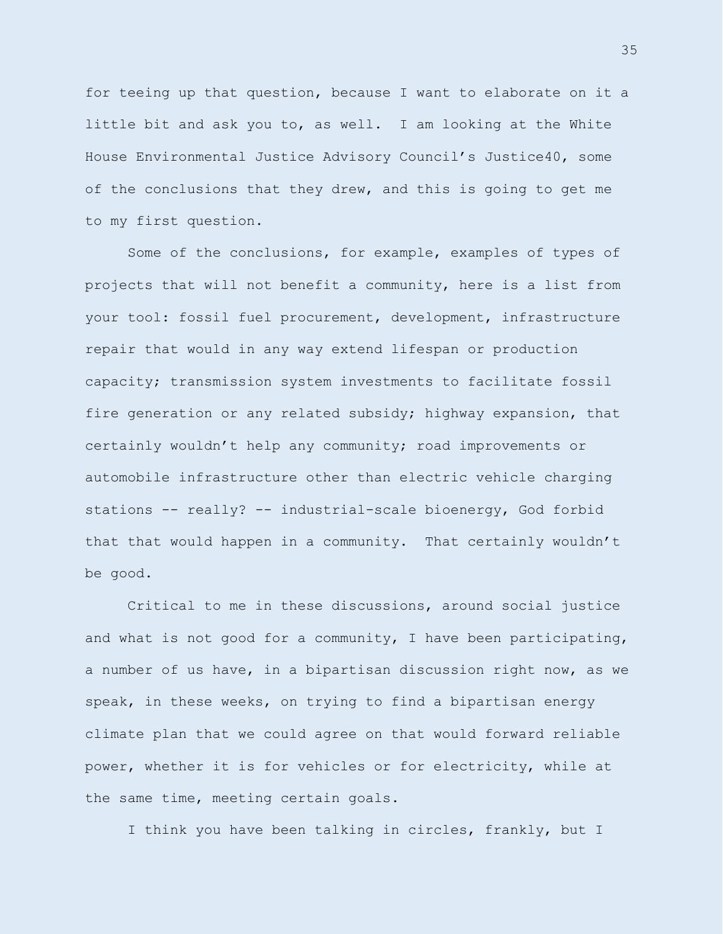for teeing up that question, because I want to elaborate on it a little bit and ask you to, as well. I am looking at the White House Environmental Justice Advisory Council's Justice40, some of the conclusions that they drew, and this is going to get me to my first question.

Some of the conclusions, for example, examples of types of projects that will not benefit a community, here is a list from your tool: fossil fuel procurement, development, infrastructure repair that would in any way extend lifespan or production capacity; transmission system investments to facilitate fossil fire generation or any related subsidy; highway expansion, that certainly wouldn't help any community; road improvements or automobile infrastructure other than electric vehicle charging stations -- really? -- industrial-scale bioenergy, God forbid that that would happen in a community. That certainly wouldn't be good.

Critical to me in these discussions, around social justice and what is not good for a community, I have been participating, a number of us have, in a bipartisan discussion right now, as we speak, in these weeks, on trying to find a bipartisan energy climate plan that we could agree on that would forward reliable power, whether it is for vehicles or for electricity, while at the same time, meeting certain goals.

I think you have been talking in circles, frankly, but I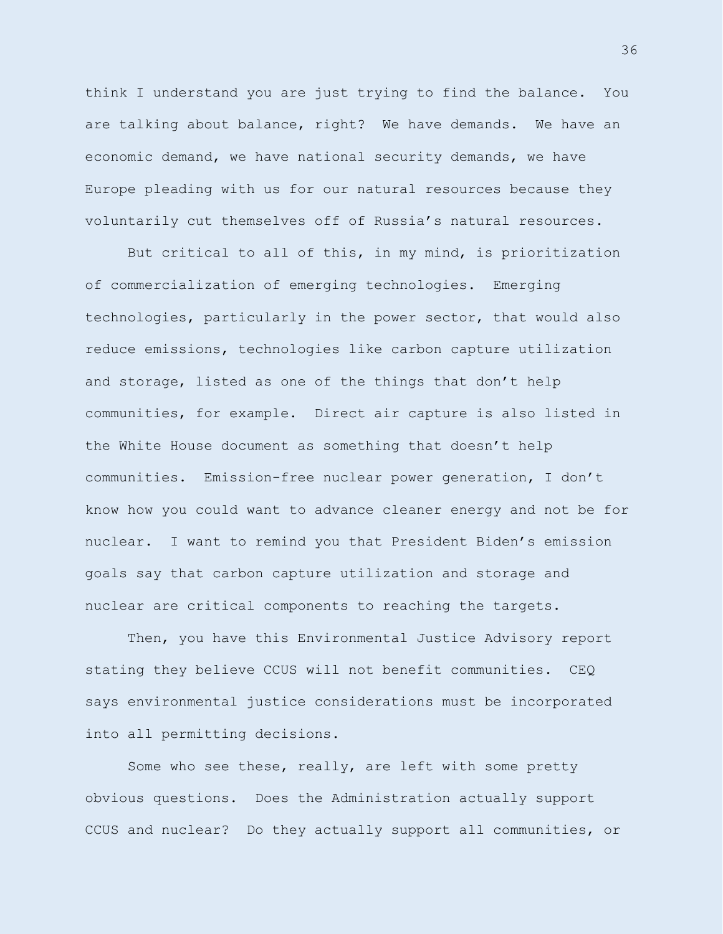think I understand you are just trying to find the balance. You are talking about balance, right? We have demands. We have an economic demand, we have national security demands, we have Europe pleading with us for our natural resources because they voluntarily cut themselves off of Russia's natural resources.

But critical to all of this, in my mind, is prioritization of commercialization of emerging technologies. Emerging technologies, particularly in the power sector, that would also reduce emissions, technologies like carbon capture utilization and storage, listed as one of the things that don't help communities, for example. Direct air capture is also listed in the White House document as something that doesn't help communities. Emission-free nuclear power generation, I don't know how you could want to advance cleaner energy and not be for nuclear. I want to remind you that President Biden's emission goals say that carbon capture utilization and storage and nuclear are critical components to reaching the targets.

Then, you have this Environmental Justice Advisory report stating they believe CCUS will not benefit communities. CEQ says environmental justice considerations must be incorporated into all permitting decisions.

Some who see these, really, are left with some pretty obvious questions. Does the Administration actually support CCUS and nuclear? Do they actually support all communities, or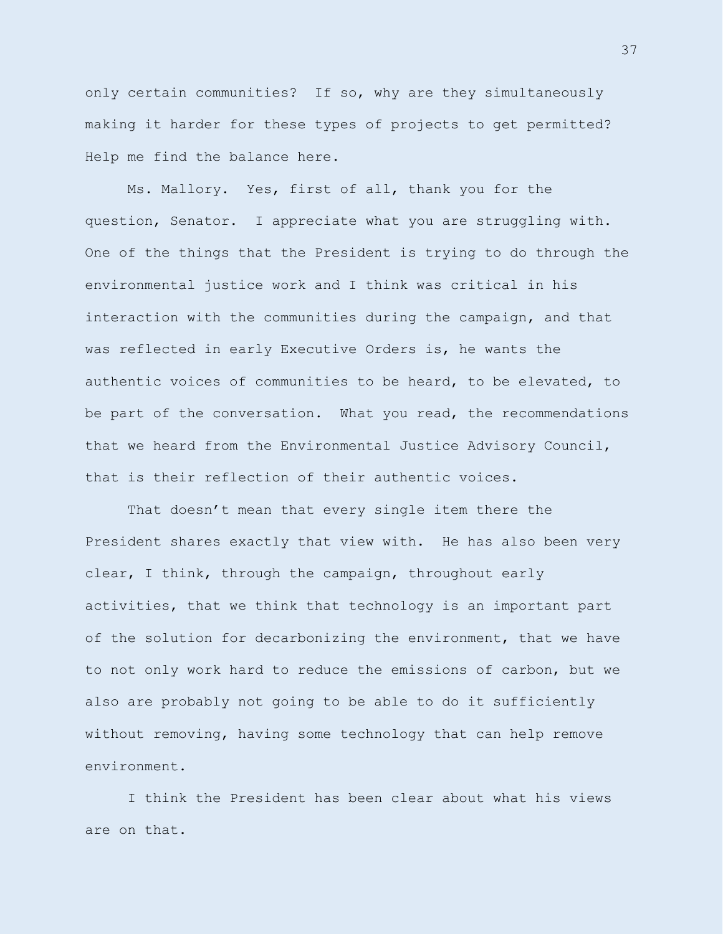only certain communities? If so, why are they simultaneously making it harder for these types of projects to get permitted? Help me find the balance here.

Ms. Mallory. Yes, first of all, thank you for the question, Senator. I appreciate what you are struggling with. One of the things that the President is trying to do through the environmental justice work and I think was critical in his interaction with the communities during the campaign, and that was reflected in early Executive Orders is, he wants the authentic voices of communities to be heard, to be elevated, to be part of the conversation. What you read, the recommendations that we heard from the Environmental Justice Advisory Council, that is their reflection of their authentic voices.

That doesn't mean that every single item there the President shares exactly that view with. He has also been very clear, I think, through the campaign, throughout early activities, that we think that technology is an important part of the solution for decarbonizing the environment, that we have to not only work hard to reduce the emissions of carbon, but we also are probably not going to be able to do it sufficiently without removing, having some technology that can help remove environment.

I think the President has been clear about what his views are on that.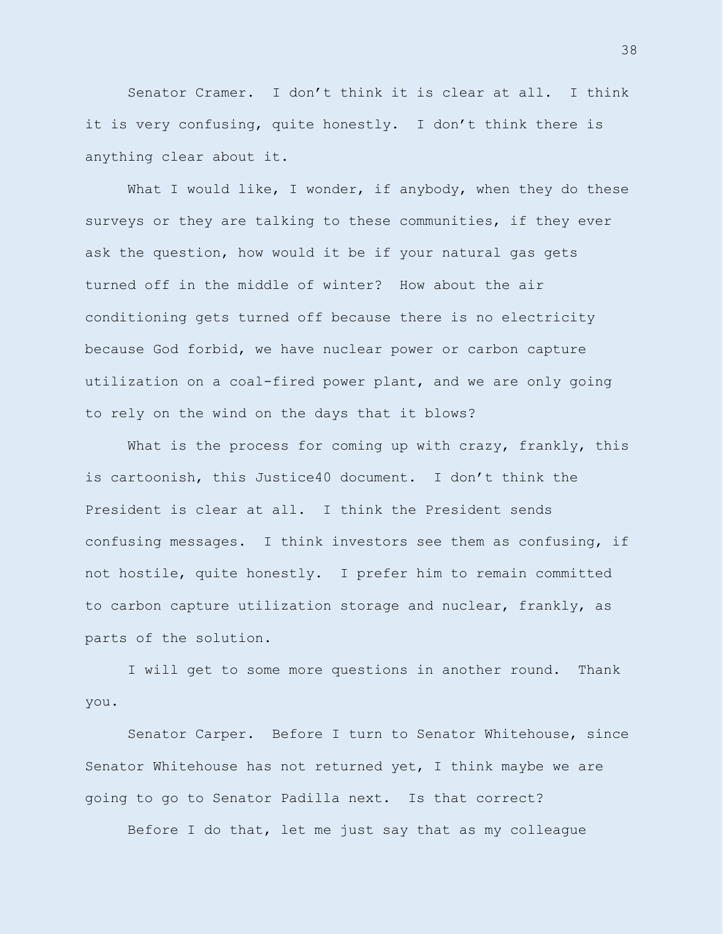Senator Cramer. I don't think it is clear at all. I think it is very confusing, quite honestly. I don't think there is anything clear about it.

What I would like, I wonder, if anybody, when they do these surveys or they are talking to these communities, if they ever ask the question, how would it be if your natural gas gets turned off in the middle of winter? How about the air conditioning gets turned off because there is no electricity because God forbid, we have nuclear power or carbon capture utilization on a coal-fired power plant, and we are only going to rely on the wind on the days that it blows?

What is the process for coming up with crazy, frankly, this is cartoonish, this Justice40 document. I don't think the President is clear at all. I think the President sends confusing messages. I think investors see them as confusing, if not hostile, quite honestly. I prefer him to remain committed to carbon capture utilization storage and nuclear, frankly, as parts of the solution.

I will get to some more questions in another round. Thank you.

Senator Carper. Before I turn to Senator Whitehouse, since Senator Whitehouse has not returned yet, I think maybe we are going to go to Senator Padilla next. Is that correct?

Before I do that, let me just say that as my colleague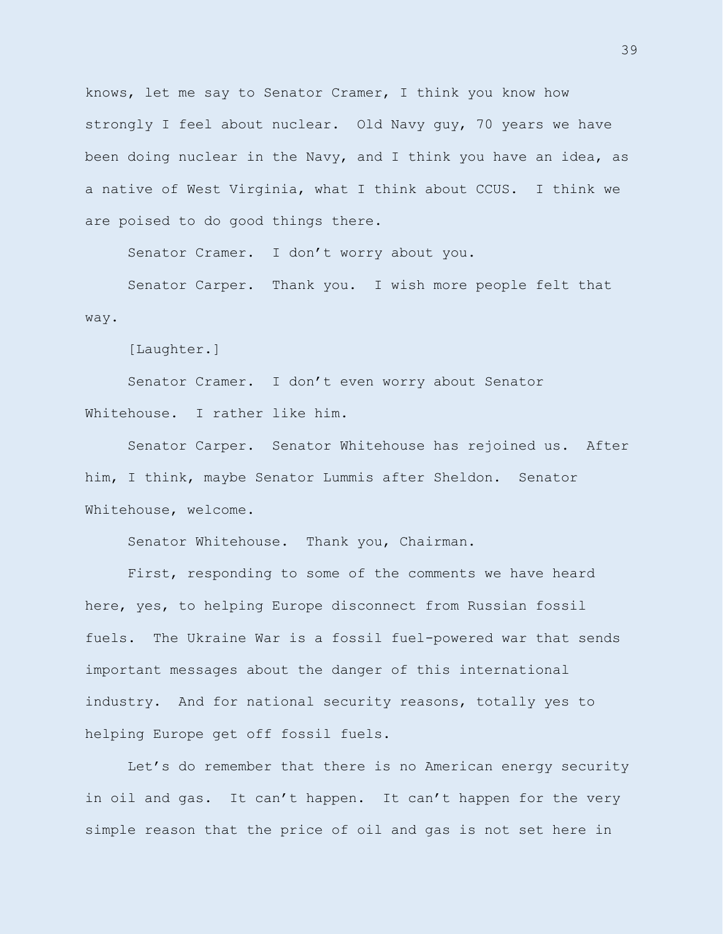knows, let me say to Senator Cramer, I think you know how strongly I feel about nuclear. Old Navy guy, 70 years we have been doing nuclear in the Navy, and I think you have an idea, as a native of West Virginia, what I think about CCUS. I think we are poised to do good things there.

Senator Cramer. I don't worry about you.

Senator Carper. Thank you. I wish more people felt that way.

[Laughter.]

Senator Cramer. I don't even worry about Senator Whitehouse. I rather like him.

Senator Carper. Senator Whitehouse has rejoined us. After him, I think, maybe Senator Lummis after Sheldon. Senator Whitehouse, welcome.

Senator Whitehouse. Thank you, Chairman.

First, responding to some of the comments we have heard here, yes, to helping Europe disconnect from Russian fossil fuels. The Ukraine War is a fossil fuel-powered war that sends important messages about the danger of this international industry. And for national security reasons, totally yes to helping Europe get off fossil fuels.

Let's do remember that there is no American energy security in oil and gas. It can't happen. It can't happen for the very simple reason that the price of oil and gas is not set here in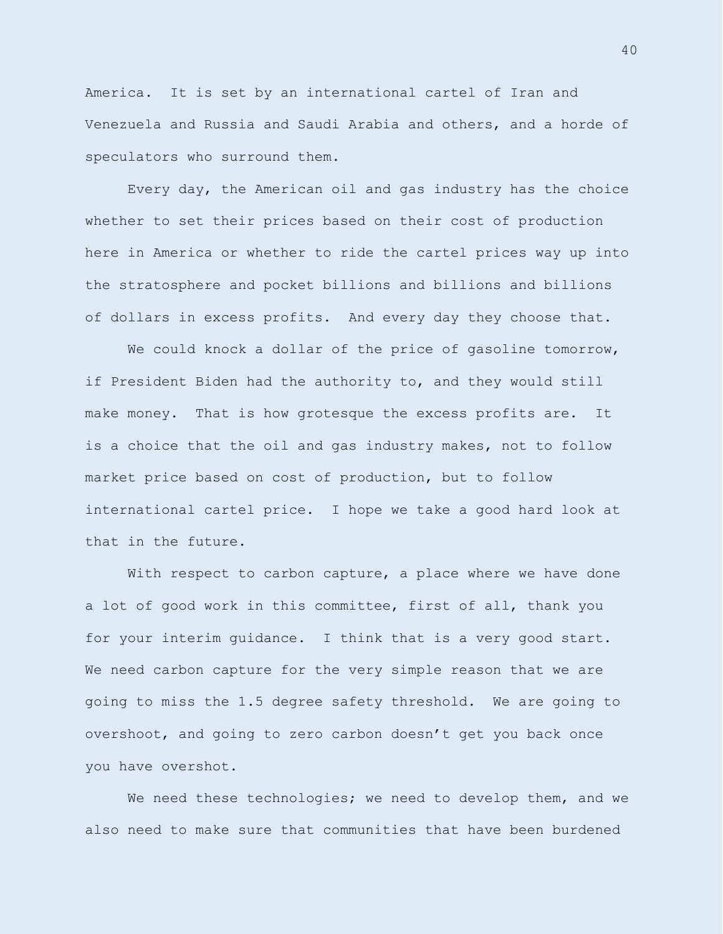America. It is set by an international cartel of Iran and Venezuela and Russia and Saudi Arabia and others, and a horde of speculators who surround them.

Every day, the American oil and gas industry has the choice whether to set their prices based on their cost of production here in America or whether to ride the cartel prices way up into the stratosphere and pocket billions and billions and billions of dollars in excess profits. And every day they choose that.

We could knock a dollar of the price of qasoline tomorrow, if President Biden had the authority to, and they would still make money. That is how grotesque the excess profits are. It is a choice that the oil and gas industry makes, not to follow market price based on cost of production, but to follow international cartel price. I hope we take a good hard look at that in the future.

With respect to carbon capture, a place where we have done a lot of good work in this committee, first of all, thank you for your interim guidance. I think that is a very good start. We need carbon capture for the very simple reason that we are going to miss the 1.5 degree safety threshold. We are going to overshoot, and going to zero carbon doesn't get you back once you have overshot.

We need these technologies; we need to develop them, and we also need to make sure that communities that have been burdened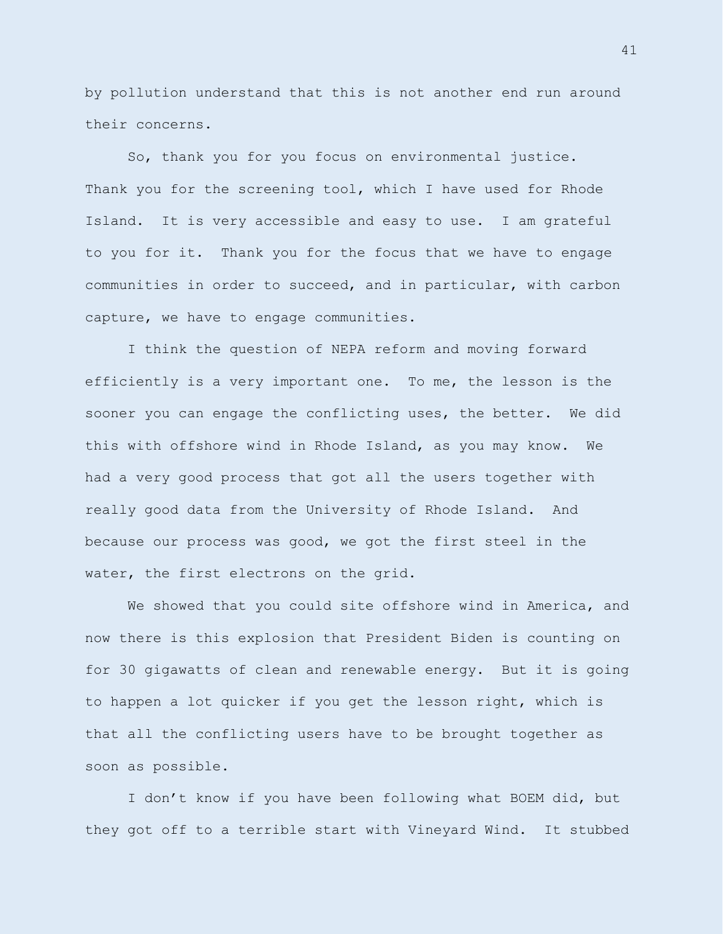by pollution understand that this is not another end run around their concerns.

So, thank you for you focus on environmental justice. Thank you for the screening tool, which I have used for Rhode Island. It is very accessible and easy to use. I am grateful to you for it. Thank you for the focus that we have to engage communities in order to succeed, and in particular, with carbon capture, we have to engage communities.

I think the question of NEPA reform and moving forward efficiently is a very important one. To me, the lesson is the sooner you can engage the conflicting uses, the better. We did this with offshore wind in Rhode Island, as you may know. We had a very good process that got all the users together with really good data from the University of Rhode Island. And because our process was good, we got the first steel in the water, the first electrons on the grid.

We showed that you could site offshore wind in America, and now there is this explosion that President Biden is counting on for 30 gigawatts of clean and renewable energy. But it is going to happen a lot quicker if you get the lesson right, which is that all the conflicting users have to be brought together as soon as possible.

I don't know if you have been following what BOEM did, but they got off to a terrible start with Vineyard Wind. It stubbed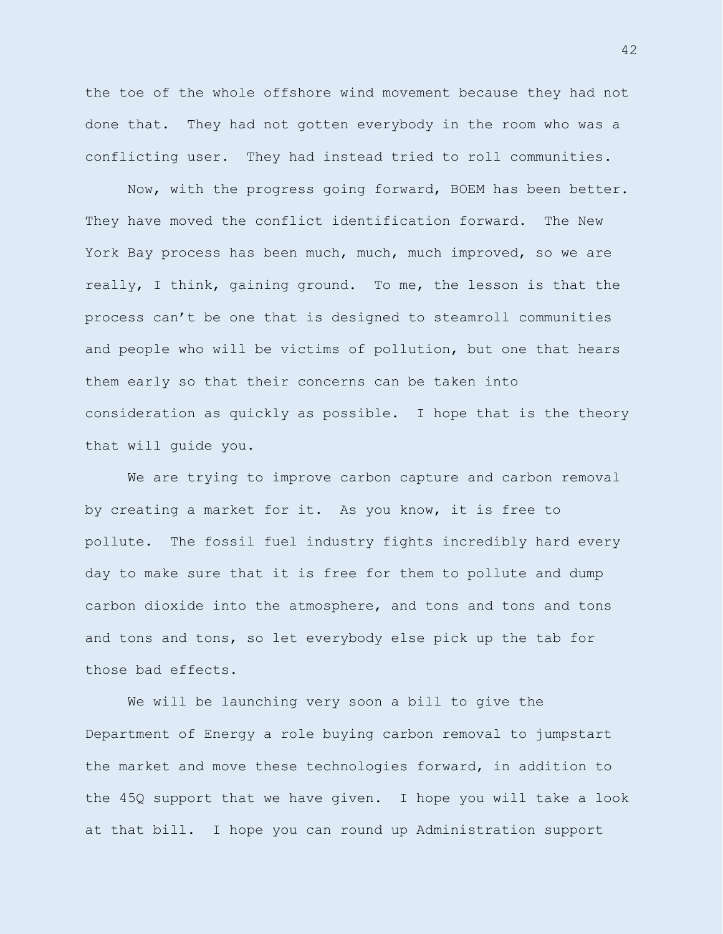the toe of the whole offshore wind movement because they had not done that. They had not gotten everybody in the room who was a conflicting user. They had instead tried to roll communities.

Now, with the progress going forward, BOEM has been better. They have moved the conflict identification forward. The New York Bay process has been much, much, much improved, so we are really, I think, gaining ground. To me, the lesson is that the process can't be one that is designed to steamroll communities and people who will be victims of pollution, but one that hears them early so that their concerns can be taken into consideration as quickly as possible. I hope that is the theory that will guide you.

We are trying to improve carbon capture and carbon removal by creating a market for it. As you know, it is free to pollute. The fossil fuel industry fights incredibly hard every day to make sure that it is free for them to pollute and dump carbon dioxide into the atmosphere, and tons and tons and tons and tons and tons, so let everybody else pick up the tab for those bad effects.

We will be launching very soon a bill to give the Department of Energy a role buying carbon removal to jumpstart the market and move these technologies forward, in addition to the 45Q support that we have given. I hope you will take a look at that bill. I hope you can round up Administration support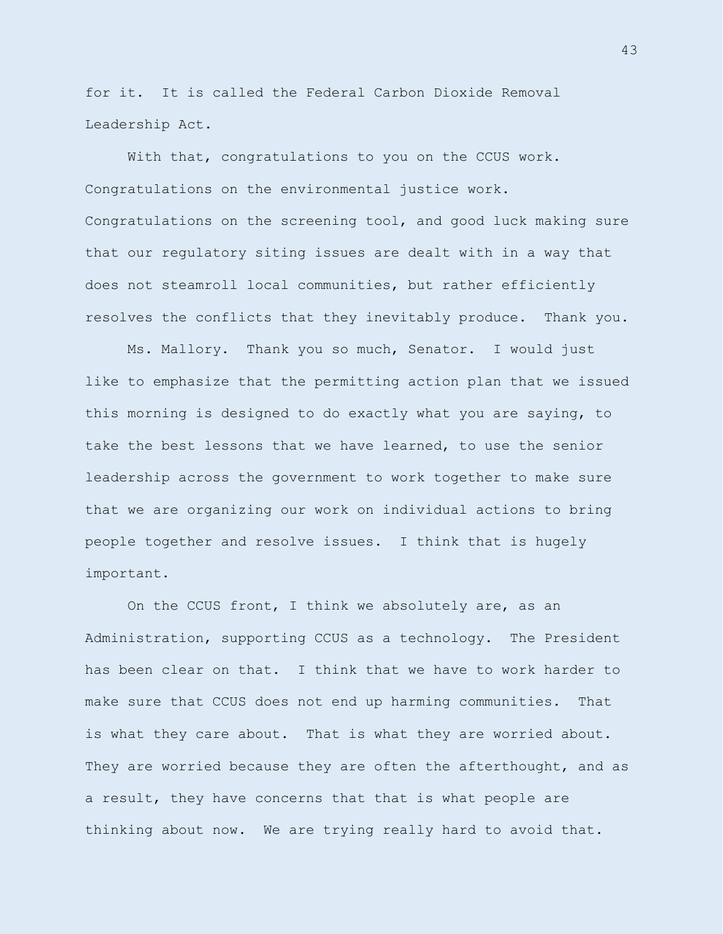for it. It is called the Federal Carbon Dioxide Removal Leadership Act.

With that, congratulations to you on the CCUS work. Congratulations on the environmental justice work. Congratulations on the screening tool, and good luck making sure that our regulatory siting issues are dealt with in a way that does not steamroll local communities, but rather efficiently resolves the conflicts that they inevitably produce. Thank you.

Ms. Mallory. Thank you so much, Senator. I would just like to emphasize that the permitting action plan that we issued this morning is designed to do exactly what you are saying, to take the best lessons that we have learned, to use the senior leadership across the government to work together to make sure that we are organizing our work on individual actions to bring people together and resolve issues. I think that is hugely important.

On the CCUS front, I think we absolutely are, as an Administration, supporting CCUS as a technology. The President has been clear on that. I think that we have to work harder to make sure that CCUS does not end up harming communities. That is what they care about. That is what they are worried about. They are worried because they are often the afterthought, and as a result, they have concerns that that is what people are thinking about now. We are trying really hard to avoid that.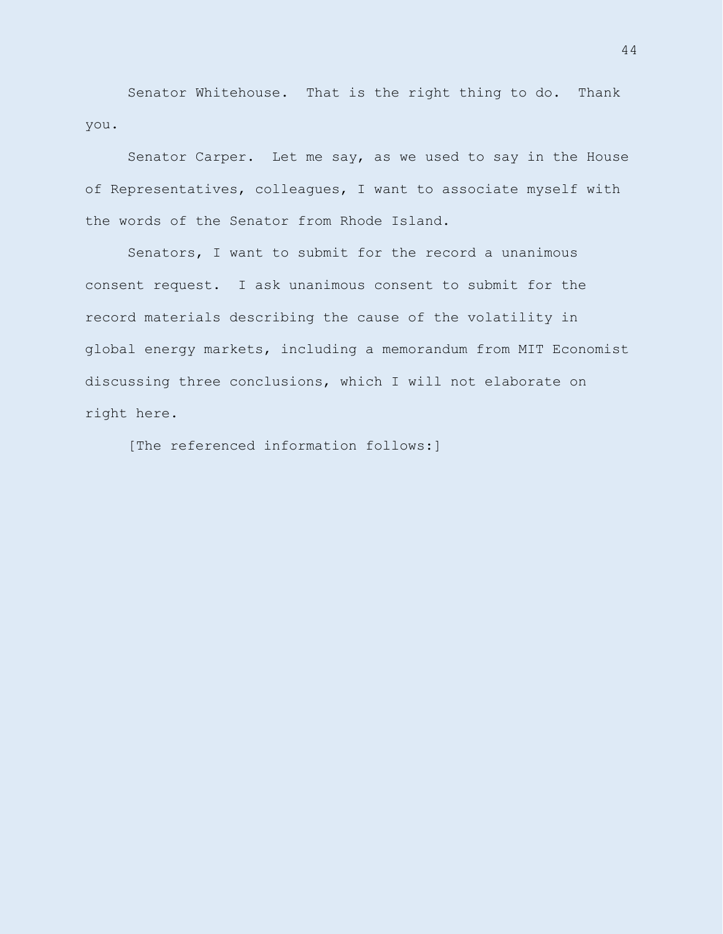Senator Whitehouse. That is the right thing to do. Thank you.

Senator Carper. Let me say, as we used to say in the House of Representatives, colleagues, I want to associate myself with the words of the Senator from Rhode Island.

Senators, I want to submit for the record a unanimous consent request. I ask unanimous consent to submit for the record materials describing the cause of the volatility in global energy markets, including a memorandum from MIT Economist discussing three conclusions, which I will not elaborate on right here.

[The referenced information follows:]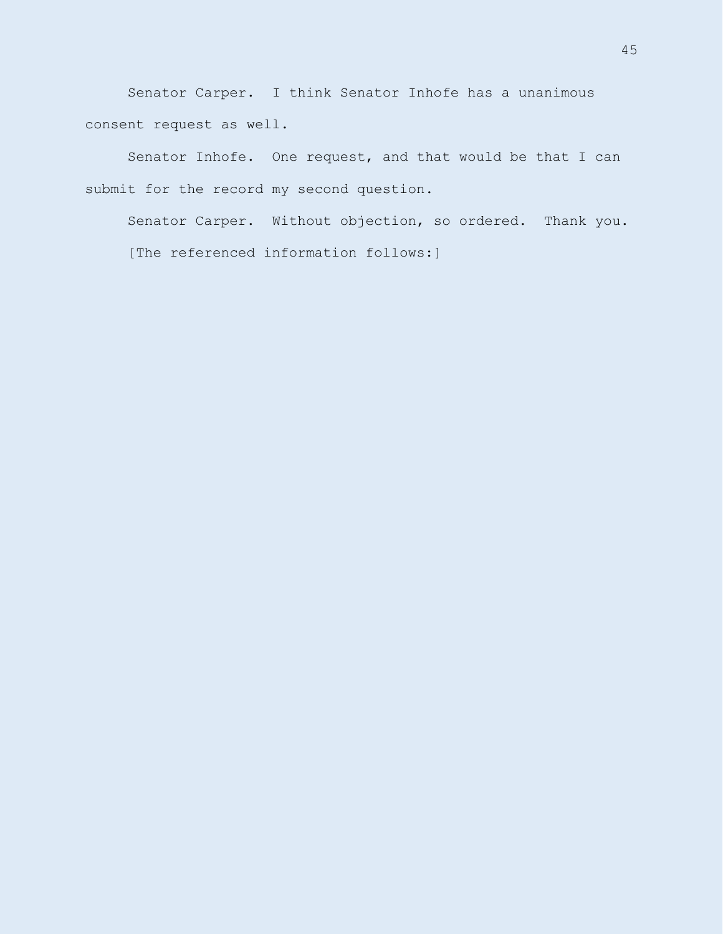Senator Carper. I think Senator Inhofe has a unanimous consent request as well.

Senator Inhofe. One request, and that would be that I can submit for the record my second question.

Senator Carper. Without objection, so ordered. Thank you. [The referenced information follows:]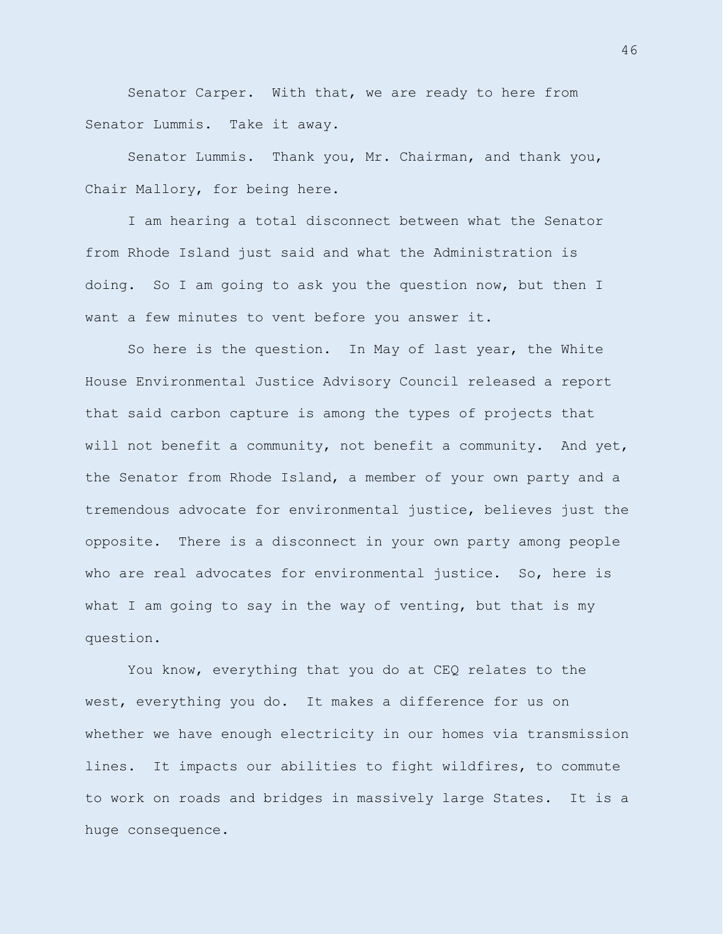Senator Carper. With that, we are ready to here from Senator Lummis. Take it away.

Senator Lummis. Thank you, Mr. Chairman, and thank you, Chair Mallory, for being here.

I am hearing a total disconnect between what the Senator from Rhode Island just said and what the Administration is doing. So I am going to ask you the question now, but then I want a few minutes to vent before you answer it.

So here is the question. In May of last year, the White House Environmental Justice Advisory Council released a report that said carbon capture is among the types of projects that will not benefit a community, not benefit a community. And yet, the Senator from Rhode Island, a member of your own party and a tremendous advocate for environmental justice, believes just the opposite. There is a disconnect in your own party among people who are real advocates for environmental justice. So, here is what I am going to say in the way of venting, but that is my question.

You know, everything that you do at CEQ relates to the west, everything you do. It makes a difference for us on whether we have enough electricity in our homes via transmission lines. It impacts our abilities to fight wildfires, to commute to work on roads and bridges in massively large States. It is a huge consequence.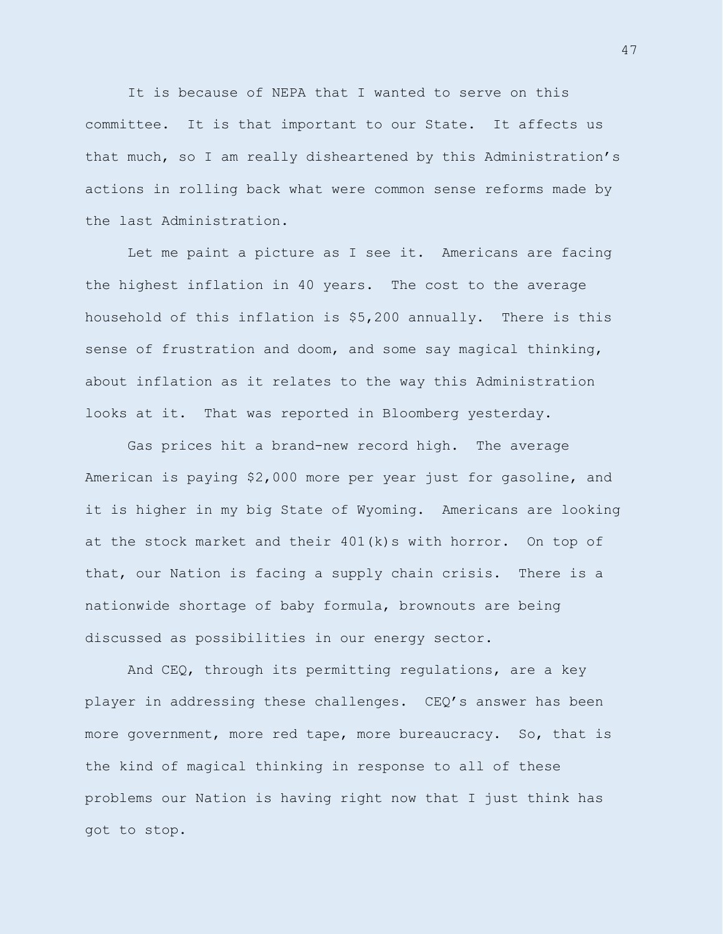It is because of NEPA that I wanted to serve on this committee. It is that important to our State. It affects us that much, so I am really disheartened by this Administration's actions in rolling back what were common sense reforms made by the last Administration.

Let me paint a picture as I see it. Americans are facing the highest inflation in 40 years. The cost to the average household of this inflation is \$5,200 annually. There is this sense of frustration and doom, and some say magical thinking, about inflation as it relates to the way this Administration looks at it. That was reported in Bloomberg yesterday.

Gas prices hit a brand-new record high. The average American is paying \$2,000 more per year just for gasoline, and it is higher in my big State of Wyoming. Americans are looking at the stock market and their 401(k)s with horror. On top of that, our Nation is facing a supply chain crisis. There is a nationwide shortage of baby formula, brownouts are being discussed as possibilities in our energy sector.

And CEQ, through its permitting regulations, are a key player in addressing these challenges. CEQ's answer has been more government, more red tape, more bureaucracy. So, that is the kind of magical thinking in response to all of these problems our Nation is having right now that I just think has got to stop.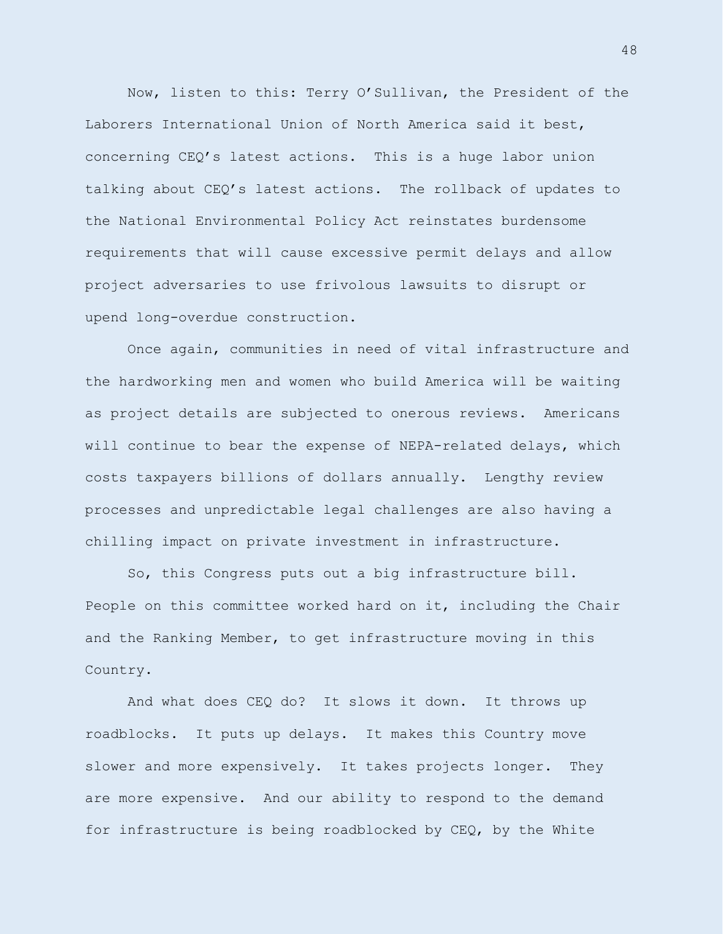Now, listen to this: Terry O'Sullivan, the President of the Laborers International Union of North America said it best, concerning CEQ's latest actions. This is a huge labor union talking about CEQ's latest actions. The rollback of updates to the National Environmental Policy Act reinstates burdensome requirements that will cause excessive permit delays and allow project adversaries to use frivolous lawsuits to disrupt or upend long-overdue construction.

Once again, communities in need of vital infrastructure and the hardworking men and women who build America will be waiting as project details are subjected to onerous reviews. Americans will continue to bear the expense of NEPA-related delays, which costs taxpayers billions of dollars annually. Lengthy review processes and unpredictable legal challenges are also having a chilling impact on private investment in infrastructure.

So, this Congress puts out a big infrastructure bill. People on this committee worked hard on it, including the Chair and the Ranking Member, to get infrastructure moving in this Country.

And what does CEQ do? It slows it down. It throws up roadblocks. It puts up delays. It makes this Country move slower and more expensively. It takes projects longer. They are more expensive. And our ability to respond to the demand for infrastructure is being roadblocked by CEQ, by the White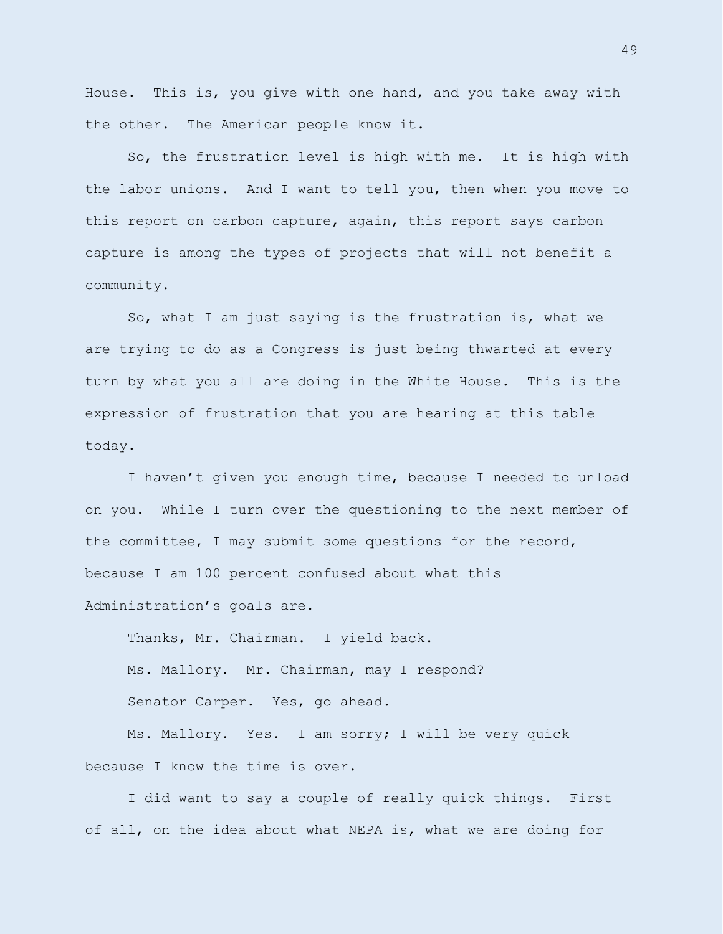House. This is, you give with one hand, and you take away with the other. The American people know it.

So, the frustration level is high with me. It is high with the labor unions. And I want to tell you, then when you move to this report on carbon capture, again, this report says carbon capture is among the types of projects that will not benefit a community.

So, what I am just saying is the frustration is, what we are trying to do as a Congress is just being thwarted at every turn by what you all are doing in the White House. This is the expression of frustration that you are hearing at this table today.

I haven't given you enough time, because I needed to unload on you. While I turn over the questioning to the next member of the committee, I may submit some questions for the record, because I am 100 percent confused about what this Administration's goals are.

Thanks, Mr. Chairman. I yield back. Ms. Mallory. Mr. Chairman, may I respond? Senator Carper. Yes, go ahead.

Ms. Mallory. Yes. I am sorry; I will be very quick because I know the time is over.

I did want to say a couple of really quick things. First of all, on the idea about what NEPA is, what we are doing for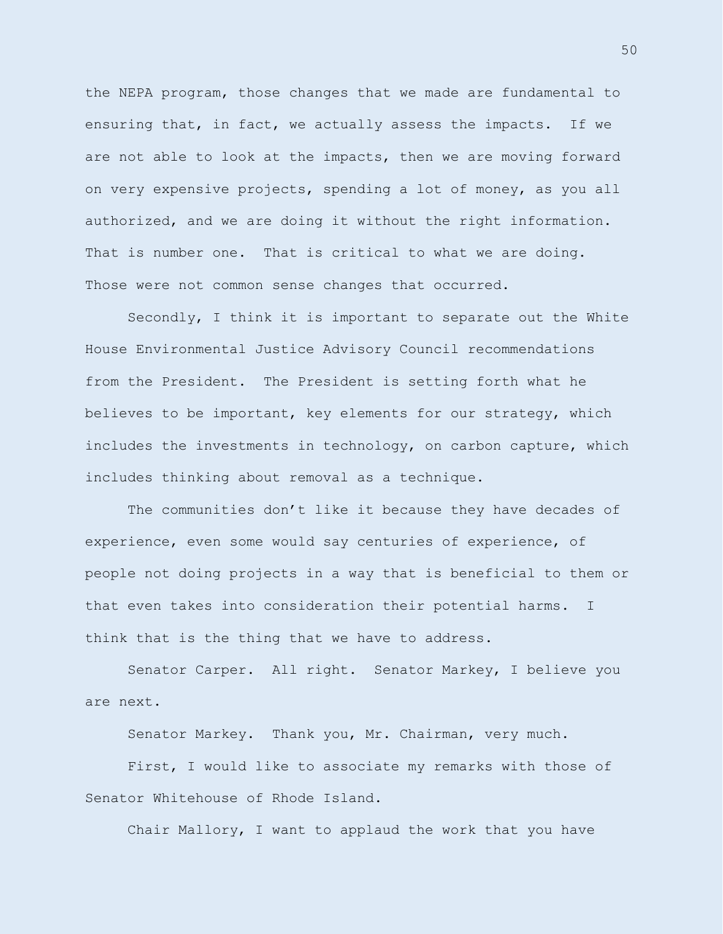the NEPA program, those changes that we made are fundamental to ensuring that, in fact, we actually assess the impacts. If we are not able to look at the impacts, then we are moving forward on very expensive projects, spending a lot of money, as you all authorized, and we are doing it without the right information. That is number one. That is critical to what we are doing. Those were not common sense changes that occurred.

Secondly, I think it is important to separate out the White House Environmental Justice Advisory Council recommendations from the President. The President is setting forth what he believes to be important, key elements for our strategy, which includes the investments in technology, on carbon capture, which includes thinking about removal as a technique.

The communities don't like it because they have decades of experience, even some would say centuries of experience, of people not doing projects in a way that is beneficial to them or that even takes into consideration their potential harms. I think that is the thing that we have to address.

Senator Carper. All right. Senator Markey, I believe you are next.

Senator Markey. Thank you, Mr. Chairman, very much.

First, I would like to associate my remarks with those of Senator Whitehouse of Rhode Island.

Chair Mallory, I want to applaud the work that you have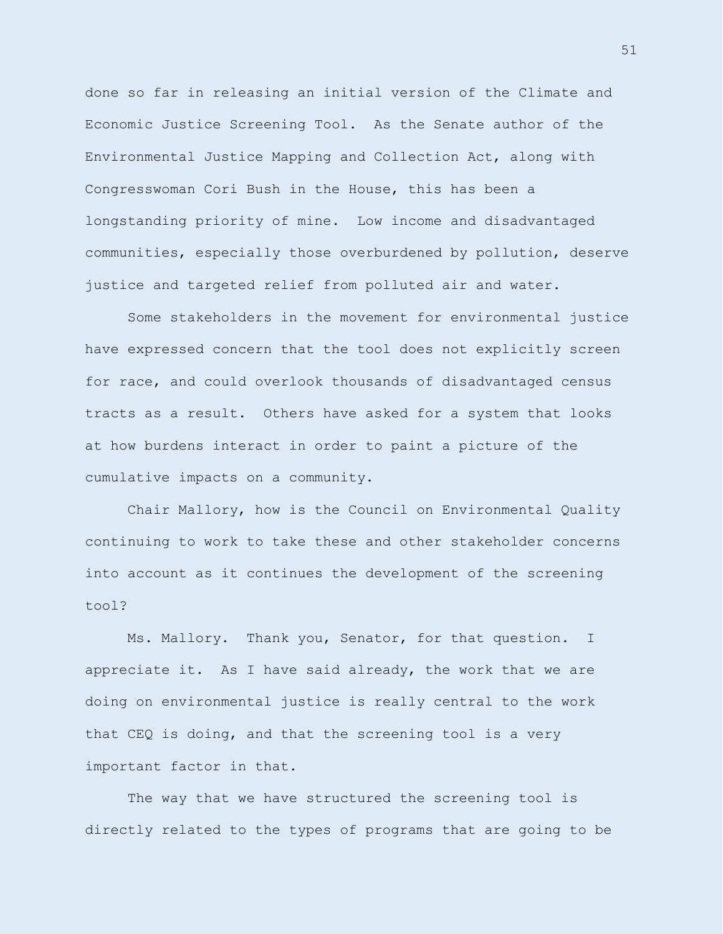done so far in releasing an initial version of the Climate and Economic Justice Screening Tool. As the Senate author of the Environmental Justice Mapping and Collection Act, along with Congresswoman Cori Bush in the House, this has been a longstanding priority of mine. Low income and disadvantaged communities, especially those overburdened by pollution, deserve justice and targeted relief from polluted air and water.

Some stakeholders in the movement for environmental justice have expressed concern that the tool does not explicitly screen for race, and could overlook thousands of disadvantaged census tracts as a result. Others have asked for a system that looks at how burdens interact in order to paint a picture of the cumulative impacts on a community.

Chair Mallory, how is the Council on Environmental Quality continuing to work to take these and other stakeholder concerns into account as it continues the development of the screening tool?

Ms. Mallory. Thank you, Senator, for that question. I appreciate it. As I have said already, the work that we are doing on environmental justice is really central to the work that CEQ is doing, and that the screening tool is a very important factor in that.

The way that we have structured the screening tool is directly related to the types of programs that are going to be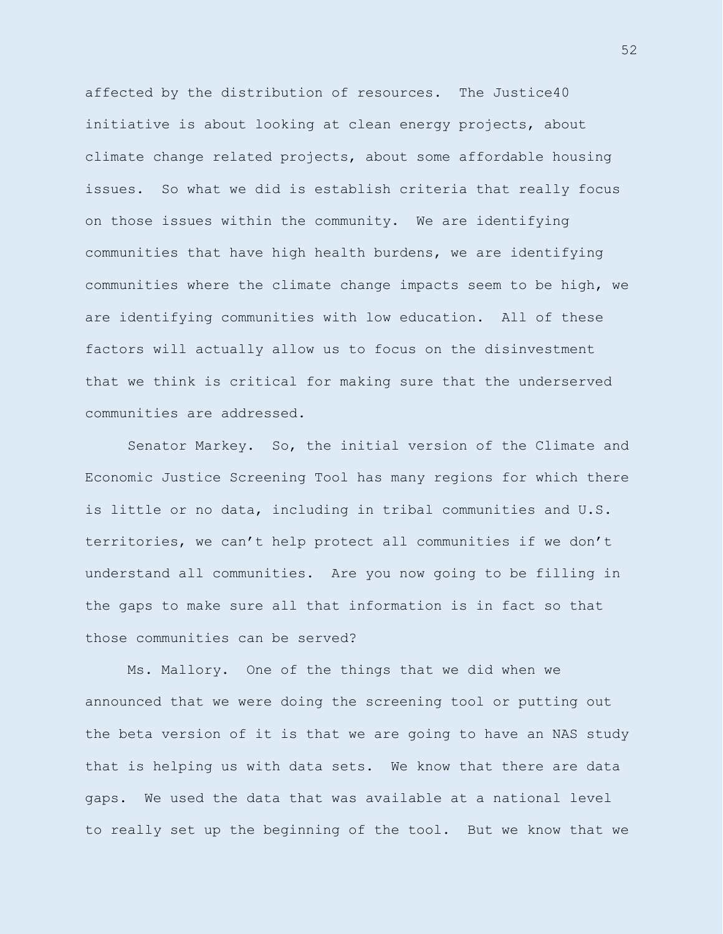affected by the distribution of resources. The Justice40 initiative is about looking at clean energy projects, about climate change related projects, about some affordable housing issues. So what we did is establish criteria that really focus on those issues within the community. We are identifying communities that have high health burdens, we are identifying communities where the climate change impacts seem to be high, we are identifying communities with low education. All of these factors will actually allow us to focus on the disinvestment that we think is critical for making sure that the underserved communities are addressed.

Senator Markey. So, the initial version of the Climate and Economic Justice Screening Tool has many regions for which there is little or no data, including in tribal communities and U.S. territories, we can't help protect all communities if we don't understand all communities. Are you now going to be filling in the gaps to make sure all that information is in fact so that those communities can be served?

Ms. Mallory. One of the things that we did when we announced that we were doing the screening tool or putting out the beta version of it is that we are going to have an NAS study that is helping us with data sets. We know that there are data gaps. We used the data that was available at a national level to really set up the beginning of the tool. But we know that we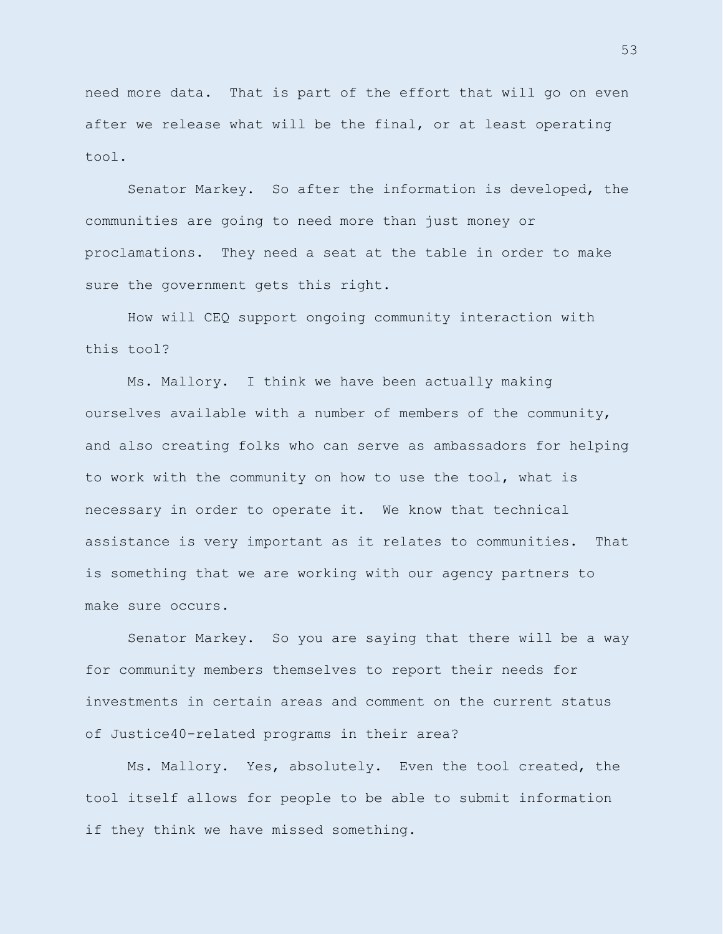need more data. That is part of the effort that will go on even after we release what will be the final, or at least operating tool.

Senator Markey. So after the information is developed, the communities are going to need more than just money or proclamations. They need a seat at the table in order to make sure the government gets this right.

How will CEQ support ongoing community interaction with this tool?

Ms. Mallory. I think we have been actually making ourselves available with a number of members of the community, and also creating folks who can serve as ambassadors for helping to work with the community on how to use the tool, what is necessary in order to operate it. We know that technical assistance is very important as it relates to communities. That is something that we are working with our agency partners to make sure occurs.

Senator Markey. So you are saying that there will be a way for community members themselves to report their needs for investments in certain areas and comment on the current status of Justice40-related programs in their area?

Ms. Mallory. Yes, absolutely. Even the tool created, the tool itself allows for people to be able to submit information if they think we have missed something.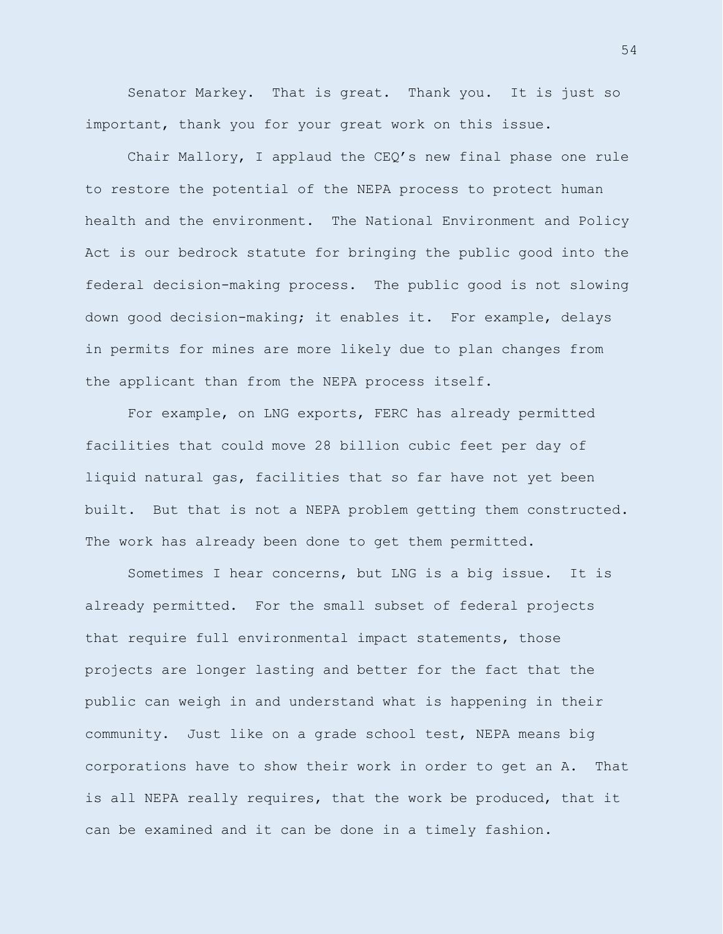Senator Markey. That is great. Thank you. It is just so important, thank you for your great work on this issue.

Chair Mallory, I applaud the CEQ's new final phase one rule to restore the potential of the NEPA process to protect human health and the environment. The National Environment and Policy Act is our bedrock statute for bringing the public good into the federal decision-making process. The public good is not slowing down good decision-making; it enables it. For example, delays in permits for mines are more likely due to plan changes from the applicant than from the NEPA process itself.

For example, on LNG exports, FERC has already permitted facilities that could move 28 billion cubic feet per day of liquid natural gas, facilities that so far have not yet been built. But that is not a NEPA problem getting them constructed. The work has already been done to get them permitted.

Sometimes I hear concerns, but LNG is a big issue. It is already permitted. For the small subset of federal projects that require full environmental impact statements, those projects are longer lasting and better for the fact that the public can weigh in and understand what is happening in their community. Just like on a grade school test, NEPA means big corporations have to show their work in order to get an A. That is all NEPA really requires, that the work be produced, that it can be examined and it can be done in a timely fashion.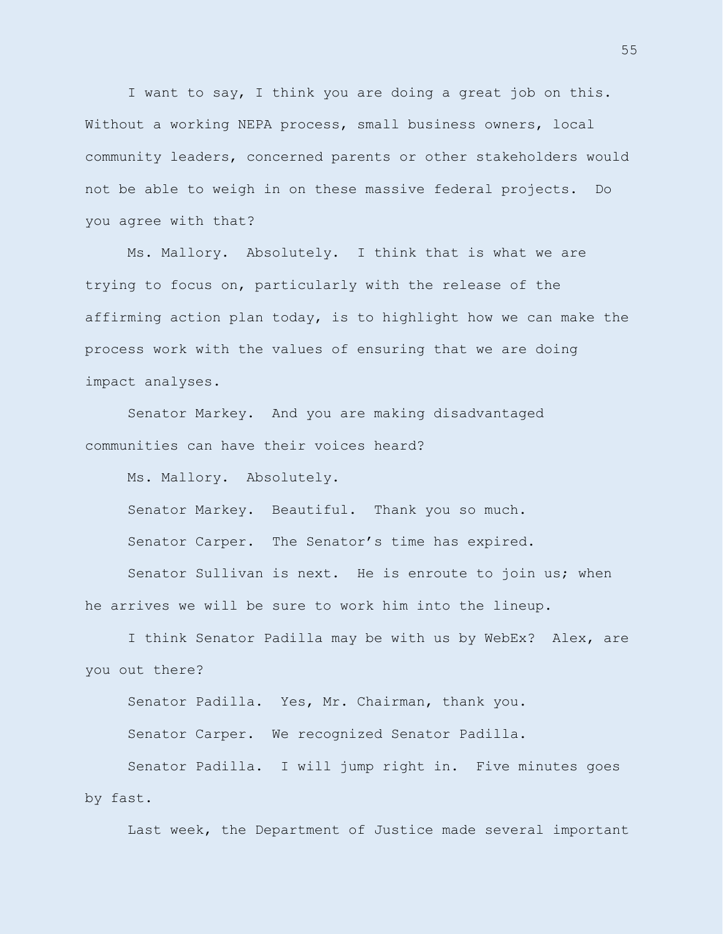I want to say, I think you are doing a great job on this. Without a working NEPA process, small business owners, local community leaders, concerned parents or other stakeholders would not be able to weigh in on these massive federal projects. Do you agree with that?

Ms. Mallory. Absolutely. I think that is what we are trying to focus on, particularly with the release of the affirming action plan today, is to highlight how we can make the process work with the values of ensuring that we are doing impact analyses.

Senator Markey. And you are making disadvantaged communities can have their voices heard?

Ms. Mallory. Absolutely.

Senator Markey. Beautiful. Thank you so much.

Senator Carper. The Senator's time has expired.

Senator Sullivan is next. He is enroute to join us; when he arrives we will be sure to work him into the lineup.

I think Senator Padilla may be with us by WebEx? Alex, are you out there?

Senator Padilla. Yes, Mr. Chairman, thank you.

Senator Carper. We recognized Senator Padilla.

Senator Padilla. I will jump right in. Five minutes goes by fast.

Last week, the Department of Justice made several important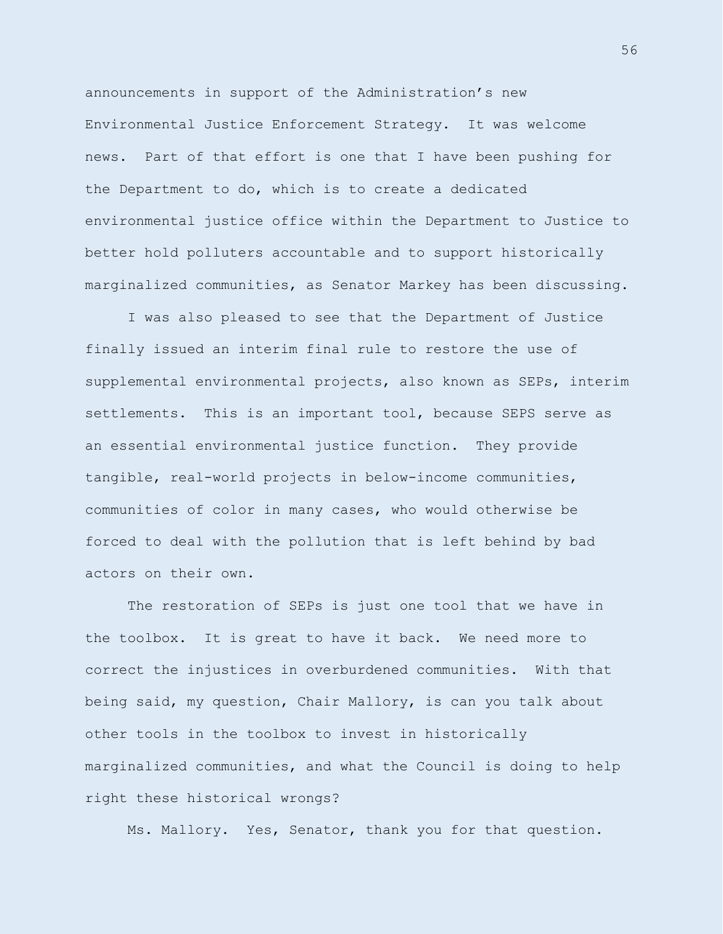announcements in support of the Administration's new Environmental Justice Enforcement Strategy. It was welcome news. Part of that effort is one that I have been pushing for the Department to do, which is to create a dedicated environmental justice office within the Department to Justice to better hold polluters accountable and to support historically marginalized communities, as Senator Markey has been discussing.

I was also pleased to see that the Department of Justice finally issued an interim final rule to restore the use of supplemental environmental projects, also known as SEPs, interim settlements. This is an important tool, because SEPS serve as an essential environmental justice function. They provide tangible, real-world projects in below-income communities, communities of color in many cases, who would otherwise be forced to deal with the pollution that is left behind by bad actors on their own.

The restoration of SEPs is just one tool that we have in the toolbox. It is great to have it back. We need more to correct the injustices in overburdened communities. With that being said, my question, Chair Mallory, is can you talk about other tools in the toolbox to invest in historically marginalized communities, and what the Council is doing to help right these historical wrongs?

Ms. Mallory. Yes, Senator, thank you for that question.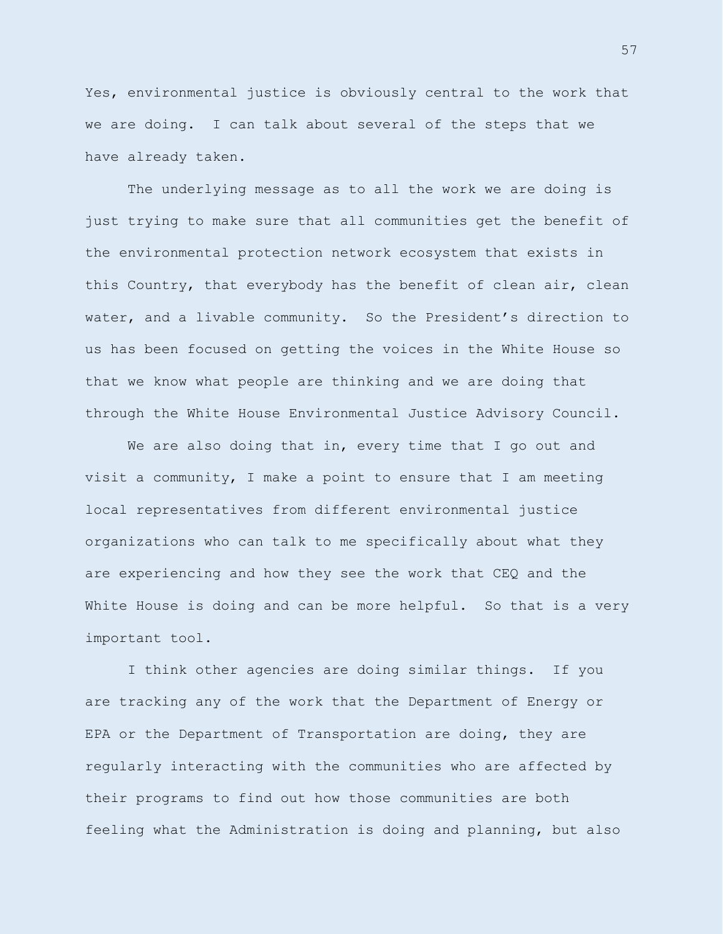Yes, environmental justice is obviously central to the work that we are doing. I can talk about several of the steps that we have already taken.

The underlying message as to all the work we are doing is just trying to make sure that all communities get the benefit of the environmental protection network ecosystem that exists in this Country, that everybody has the benefit of clean air, clean water, and a livable community. So the President's direction to us has been focused on getting the voices in the White House so that we know what people are thinking and we are doing that through the White House Environmental Justice Advisory Council.

We are also doing that in, every time that I go out and visit a community, I make a point to ensure that I am meeting local representatives from different environmental justice organizations who can talk to me specifically about what they are experiencing and how they see the work that CEQ and the White House is doing and can be more helpful. So that is a very important tool.

I think other agencies are doing similar things. If you are tracking any of the work that the Department of Energy or EPA or the Department of Transportation are doing, they are regularly interacting with the communities who are affected by their programs to find out how those communities are both feeling what the Administration is doing and planning, but also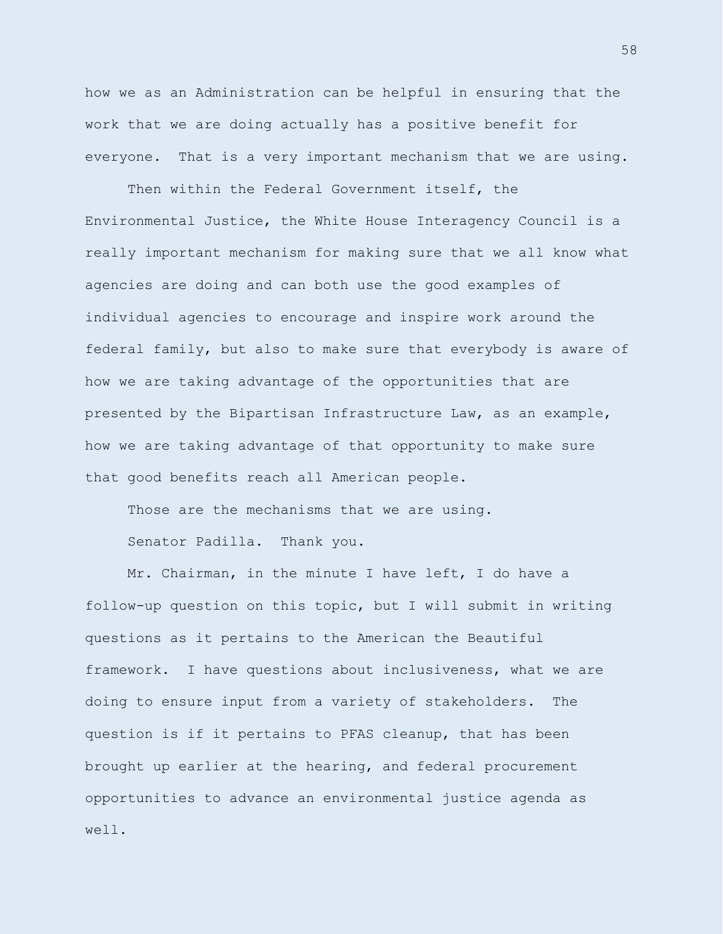how we as an Administration can be helpful in ensuring that the work that we are doing actually has a positive benefit for everyone. That is a very important mechanism that we are using.

Then within the Federal Government itself, the Environmental Justice, the White House Interagency Council is a really important mechanism for making sure that we all know what agencies are doing and can both use the good examples of individual agencies to encourage and inspire work around the federal family, but also to make sure that everybody is aware of how we are taking advantage of the opportunities that are presented by the Bipartisan Infrastructure Law, as an example, how we are taking advantage of that opportunity to make sure that good benefits reach all American people.

Those are the mechanisms that we are using.

Senator Padilla. Thank you.

Mr. Chairman, in the minute I have left, I do have a follow-up question on this topic, but I will submit in writing questions as it pertains to the American the Beautiful framework. I have questions about inclusiveness, what we are doing to ensure input from a variety of stakeholders. The question is if it pertains to PFAS cleanup, that has been brought up earlier at the hearing, and federal procurement opportunities to advance an environmental justice agenda as well.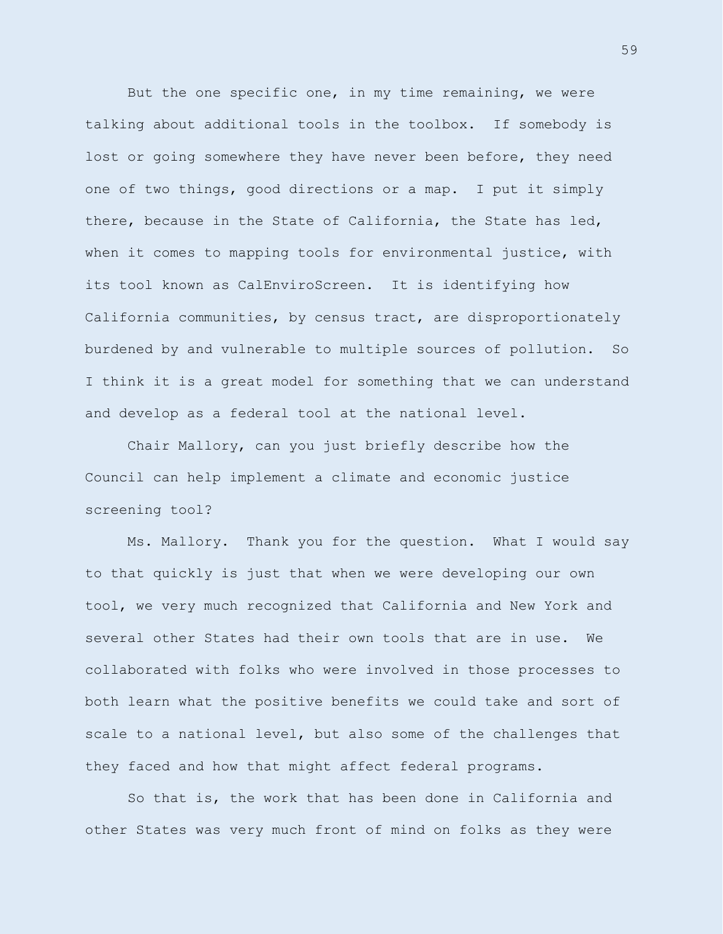But the one specific one, in my time remaining, we were talking about additional tools in the toolbox. If somebody is lost or going somewhere they have never been before, they need one of two things, good directions or a map. I put it simply there, because in the State of California, the State has led, when it comes to mapping tools for environmental justice, with its tool known as CalEnviroScreen. It is identifying how California communities, by census tract, are disproportionately burdened by and vulnerable to multiple sources of pollution. So I think it is a great model for something that we can understand and develop as a federal tool at the national level.

Chair Mallory, can you just briefly describe how the Council can help implement a climate and economic justice screening tool?

Ms. Mallory. Thank you for the question. What I would say to that quickly is just that when we were developing our own tool, we very much recognized that California and New York and several other States had their own tools that are in use. We collaborated with folks who were involved in those processes to both learn what the positive benefits we could take and sort of scale to a national level, but also some of the challenges that they faced and how that might affect federal programs.

So that is, the work that has been done in California and other States was very much front of mind on folks as they were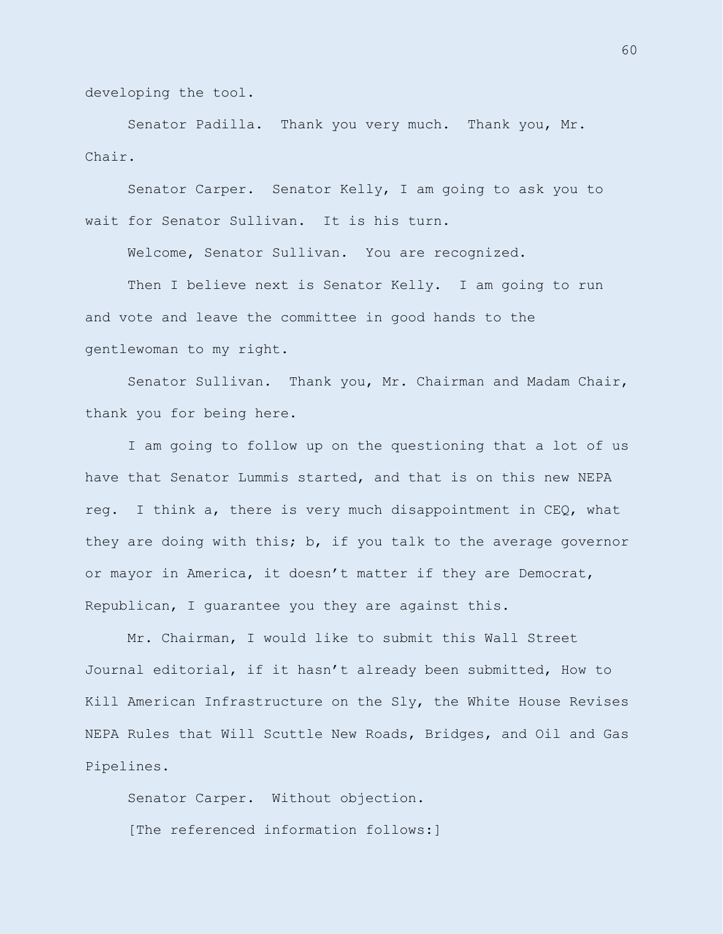developing the tool.

Senator Padilla. Thank you very much. Thank you, Mr. Chair.

Senator Carper. Senator Kelly, I am going to ask you to wait for Senator Sullivan. It is his turn.

Welcome, Senator Sullivan. You are recognized.

Then I believe next is Senator Kelly. I am going to run and vote and leave the committee in good hands to the gentlewoman to my right.

Senator Sullivan. Thank you, Mr. Chairman and Madam Chair, thank you for being here.

I am going to follow up on the questioning that a lot of us have that Senator Lummis started, and that is on this new NEPA reg. I think a, there is very much disappointment in CEQ, what they are doing with this; b, if you talk to the average governor or mayor in America, it doesn't matter if they are Democrat, Republican, I guarantee you they are against this.

Mr. Chairman, I would like to submit this Wall Street Journal editorial, if it hasn't already been submitted, How to Kill American Infrastructure on the Sly, the White House Revises NEPA Rules that Will Scuttle New Roads, Bridges, and Oil and Gas Pipelines.

Senator Carper. Without objection. [The referenced information follows:]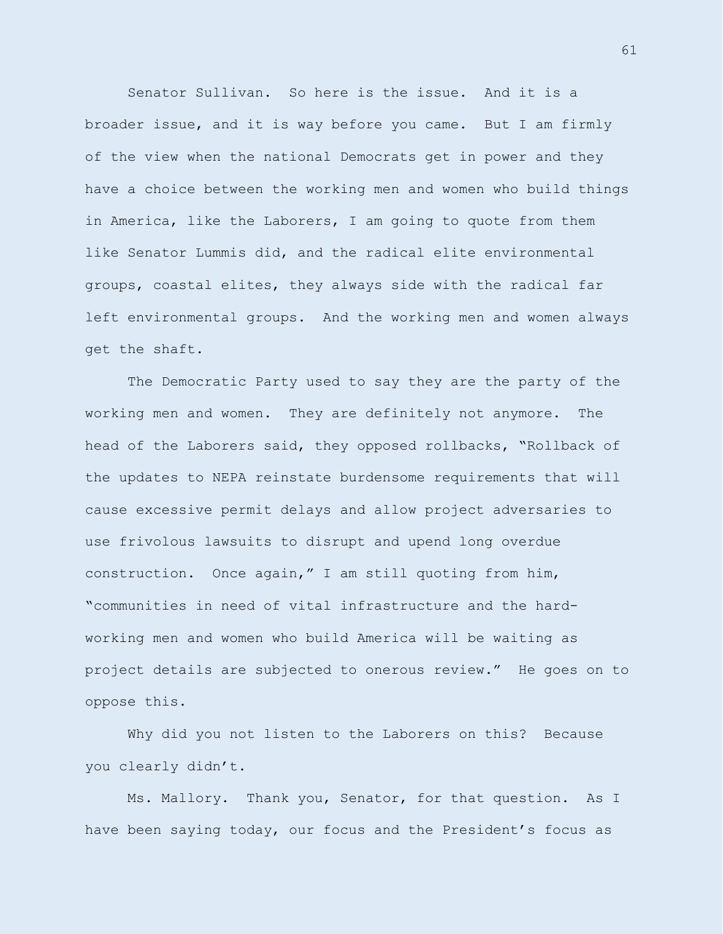Senator Sullivan. So here is the issue. And it is a broader issue, and it is way before you came. But I am firmly of the view when the national Democrats get in power and they have a choice between the working men and women who build things in America, like the Laborers, I am going to quote from them like Senator Lummis did, and the radical elite environmental groups, coastal elites, they always side with the radical far left environmental groups. And the working men and women always get the shaft.

The Democratic Party used to say they are the party of the working men and women. They are definitely not anymore. The head of the Laborers said, they opposed rollbacks, "Rollback of the updates to NEPA reinstate burdensome requirements that will cause excessive permit delays and allow project adversaries to use frivolous lawsuits to disrupt and upend long overdue construction. Once again," I am still quoting from him, "communities in need of vital infrastructure and the hardworking men and women who build America will be waiting as project details are subjected to onerous review." He goes on to oppose this.

Why did you not listen to the Laborers on this? Because you clearly didn't.

Ms. Mallory. Thank you, Senator, for that question. As I have been saying today, our focus and the President's focus as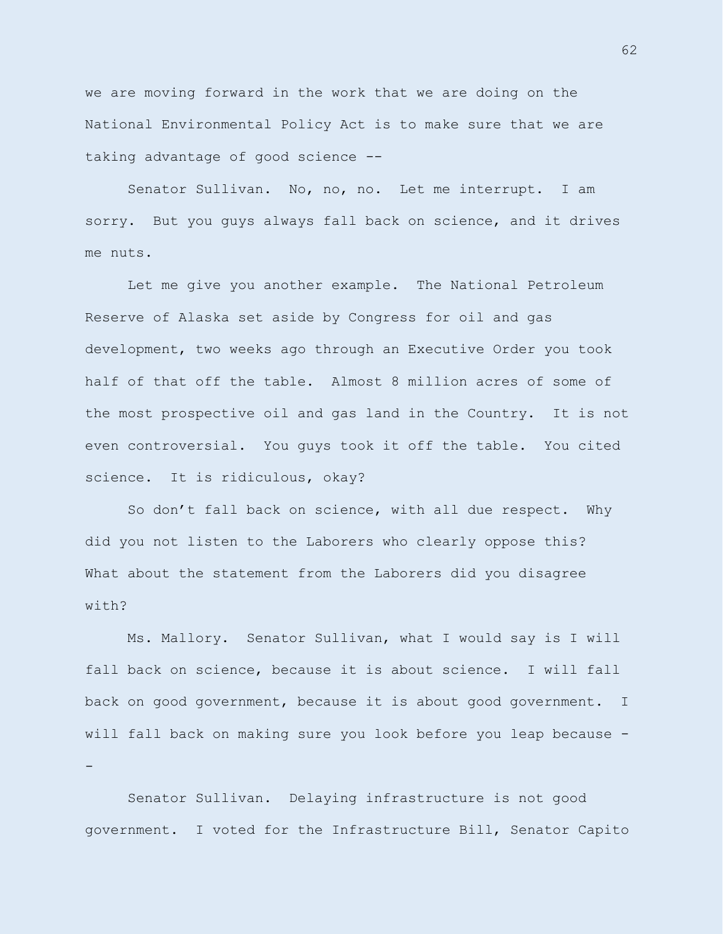we are moving forward in the work that we are doing on the National Environmental Policy Act is to make sure that we are taking advantage of good science --

Senator Sullivan. No, no, no. Let me interrupt. I am sorry. But you guys always fall back on science, and it drives me nuts.

Let me give you another example. The National Petroleum Reserve of Alaska set aside by Congress for oil and gas development, two weeks ago through an Executive Order you took half of that off the table. Almost 8 million acres of some of the most prospective oil and gas land in the Country. It is not even controversial. You guys took it off the table. You cited science. It is ridiculous, okay?

So don't fall back on science, with all due respect. Why did you not listen to the Laborers who clearly oppose this? What about the statement from the Laborers did you disagree with?

Ms. Mallory. Senator Sullivan, what I would say is I will fall back on science, because it is about science. I will fall back on good government, because it is about good government. I will fall back on making sure you look before you leap because - -

Senator Sullivan. Delaying infrastructure is not good government. I voted for the Infrastructure Bill, Senator Capito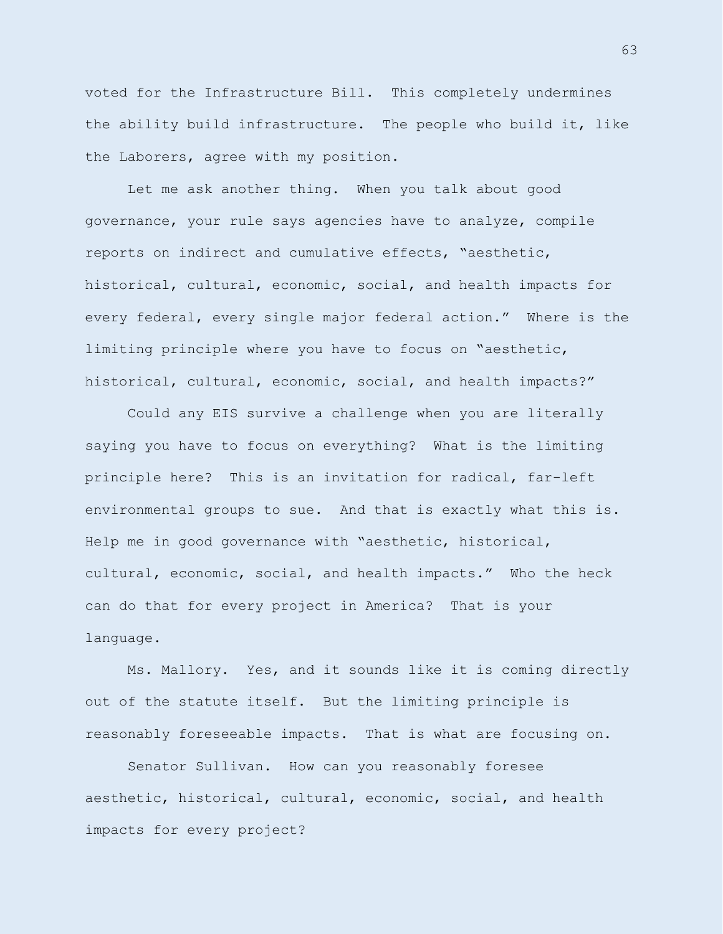voted for the Infrastructure Bill. This completely undermines the ability build infrastructure. The people who build it, like the Laborers, agree with my position.

Let me ask another thing. When you talk about good governance, your rule says agencies have to analyze, compile reports on indirect and cumulative effects, "aesthetic, historical, cultural, economic, social, and health impacts for every federal, every single major federal action." Where is the limiting principle where you have to focus on "aesthetic, historical, cultural, economic, social, and health impacts?"

Could any EIS survive a challenge when you are literally saying you have to focus on everything? What is the limiting principle here? This is an invitation for radical, far-left environmental groups to sue. And that is exactly what this is. Help me in good governance with "aesthetic, historical, cultural, economic, social, and health impacts." Who the heck can do that for every project in America? That is your language.

Ms. Mallory. Yes, and it sounds like it is coming directly out of the statute itself. But the limiting principle is reasonably foreseeable impacts. That is what are focusing on.

Senator Sullivan. How can you reasonably foresee aesthetic, historical, cultural, economic, social, and health impacts for every project?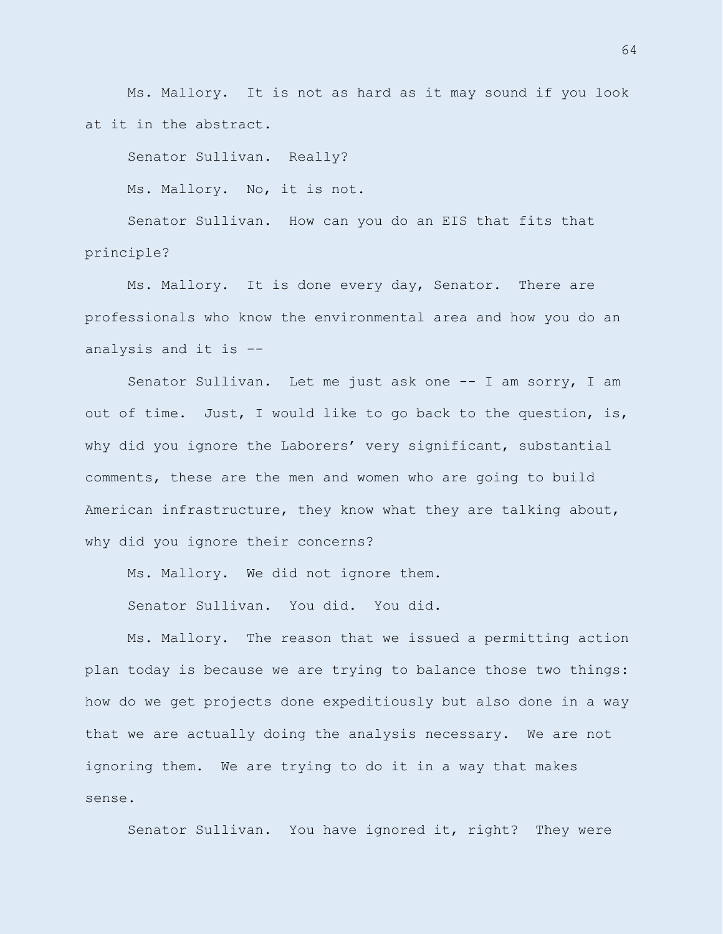Ms. Mallory. It is not as hard as it may sound if you look at it in the abstract.

Senator Sullivan. Really?

Ms. Mallory. No, it is not.

Senator Sullivan. How can you do an EIS that fits that principle?

Ms. Mallory. It is done every day, Senator. There are professionals who know the environmental area and how you do an analysis and it is --

Senator Sullivan. Let me just ask one -- I am sorry, I am out of time. Just, I would like to go back to the question, is, why did you ignore the Laborers' very significant, substantial comments, these are the men and women who are going to build American infrastructure, they know what they are talking about, why did you ignore their concerns?

Ms. Mallory. We did not ignore them.

Senator Sullivan. You did. You did.

Ms. Mallory. The reason that we issued a permitting action plan today is because we are trying to balance those two things: how do we get projects done expeditiously but also done in a way that we are actually doing the analysis necessary. We are not ignoring them. We are trying to do it in a way that makes sense.

Senator Sullivan. You have ignored it, right? They were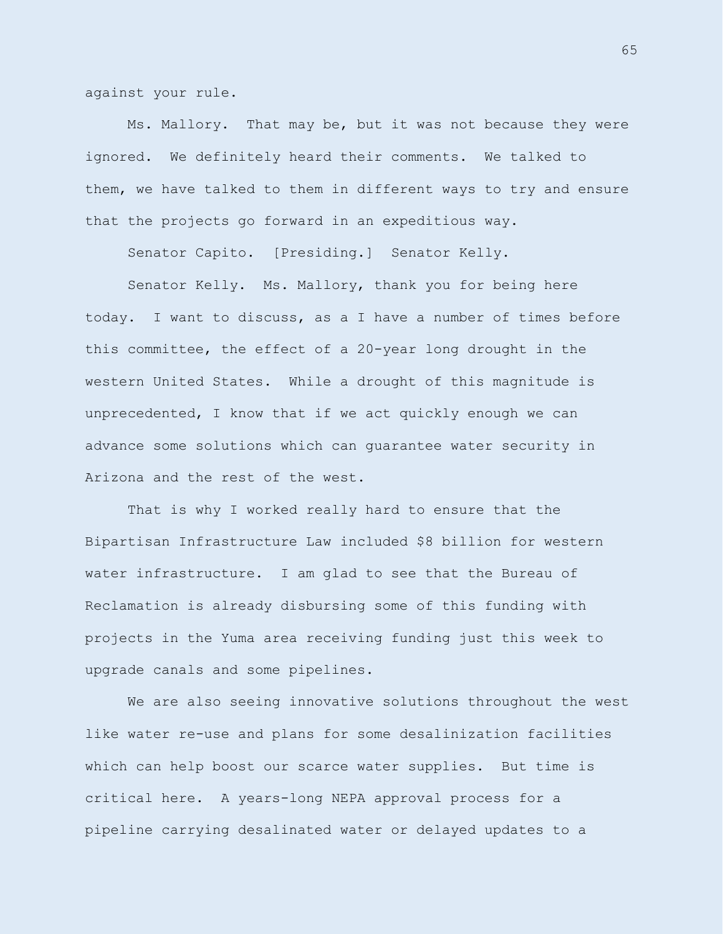against your rule.

Ms. Mallory. That may be, but it was not because they were ignored. We definitely heard their comments. We talked to them, we have talked to them in different ways to try and ensure that the projects go forward in an expeditious way.

Senator Capito. [Presiding.] Senator Kelly.

Senator Kelly. Ms. Mallory, thank you for being here today. I want to discuss, as a I have a number of times before this committee, the effect of a 20-year long drought in the western United States. While a drought of this magnitude is unprecedented, I know that if we act quickly enough we can advance some solutions which can guarantee water security in Arizona and the rest of the west.

That is why I worked really hard to ensure that the Bipartisan Infrastructure Law included \$8 billion for western water infrastructure. I am glad to see that the Bureau of Reclamation is already disbursing some of this funding with projects in the Yuma area receiving funding just this week to upgrade canals and some pipelines.

We are also seeing innovative solutions throughout the west like water re-use and plans for some desalinization facilities which can help boost our scarce water supplies. But time is critical here. A years-long NEPA approval process for a pipeline carrying desalinated water or delayed updates to a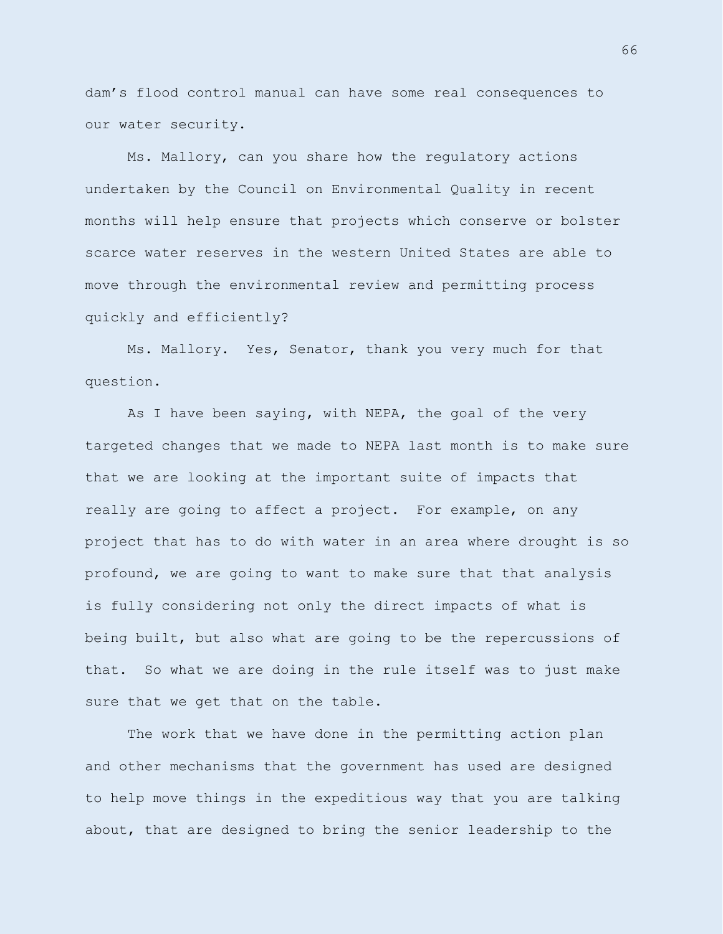dam's flood control manual can have some real consequences to our water security.

Ms. Mallory, can you share how the regulatory actions undertaken by the Council on Environmental Quality in recent months will help ensure that projects which conserve or bolster scarce water reserves in the western United States are able to move through the environmental review and permitting process quickly and efficiently?

Ms. Mallory. Yes, Senator, thank you very much for that question.

As I have been saying, with NEPA, the goal of the very targeted changes that we made to NEPA last month is to make sure that we are looking at the important suite of impacts that really are going to affect a project. For example, on any project that has to do with water in an area where drought is so profound, we are going to want to make sure that that analysis is fully considering not only the direct impacts of what is being built, but also what are going to be the repercussions of that. So what we are doing in the rule itself was to just make sure that we get that on the table.

The work that we have done in the permitting action plan and other mechanisms that the government has used are designed to help move things in the expeditious way that you are talking about, that are designed to bring the senior leadership to the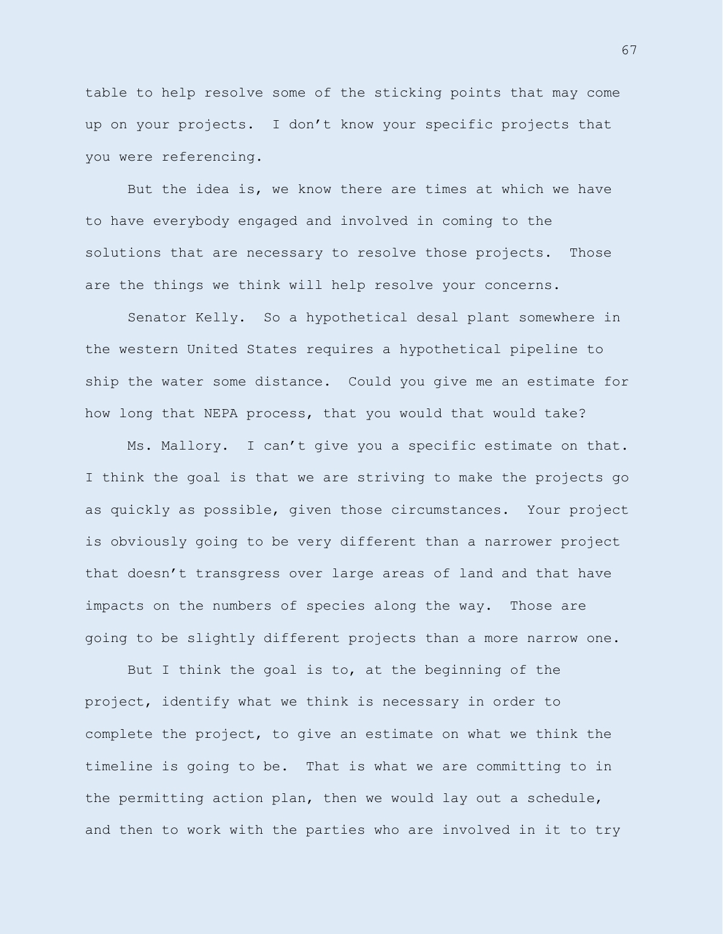table to help resolve some of the sticking points that may come up on your projects. I don't know your specific projects that you were referencing.

But the idea is, we know there are times at which we have to have everybody engaged and involved in coming to the solutions that are necessary to resolve those projects. Those are the things we think will help resolve your concerns.

Senator Kelly. So a hypothetical desal plant somewhere in the western United States requires a hypothetical pipeline to ship the water some distance. Could you give me an estimate for how long that NEPA process, that you would that would take?

Ms. Mallory. I can't give you a specific estimate on that. I think the goal is that we are striving to make the projects go as quickly as possible, given those circumstances. Your project is obviously going to be very different than a narrower project that doesn't transgress over large areas of land and that have impacts on the numbers of species along the way. Those are going to be slightly different projects than a more narrow one.

But I think the goal is to, at the beginning of the project, identify what we think is necessary in order to complete the project, to give an estimate on what we think the timeline is going to be. That is what we are committing to in the permitting action plan, then we would lay out a schedule, and then to work with the parties who are involved in it to try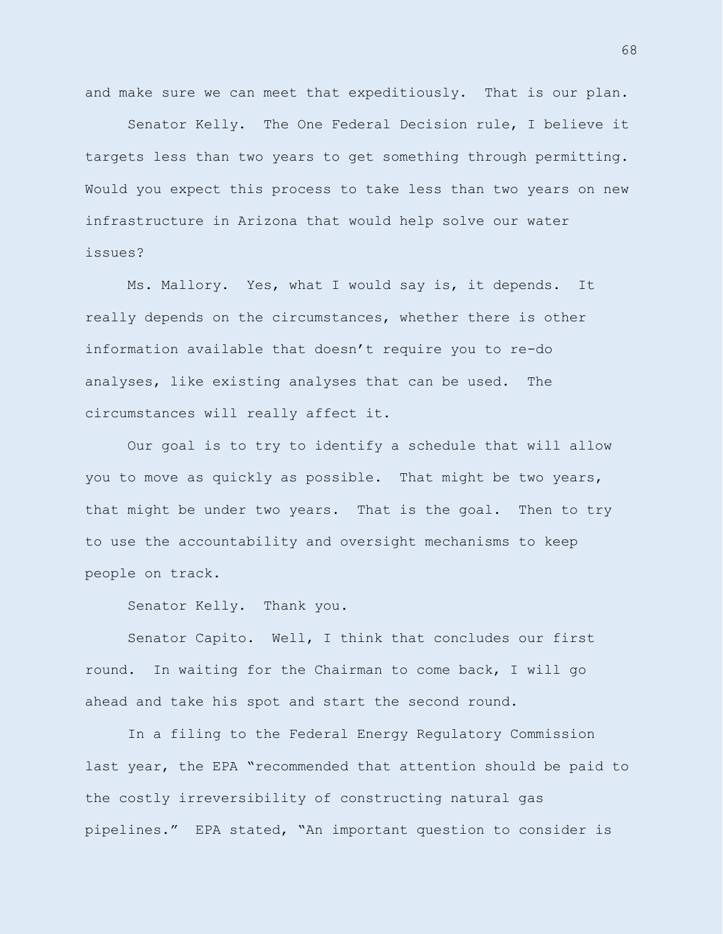and make sure we can meet that expeditiously. That is our plan.

Senator Kelly. The One Federal Decision rule, I believe it targets less than two years to get something through permitting. Would you expect this process to take less than two years on new infrastructure in Arizona that would help solve our water issues?

Ms. Mallory. Yes, what I would say is, it depends. It really depends on the circumstances, whether there is other information available that doesn't require you to re-do analyses, like existing analyses that can be used. The circumstances will really affect it.

Our goal is to try to identify a schedule that will allow you to move as quickly as possible. That might be two years, that might be under two years. That is the goal. Then to try to use the accountability and oversight mechanisms to keep people on track.

Senator Kelly. Thank you.

Senator Capito. Well, I think that concludes our first round. In waiting for the Chairman to come back, I will go ahead and take his spot and start the second round.

In a filing to the Federal Energy Regulatory Commission last year, the EPA "recommended that attention should be paid to the costly irreversibility of constructing natural gas pipelines." EPA stated, "An important question to consider is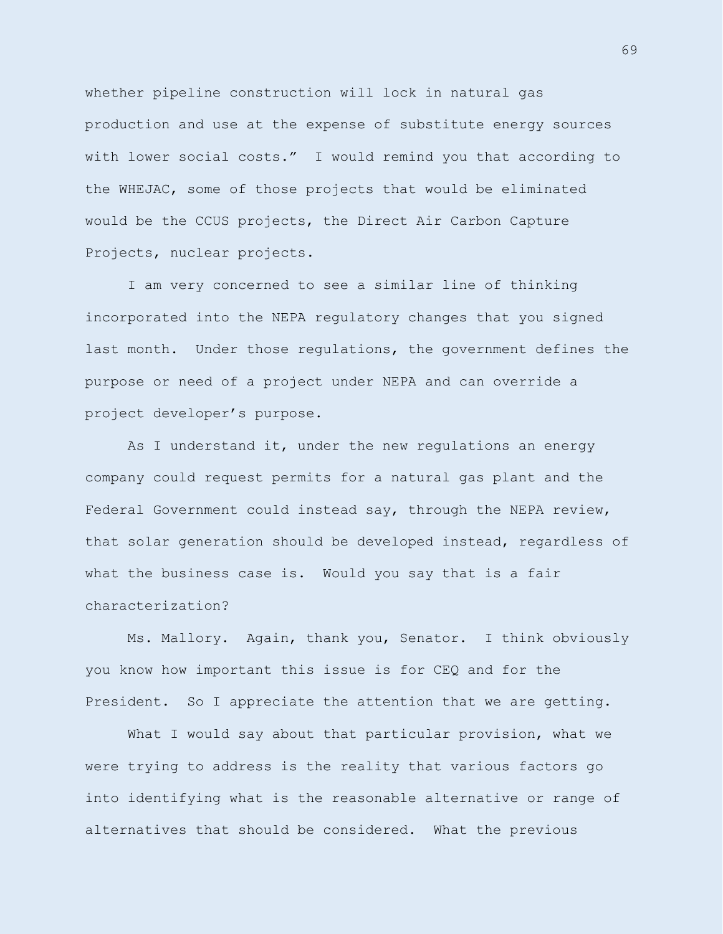whether pipeline construction will lock in natural gas production and use at the expense of substitute energy sources with lower social costs." I would remind you that according to the WHEJAC, some of those projects that would be eliminated would be the CCUS projects, the Direct Air Carbon Capture Projects, nuclear projects.

I am very concerned to see a similar line of thinking incorporated into the NEPA regulatory changes that you signed last month. Under those regulations, the government defines the purpose or need of a project under NEPA and can override a project developer's purpose.

As I understand it, under the new regulations an energy company could request permits for a natural gas plant and the Federal Government could instead say, through the NEPA review, that solar generation should be developed instead, regardless of what the business case is. Would you say that is a fair characterization?

Ms. Mallory. Again, thank you, Senator. I think obviously you know how important this issue is for CEQ and for the President. So I appreciate the attention that we are getting.

What I would say about that particular provision, what we were trying to address is the reality that various factors go into identifying what is the reasonable alternative or range of alternatives that should be considered. What the previous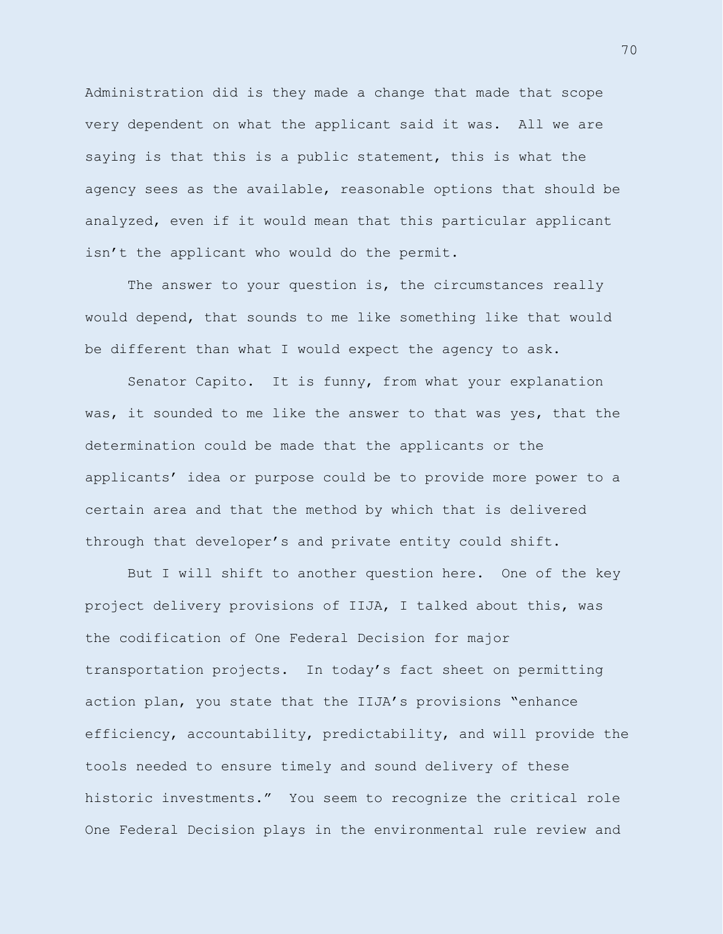Administration did is they made a change that made that scope very dependent on what the applicant said it was. All we are saying is that this is a public statement, this is what the agency sees as the available, reasonable options that should be analyzed, even if it would mean that this particular applicant isn't the applicant who would do the permit.

The answer to your question is, the circumstances really would depend, that sounds to me like something like that would be different than what I would expect the agency to ask.

Senator Capito. It is funny, from what your explanation was, it sounded to me like the answer to that was yes, that the determination could be made that the applicants or the applicants' idea or purpose could be to provide more power to a certain area and that the method by which that is delivered through that developer's and private entity could shift.

But I will shift to another question here. One of the key project delivery provisions of IIJA, I talked about this, was the codification of One Federal Decision for major transportation projects. In today's fact sheet on permitting action plan, you state that the IIJA's provisions "enhance efficiency, accountability, predictability, and will provide the tools needed to ensure timely and sound delivery of these historic investments." You seem to recognize the critical role One Federal Decision plays in the environmental rule review and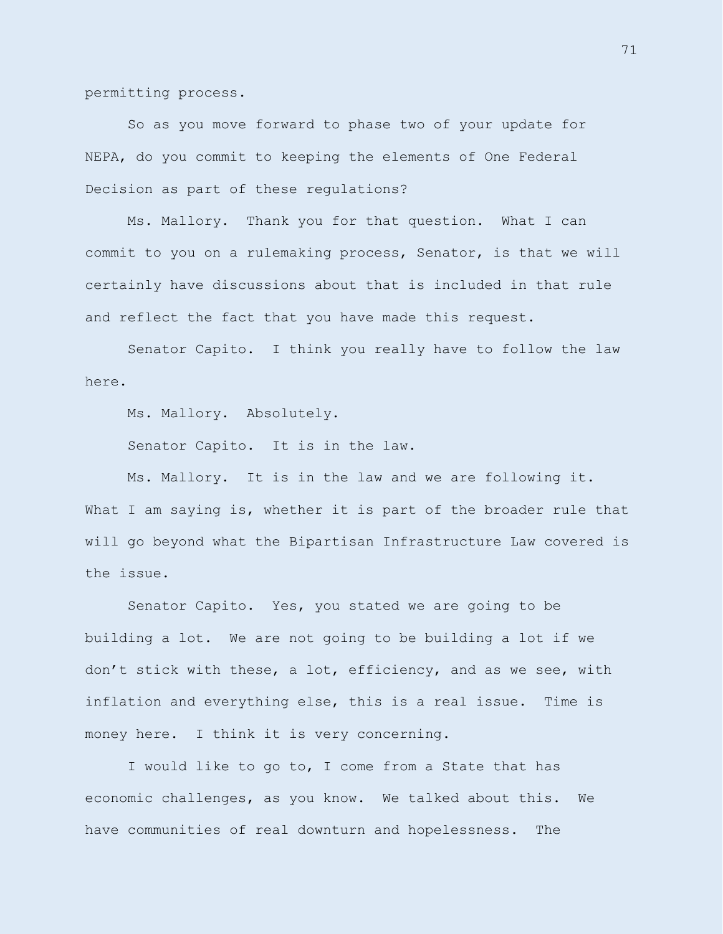permitting process.

So as you move forward to phase two of your update for NEPA, do you commit to keeping the elements of One Federal Decision as part of these regulations?

Ms. Mallory. Thank you for that question. What I can commit to you on a rulemaking process, Senator, is that we will certainly have discussions about that is included in that rule and reflect the fact that you have made this request.

Senator Capito. I think you really have to follow the law here.

Ms. Mallory. Absolutely.

Senator Capito. It is in the law.

Ms. Mallory. It is in the law and we are following it. What I am saying is, whether it is part of the broader rule that will go beyond what the Bipartisan Infrastructure Law covered is the issue.

Senator Capito. Yes, you stated we are going to be building a lot. We are not going to be building a lot if we don't stick with these, a lot, efficiency, and as we see, with inflation and everything else, this is a real issue. Time is money here. I think it is very concerning.

I would like to go to, I come from a State that has economic challenges, as you know. We talked about this. We have communities of real downturn and hopelessness. The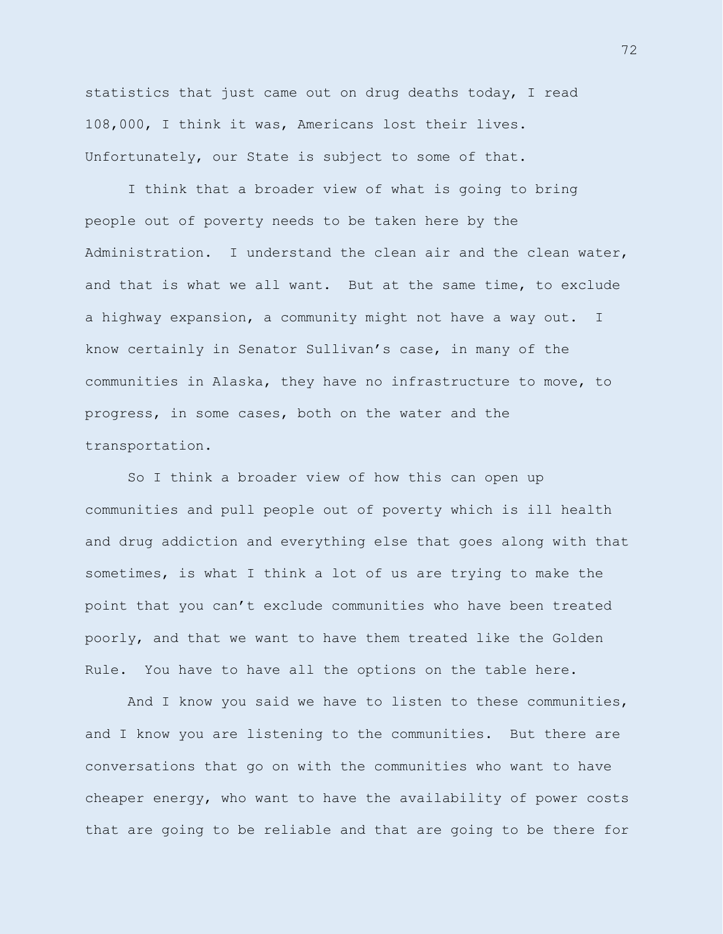statistics that just came out on drug deaths today, I read 108,000, I think it was, Americans lost their lives. Unfortunately, our State is subject to some of that.

I think that a broader view of what is going to bring people out of poverty needs to be taken here by the Administration. I understand the clean air and the clean water, and that is what we all want. But at the same time, to exclude a highway expansion, a community might not have a way out. I know certainly in Senator Sullivan's case, in many of the communities in Alaska, they have no infrastructure to move, to progress, in some cases, both on the water and the transportation.

So I think a broader view of how this can open up communities and pull people out of poverty which is ill health and drug addiction and everything else that goes along with that sometimes, is what I think a lot of us are trying to make the point that you can't exclude communities who have been treated poorly, and that we want to have them treated like the Golden Rule. You have to have all the options on the table here.

And I know you said we have to listen to these communities, and I know you are listening to the communities. But there are conversations that go on with the communities who want to have cheaper energy, who want to have the availability of power costs that are going to be reliable and that are going to be there for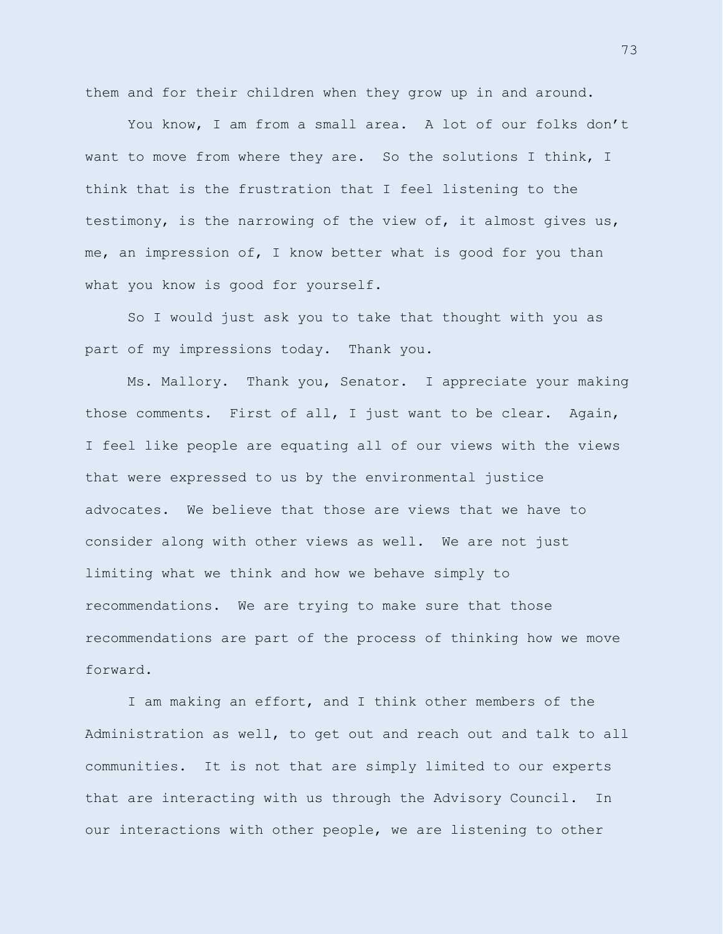them and for their children when they grow up in and around.

You know, I am from a small area. A lot of our folks don't want to move from where they are. So the solutions I think, I think that is the frustration that I feel listening to the testimony, is the narrowing of the view of, it almost gives us, me, an impression of, I know better what is good for you than what you know is good for yourself.

So I would just ask you to take that thought with you as part of my impressions today. Thank you.

Ms. Mallory. Thank you, Senator. I appreciate your making those comments. First of all, I just want to be clear. Again, I feel like people are equating all of our views with the views that were expressed to us by the environmental justice advocates. We believe that those are views that we have to consider along with other views as well. We are not just limiting what we think and how we behave simply to recommendations. We are trying to make sure that those recommendations are part of the process of thinking how we move forward.

I am making an effort, and I think other members of the Administration as well, to get out and reach out and talk to all communities. It is not that are simply limited to our experts that are interacting with us through the Advisory Council. In our interactions with other people, we are listening to other

73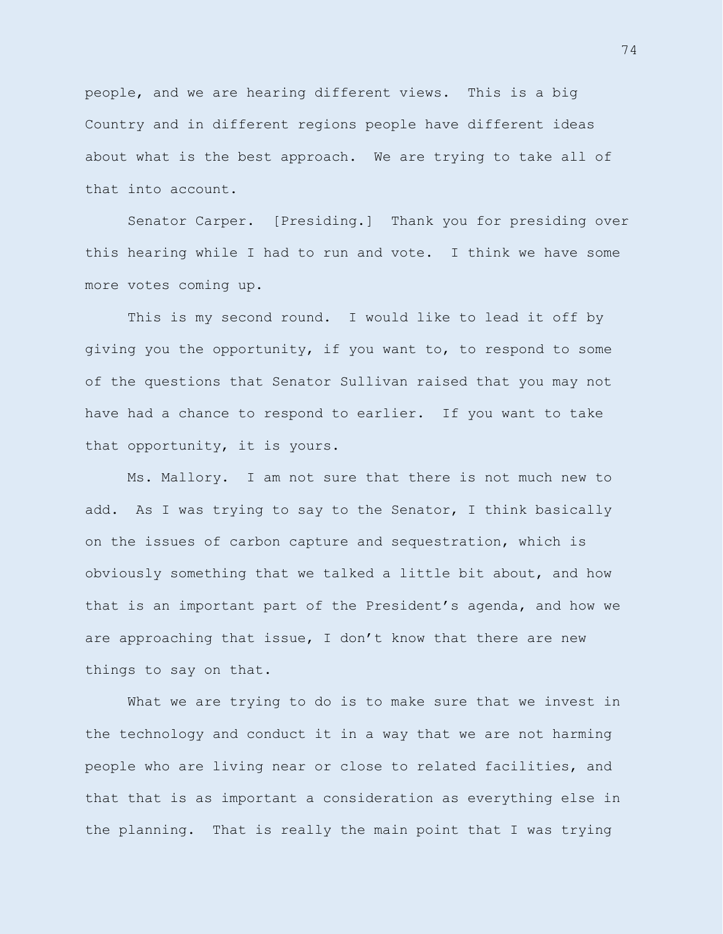people, and we are hearing different views. This is a big Country and in different regions people have different ideas about what is the best approach. We are trying to take all of that into account.

Senator Carper. [Presiding.] Thank you for presiding over this hearing while I had to run and vote. I think we have some more votes coming up.

This is my second round. I would like to lead it off by giving you the opportunity, if you want to, to respond to some of the questions that Senator Sullivan raised that you may not have had a chance to respond to earlier. If you want to take that opportunity, it is yours.

Ms. Mallory. I am not sure that there is not much new to add. As I was trying to say to the Senator, I think basically on the issues of carbon capture and sequestration, which is obviously something that we talked a little bit about, and how that is an important part of the President's agenda, and how we are approaching that issue, I don't know that there are new things to say on that.

What we are trying to do is to make sure that we invest in the technology and conduct it in a way that we are not harming people who are living near or close to related facilities, and that that is as important a consideration as everything else in the planning. That is really the main point that I was trying

74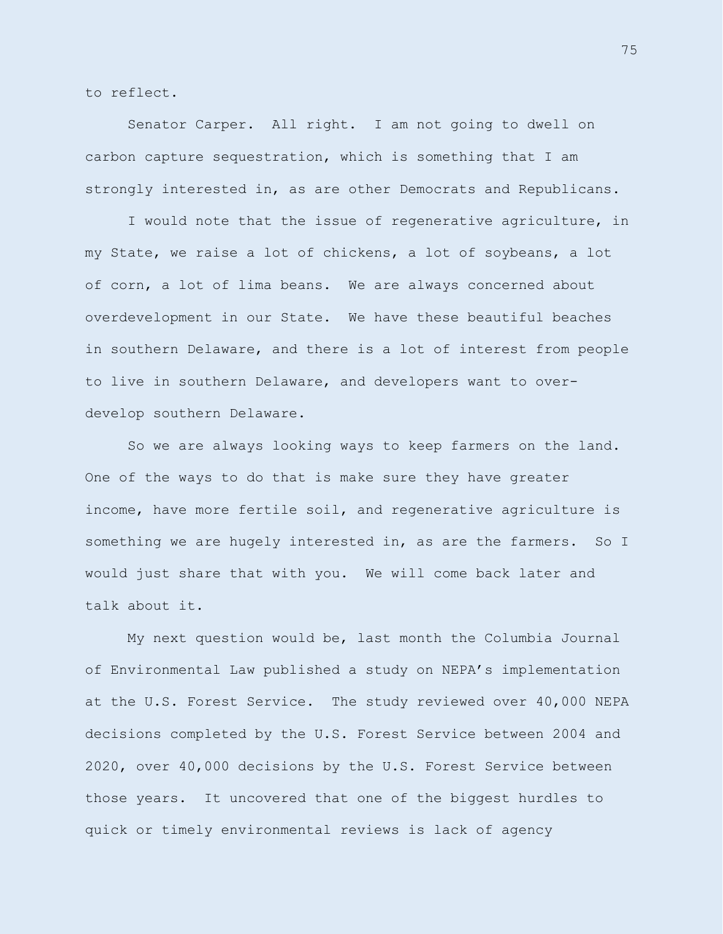to reflect.

Senator Carper. All right. I am not going to dwell on carbon capture sequestration, which is something that I am strongly interested in, as are other Democrats and Republicans.

I would note that the issue of regenerative agriculture, in my State, we raise a lot of chickens, a lot of soybeans, a lot of corn, a lot of lima beans. We are always concerned about overdevelopment in our State. We have these beautiful beaches in southern Delaware, and there is a lot of interest from people to live in southern Delaware, and developers want to overdevelop southern Delaware.

So we are always looking ways to keep farmers on the land. One of the ways to do that is make sure they have greater income, have more fertile soil, and regenerative agriculture is something we are hugely interested in, as are the farmers. So I would just share that with you. We will come back later and talk about it.

My next question would be, last month the Columbia Journal of Environmental Law published a study on NEPA's implementation at the U.S. Forest Service. The study reviewed over 40,000 NEPA decisions completed by the U.S. Forest Service between 2004 and 2020, over 40,000 decisions by the U.S. Forest Service between those years. It uncovered that one of the biggest hurdles to quick or timely environmental reviews is lack of agency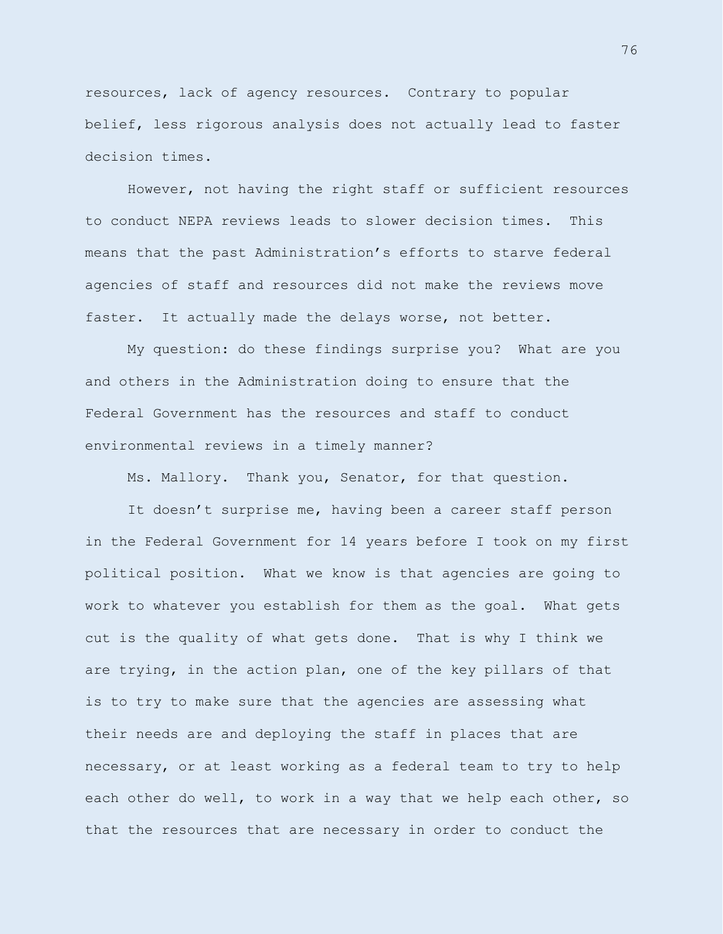resources, lack of agency resources. Contrary to popular belief, less rigorous analysis does not actually lead to faster decision times.

However, not having the right staff or sufficient resources to conduct NEPA reviews leads to slower decision times. This means that the past Administration's efforts to starve federal agencies of staff and resources did not make the reviews move faster. It actually made the delays worse, not better.

My question: do these findings surprise you? What are you and others in the Administration doing to ensure that the Federal Government has the resources and staff to conduct environmental reviews in a timely manner?

Ms. Mallory. Thank you, Senator, for that question.

It doesn't surprise me, having been a career staff person in the Federal Government for 14 years before I took on my first political position. What we know is that agencies are going to work to whatever you establish for them as the goal. What gets cut is the quality of what gets done. That is why I think we are trying, in the action plan, one of the key pillars of that is to try to make sure that the agencies are assessing what their needs are and deploying the staff in places that are necessary, or at least working as a federal team to try to help each other do well, to work in a way that we help each other, so that the resources that are necessary in order to conduct the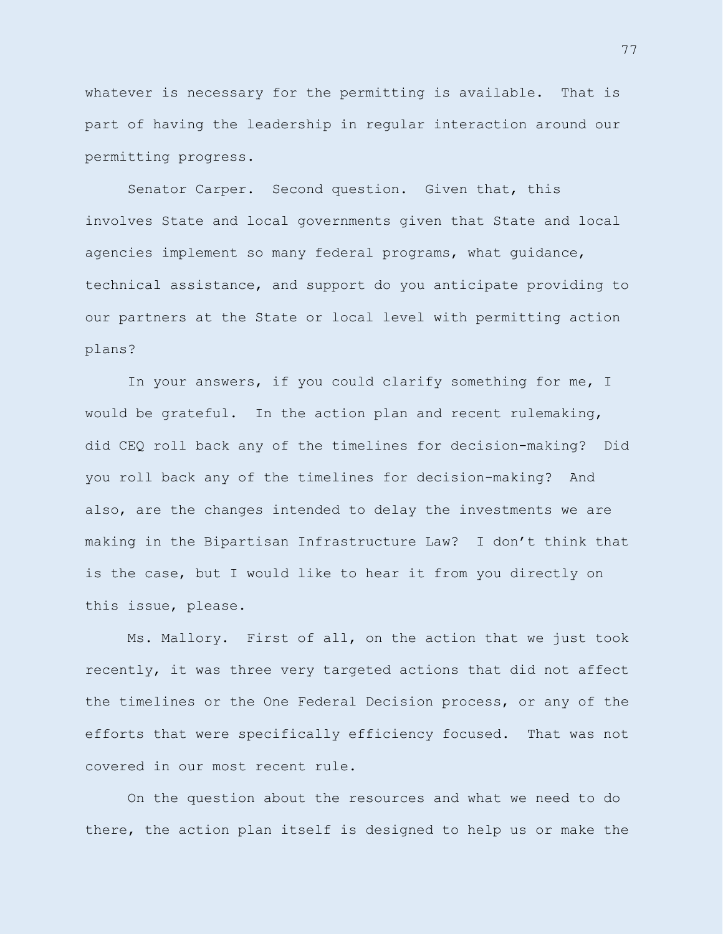whatever is necessary for the permitting is available. That is part of having the leadership in regular interaction around our permitting progress.

Senator Carper. Second question. Given that, this involves State and local governments given that State and local agencies implement so many federal programs, what guidance, technical assistance, and support do you anticipate providing to our partners at the State or local level with permitting action plans?

In your answers, if you could clarify something for me, I would be grateful. In the action plan and recent rulemaking, did CEQ roll back any of the timelines for decision-making? Did you roll back any of the timelines for decision-making? And also, are the changes intended to delay the investments we are making in the Bipartisan Infrastructure Law? I don't think that is the case, but I would like to hear it from you directly on this issue, please.

Ms. Mallory. First of all, on the action that we just took recently, it was three very targeted actions that did not affect the timelines or the One Federal Decision process, or any of the efforts that were specifically efficiency focused. That was not covered in our most recent rule.

On the question about the resources and what we need to do there, the action plan itself is designed to help us or make the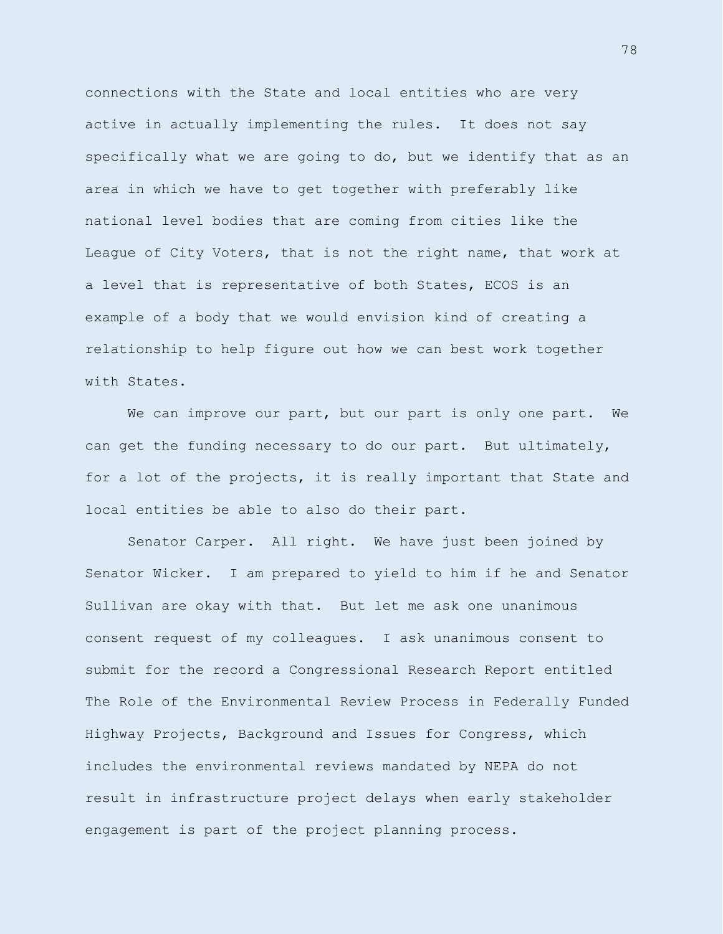connections with the State and local entities who are very active in actually implementing the rules. It does not say specifically what we are going to do, but we identify that as an area in which we have to get together with preferably like national level bodies that are coming from cities like the League of City Voters, that is not the right name, that work at a level that is representative of both States, ECOS is an example of a body that we would envision kind of creating a relationship to help figure out how we can best work together with States.

We can improve our part, but our part is only one part. We can get the funding necessary to do our part. But ultimately, for a lot of the projects, it is really important that State and local entities be able to also do their part.

Senator Carper. All right. We have just been joined by Senator Wicker. I am prepared to yield to him if he and Senator Sullivan are okay with that. But let me ask one unanimous consent request of my colleagues. I ask unanimous consent to submit for the record a Congressional Research Report entitled The Role of the Environmental Review Process in Federally Funded Highway Projects, Background and Issues for Congress, which includes the environmental reviews mandated by NEPA do not result in infrastructure project delays when early stakeholder engagement is part of the project planning process.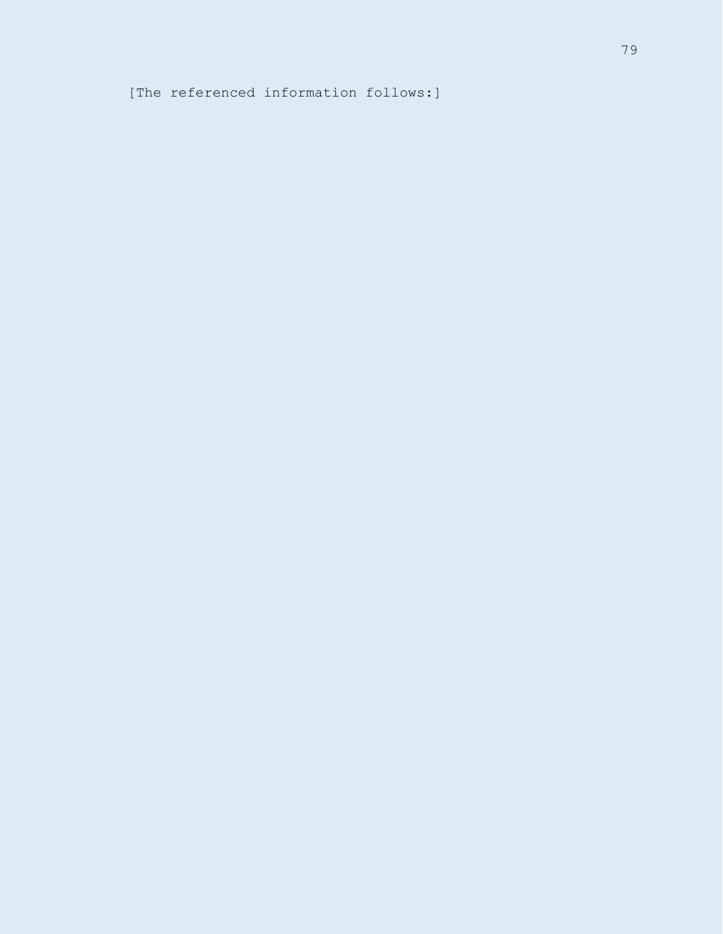[The referenced information follows:]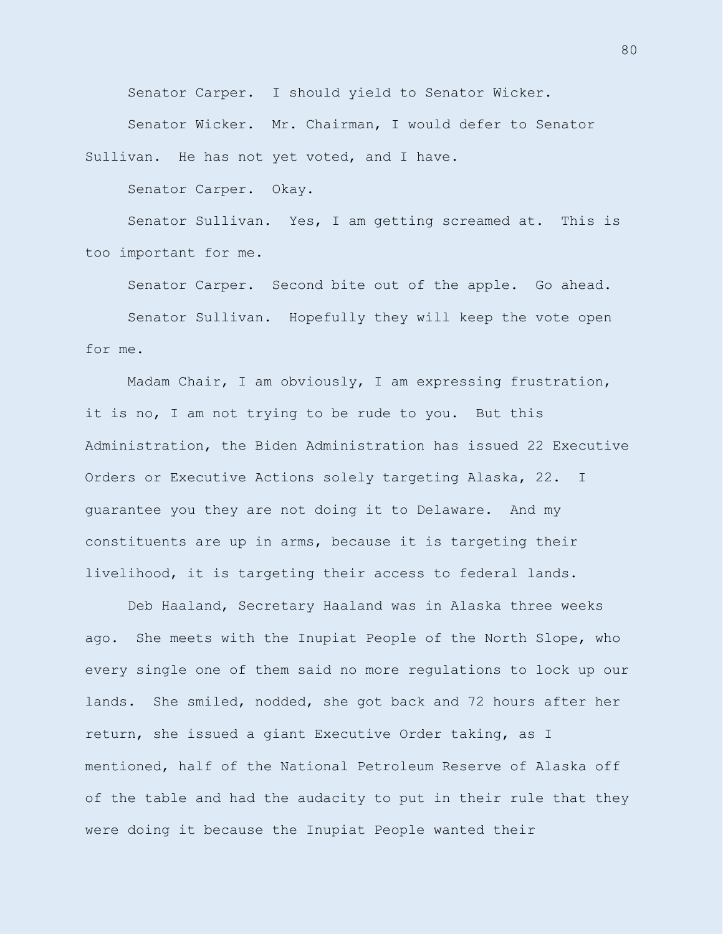Senator Carper. I should yield to Senator Wicker.

Senator Wicker. Mr. Chairman, I would defer to Senator Sullivan. He has not yet voted, and I have.

Senator Carper. Okay.

Senator Sullivan. Yes, I am getting screamed at. This is too important for me.

Senator Carper. Second bite out of the apple. Go ahead. Senator Sullivan. Hopefully they will keep the vote open for me.

Madam Chair, I am obviously, I am expressing frustration, it is no, I am not trying to be rude to you. But this Administration, the Biden Administration has issued 22 Executive Orders or Executive Actions solely targeting Alaska, 22. I guarantee you they are not doing it to Delaware. And my constituents are up in arms, because it is targeting their livelihood, it is targeting their access to federal lands.

Deb Haaland, Secretary Haaland was in Alaska three weeks ago. She meets with the Inupiat People of the North Slope, who every single one of them said no more regulations to lock up our lands. She smiled, nodded, she got back and 72 hours after her return, she issued a giant Executive Order taking, as I mentioned, half of the National Petroleum Reserve of Alaska off of the table and had the audacity to put in their rule that they were doing it because the Inupiat People wanted their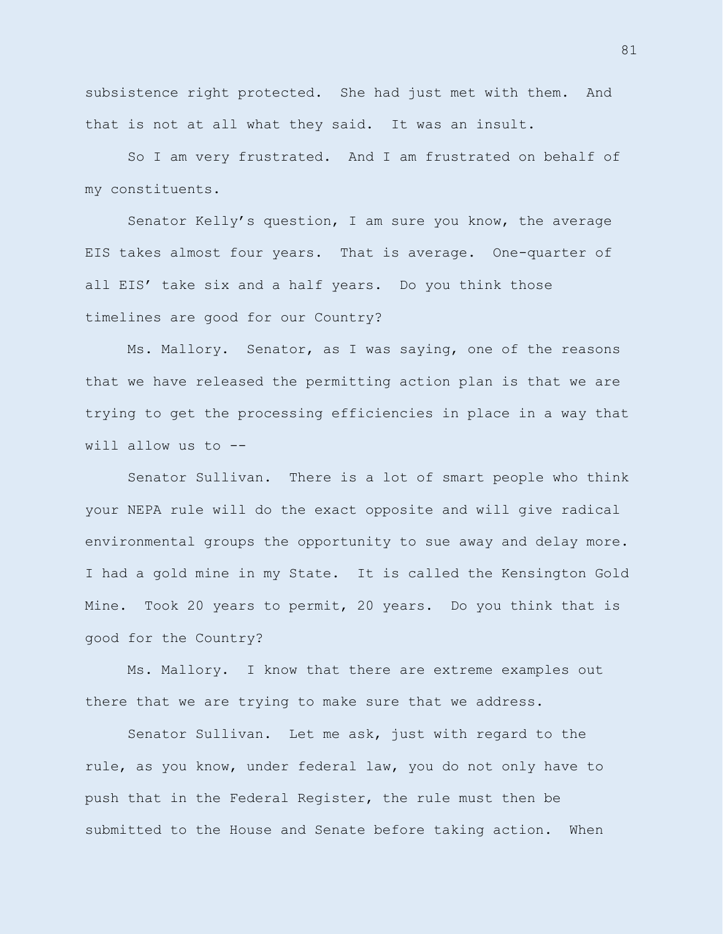subsistence right protected. She had just met with them. And that is not at all what they said. It was an insult.

So I am very frustrated. And I am frustrated on behalf of my constituents.

Senator Kelly's question, I am sure you know, the average EIS takes almost four years. That is average. One-quarter of all EIS' take six and a half years. Do you think those timelines are good for our Country?

Ms. Mallory. Senator, as I was saying, one of the reasons that we have released the permitting action plan is that we are trying to get the processing efficiencies in place in a way that will allow us to --

Senator Sullivan. There is a lot of smart people who think your NEPA rule will do the exact opposite and will give radical environmental groups the opportunity to sue away and delay more. I had a gold mine in my State. It is called the Kensington Gold Mine. Took 20 years to permit, 20 years. Do you think that is good for the Country?

Ms. Mallory. I know that there are extreme examples out there that we are trying to make sure that we address.

Senator Sullivan. Let me ask, just with regard to the rule, as you know, under federal law, you do not only have to push that in the Federal Register, the rule must then be submitted to the House and Senate before taking action. When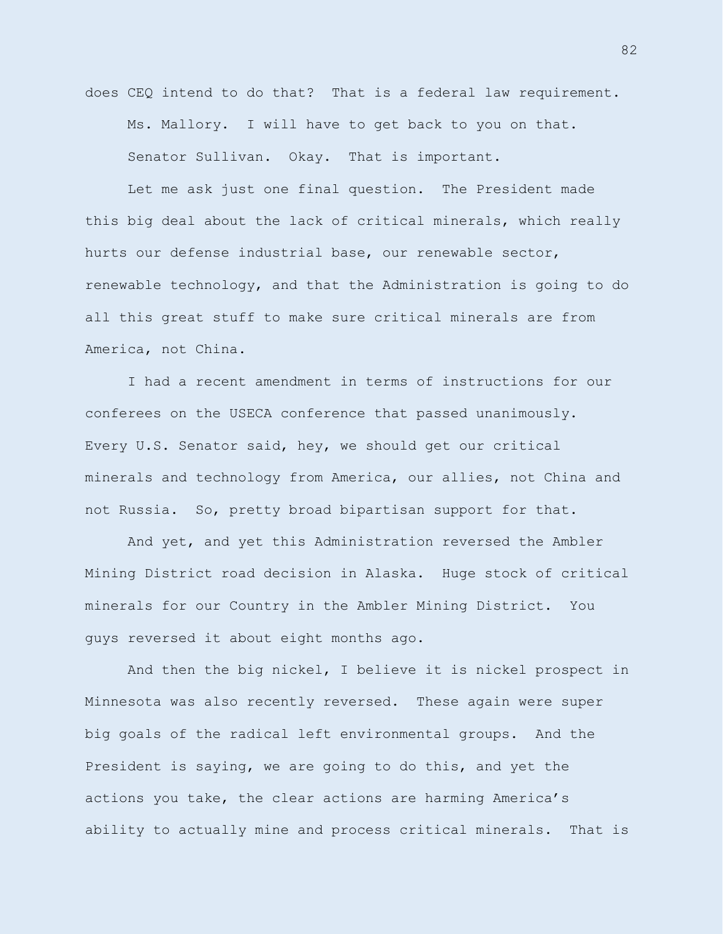does CEQ intend to do that? That is a federal law requirement. Ms. Mallory. I will have to get back to you on that. Senator Sullivan. Okay. That is important.

Let me ask just one final question. The President made this big deal about the lack of critical minerals, which really hurts our defense industrial base, our renewable sector, renewable technology, and that the Administration is going to do all this great stuff to make sure critical minerals are from America, not China.

I had a recent amendment in terms of instructions for our conferees on the USECA conference that passed unanimously. Every U.S. Senator said, hey, we should get our critical minerals and technology from America, our allies, not China and not Russia. So, pretty broad bipartisan support for that.

And yet, and yet this Administration reversed the Ambler Mining District road decision in Alaska. Huge stock of critical minerals for our Country in the Ambler Mining District. You guys reversed it about eight months ago.

And then the big nickel, I believe it is nickel prospect in Minnesota was also recently reversed. These again were super big goals of the radical left environmental groups. And the President is saying, we are going to do this, and yet the actions you take, the clear actions are harming America's ability to actually mine and process critical minerals. That is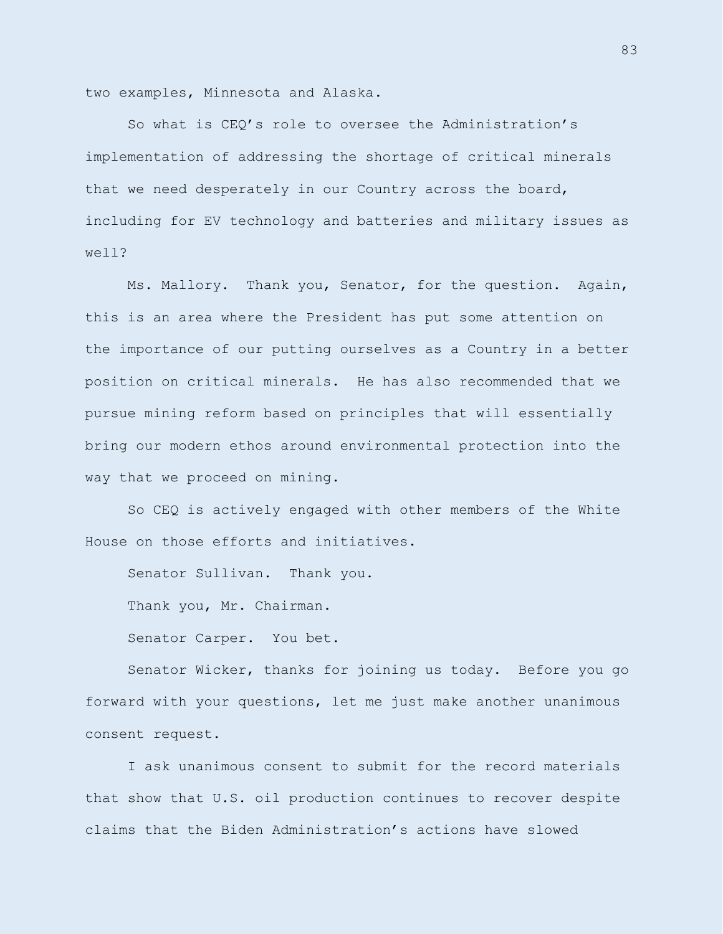two examples, Minnesota and Alaska.

So what is CEQ's role to oversee the Administration's implementation of addressing the shortage of critical minerals that we need desperately in our Country across the board, including for EV technology and batteries and military issues as well?

Ms. Mallory. Thank you, Senator, for the question. Again, this is an area where the President has put some attention on the importance of our putting ourselves as a Country in a better position on critical minerals. He has also recommended that we pursue mining reform based on principles that will essentially bring our modern ethos around environmental protection into the way that we proceed on mining.

So CEQ is actively engaged with other members of the White House on those efforts and initiatives.

Senator Sullivan. Thank you.

Thank you, Mr. Chairman.

Senator Carper. You bet.

Senator Wicker, thanks for joining us today. Before you go forward with your questions, let me just make another unanimous consent request.

I ask unanimous consent to submit for the record materials that show that U.S. oil production continues to recover despite claims that the Biden Administration's actions have slowed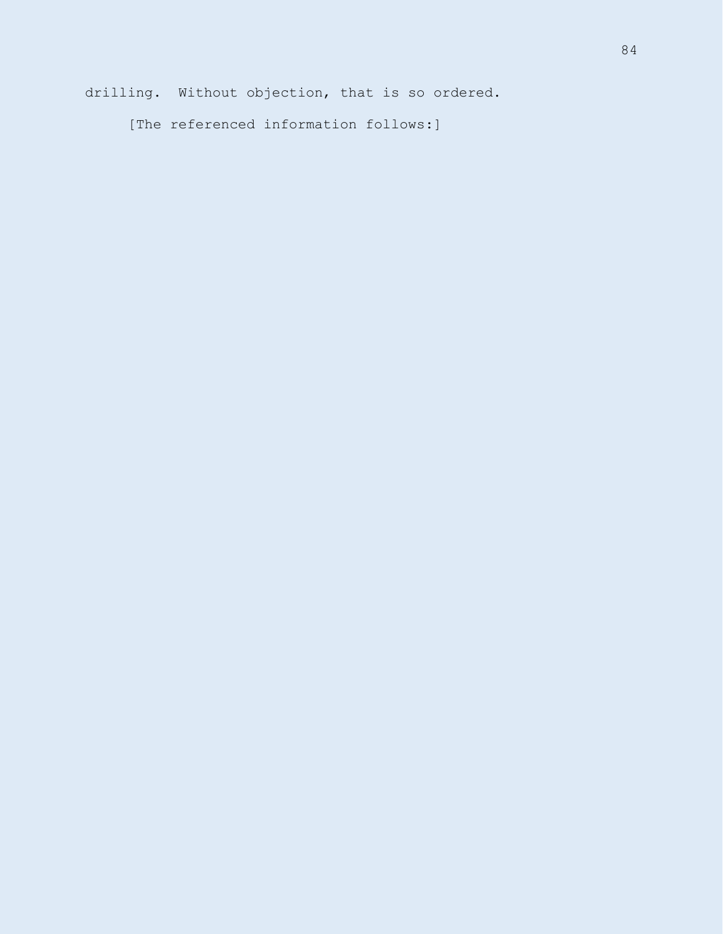drilling. Without objection, that is so ordered.

[The referenced information follows:]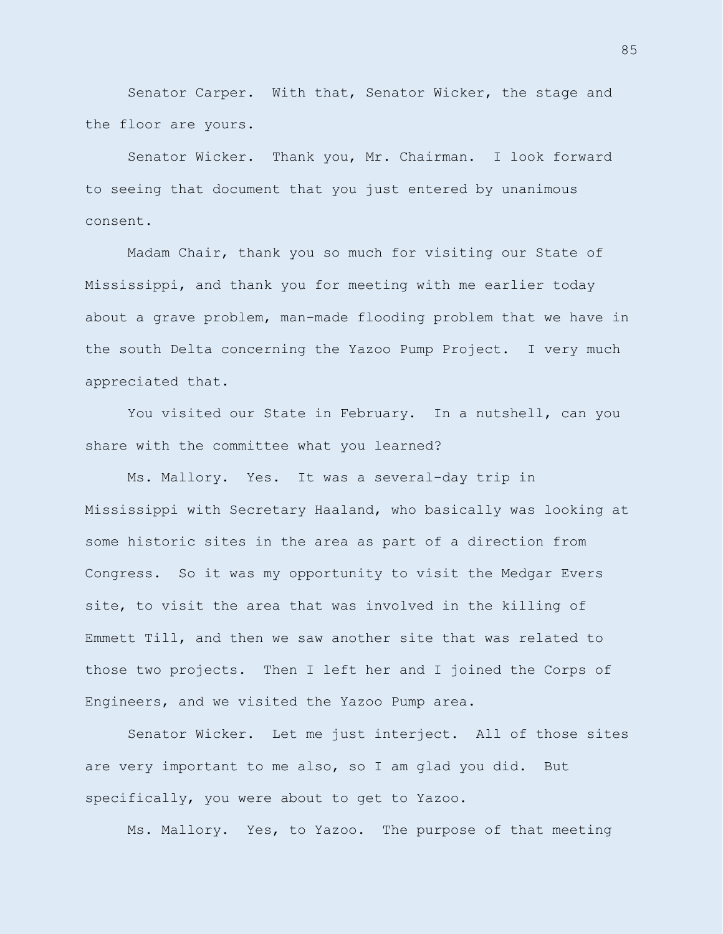Senator Carper. With that, Senator Wicker, the stage and the floor are yours.

Senator Wicker. Thank you, Mr. Chairman. I look forward to seeing that document that you just entered by unanimous consent.

Madam Chair, thank you so much for visiting our State of Mississippi, and thank you for meeting with me earlier today about a grave problem, man-made flooding problem that we have in the south Delta concerning the Yazoo Pump Project. I very much appreciated that.

You visited our State in February. In a nutshell, can you share with the committee what you learned?

Ms. Mallory. Yes. It was a several-day trip in Mississippi with Secretary Haaland, who basically was looking at some historic sites in the area as part of a direction from Congress. So it was my opportunity to visit the Medgar Evers site, to visit the area that was involved in the killing of Emmett Till, and then we saw another site that was related to those two projects. Then I left her and I joined the Corps of Engineers, and we visited the Yazoo Pump area.

Senator Wicker. Let me just interject. All of those sites are very important to me also, so I am glad you did. But specifically, you were about to get to Yazoo.

Ms. Mallory. Yes, to Yazoo. The purpose of that meeting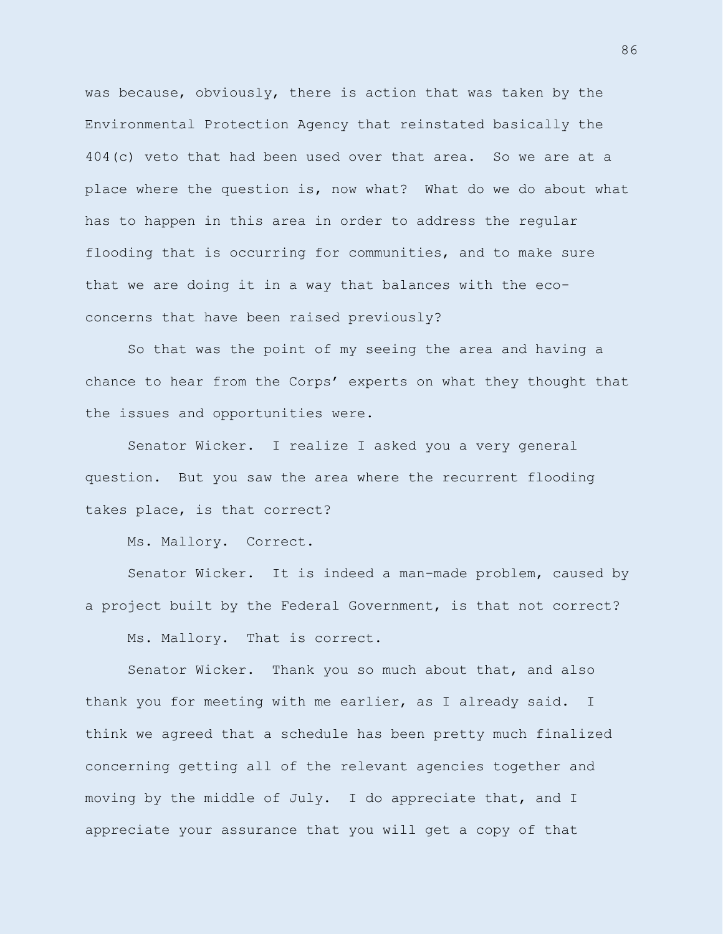was because, obviously, there is action that was taken by the Environmental Protection Agency that reinstated basically the 404(c) veto that had been used over that area. So we are at a place where the question is, now what? What do we do about what has to happen in this area in order to address the regular flooding that is occurring for communities, and to make sure that we are doing it in a way that balances with the ecoconcerns that have been raised previously?

So that was the point of my seeing the area and having a chance to hear from the Corps' experts on what they thought that the issues and opportunities were.

Senator Wicker. I realize I asked you a very general question. But you saw the area where the recurrent flooding takes place, is that correct?

Ms. Mallory. Correct.

Senator Wicker. It is indeed a man-made problem, caused by a project built by the Federal Government, is that not correct?

Ms. Mallory. That is correct.

Senator Wicker. Thank you so much about that, and also thank you for meeting with me earlier, as I already said. I think we agreed that a schedule has been pretty much finalized concerning getting all of the relevant agencies together and moving by the middle of July. I do appreciate that, and I appreciate your assurance that you will get a copy of that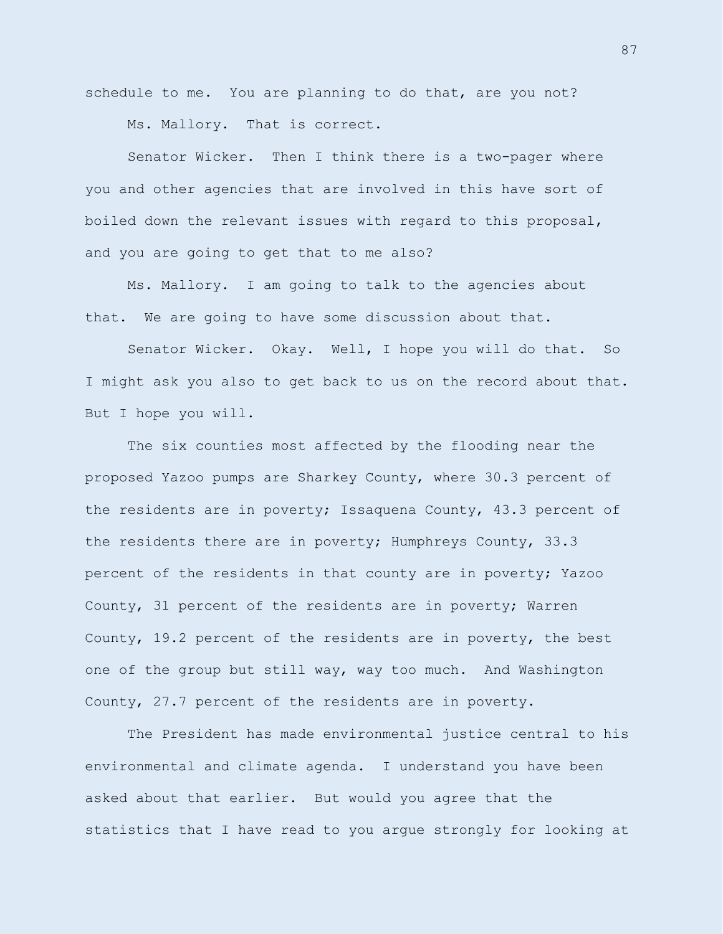schedule to me. You are planning to do that, are you not? Ms. Mallory. That is correct.

Senator Wicker. Then I think there is a two-pager where you and other agencies that are involved in this have sort of boiled down the relevant issues with regard to this proposal, and you are going to get that to me also?

Ms. Mallory. I am going to talk to the agencies about that. We are going to have some discussion about that.

Senator Wicker. Okay. Well, I hope you will do that. So I might ask you also to get back to us on the record about that. But I hope you will.

The six counties most affected by the flooding near the proposed Yazoo pumps are Sharkey County, where 30.3 percent of the residents are in poverty; Issaquena County, 43.3 percent of the residents there are in poverty; Humphreys County, 33.3 percent of the residents in that county are in poverty; Yazoo County, 31 percent of the residents are in poverty; Warren County, 19.2 percent of the residents are in poverty, the best one of the group but still way, way too much. And Washington County, 27.7 percent of the residents are in poverty.

The President has made environmental justice central to his environmental and climate agenda. I understand you have been asked about that earlier. But would you agree that the statistics that I have read to you argue strongly for looking at

87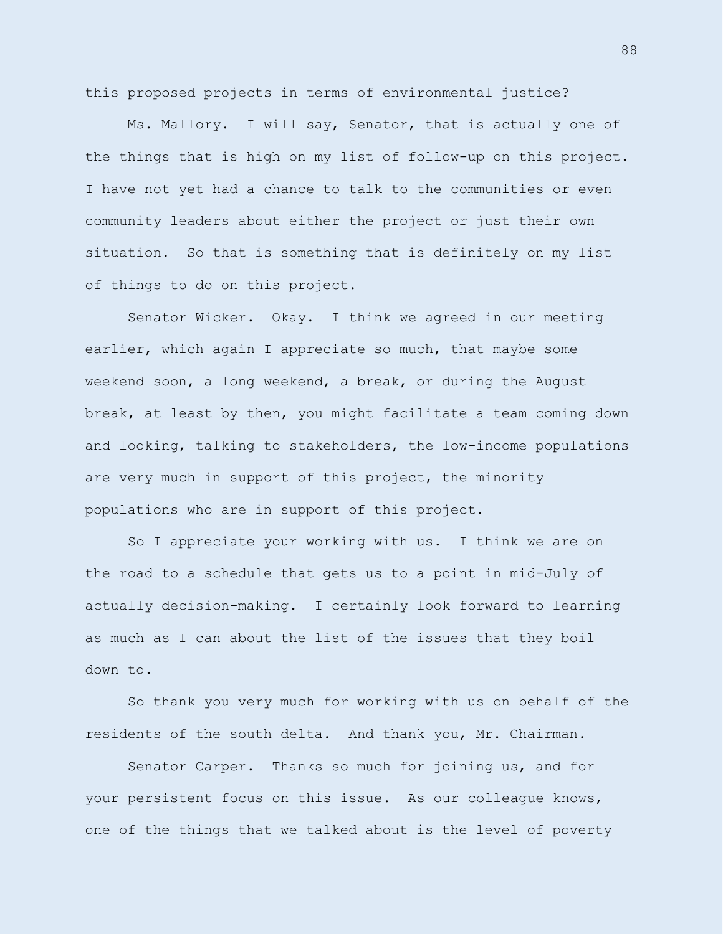this proposed projects in terms of environmental justice?

Ms. Mallory. I will say, Senator, that is actually one of the things that is high on my list of follow-up on this project. I have not yet had a chance to talk to the communities or even community leaders about either the project or just their own situation. So that is something that is definitely on my list of things to do on this project.

Senator Wicker. Okay. I think we agreed in our meeting earlier, which again I appreciate so much, that maybe some weekend soon, a long weekend, a break, or during the August break, at least by then, you might facilitate a team coming down and looking, talking to stakeholders, the low-income populations are very much in support of this project, the minority populations who are in support of this project.

So I appreciate your working with us. I think we are on the road to a schedule that gets us to a point in mid-July of actually decision-making. I certainly look forward to learning as much as I can about the list of the issues that they boil down to.

So thank you very much for working with us on behalf of the residents of the south delta. And thank you, Mr. Chairman.

Senator Carper. Thanks so much for joining us, and for your persistent focus on this issue. As our colleague knows, one of the things that we talked about is the level of poverty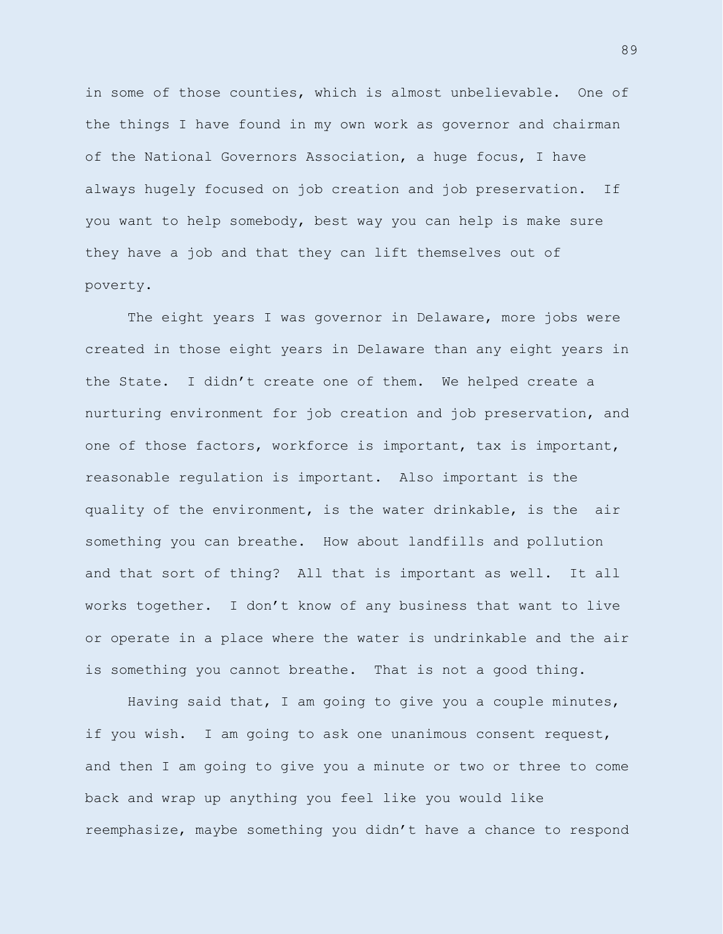in some of those counties, which is almost unbelievable. One of the things I have found in my own work as governor and chairman of the National Governors Association, a huge focus, I have always hugely focused on job creation and job preservation. If you want to help somebody, best way you can help is make sure they have a job and that they can lift themselves out of poverty.

The eight years I was governor in Delaware, more jobs were created in those eight years in Delaware than any eight years in the State. I didn't create one of them. We helped create a nurturing environment for job creation and job preservation, and one of those factors, workforce is important, tax is important, reasonable regulation is important. Also important is the quality of the environment, is the water drinkable, is the air something you can breathe. How about landfills and pollution and that sort of thing? All that is important as well. It all works together. I don't know of any business that want to live or operate in a place where the water is undrinkable and the air is something you cannot breathe. That is not a good thing.

Having said that, I am going to give you a couple minutes, if you wish. I am going to ask one unanimous consent request, and then I am going to give you a minute or two or three to come back and wrap up anything you feel like you would like reemphasize, maybe something you didn't have a chance to respond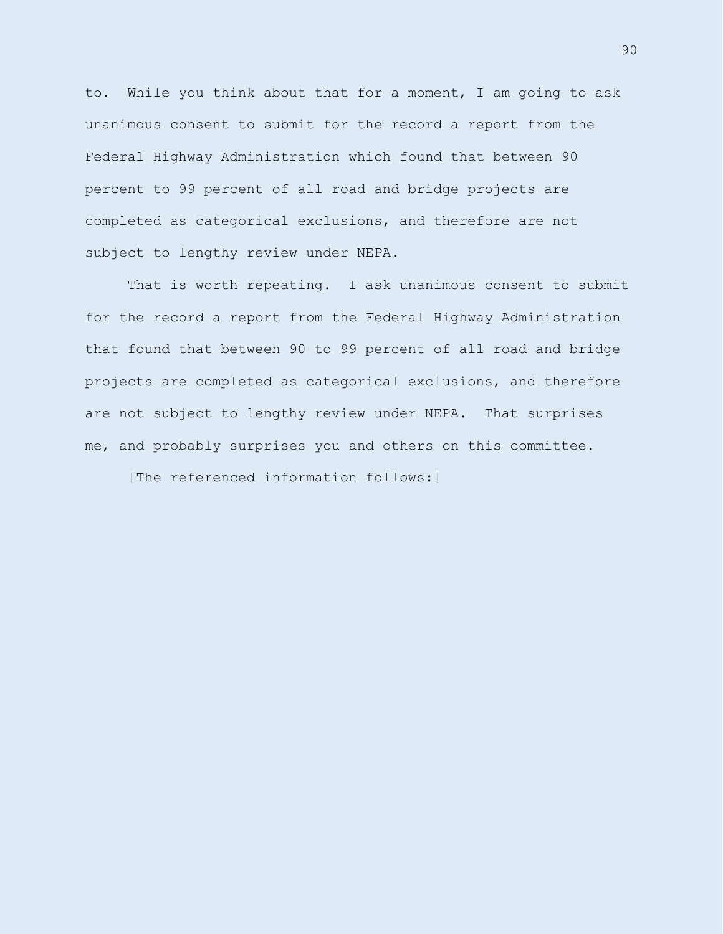to. While you think about that for a moment, I am going to ask unanimous consent to submit for the record a report from the Federal Highway Administration which found that between 90 percent to 99 percent of all road and bridge projects are completed as categorical exclusions, and therefore are not subject to lengthy review under NEPA.

That is worth repeating. I ask unanimous consent to submit for the record a report from the Federal Highway Administration that found that between 90 to 99 percent of all road and bridge projects are completed as categorical exclusions, and therefore are not subject to lengthy review under NEPA. That surprises me, and probably surprises you and others on this committee.

[The referenced information follows:]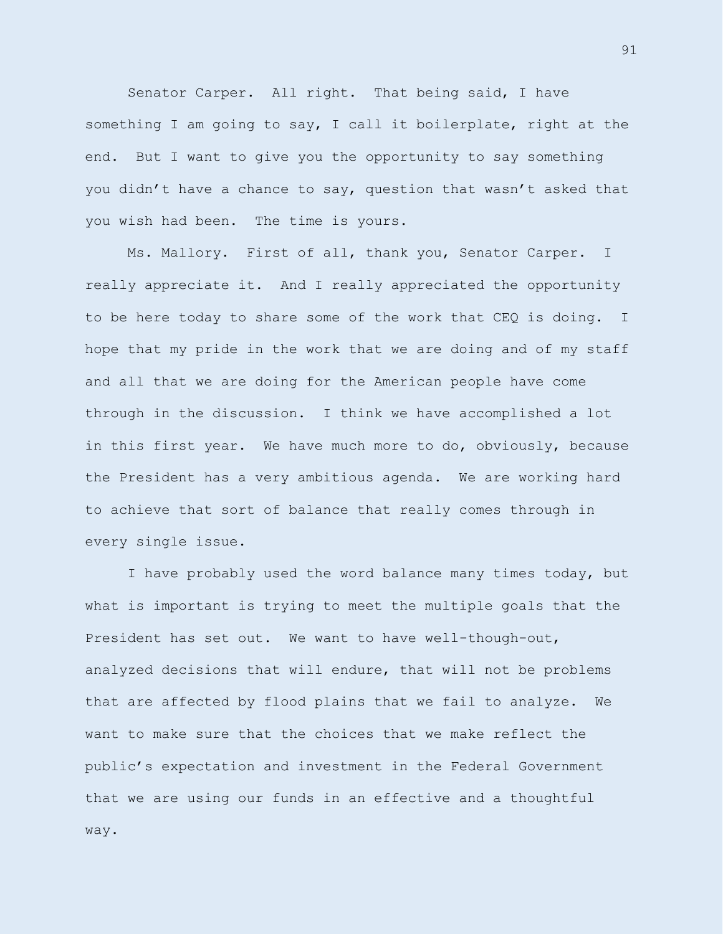Senator Carper. All right. That being said, I have something I am going to say, I call it boilerplate, right at the end. But I want to give you the opportunity to say something you didn't have a chance to say, question that wasn't asked that you wish had been. The time is yours.

Ms. Mallory. First of all, thank you, Senator Carper. I really appreciate it. And I really appreciated the opportunity to be here today to share some of the work that CEQ is doing. I hope that my pride in the work that we are doing and of my staff and all that we are doing for the American people have come through in the discussion. I think we have accomplished a lot in this first year. We have much more to do, obviously, because the President has a very ambitious agenda. We are working hard to achieve that sort of balance that really comes through in every single issue.

I have probably used the word balance many times today, but what is important is trying to meet the multiple goals that the President has set out. We want to have well-though-out, analyzed decisions that will endure, that will not be problems that are affected by flood plains that we fail to analyze. We want to make sure that the choices that we make reflect the public's expectation and investment in the Federal Government that we are using our funds in an effective and a thoughtful way.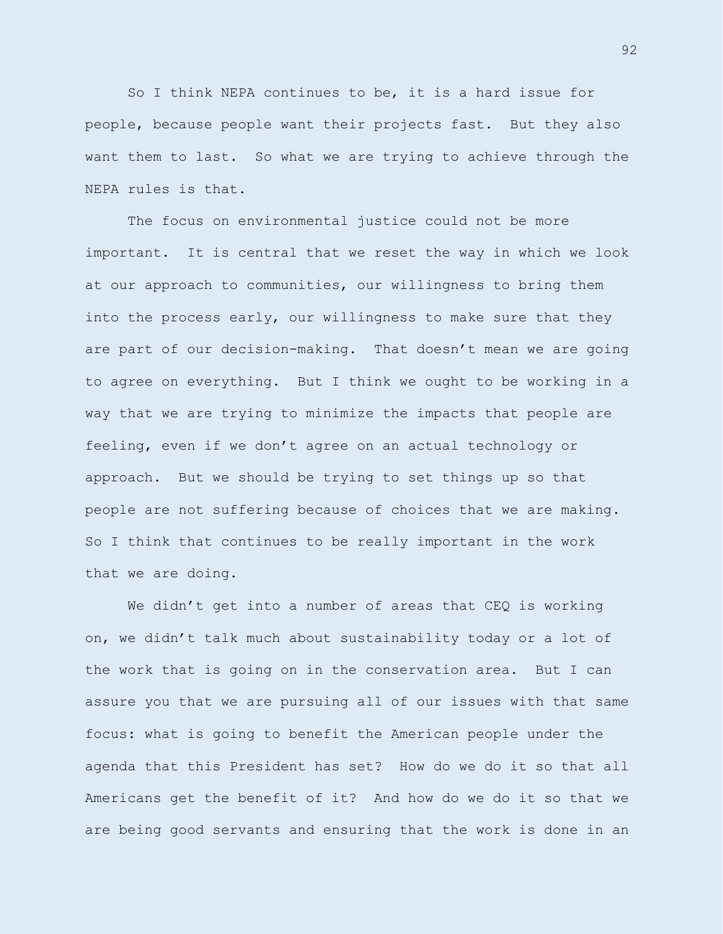So I think NEPA continues to be, it is a hard issue for people, because people want their projects fast. But they also want them to last. So what we are trying to achieve through the NEPA rules is that.

The focus on environmental justice could not be more important. It is central that we reset the way in which we look at our approach to communities, our willingness to bring them into the process early, our willingness to make sure that they are part of our decision-making. That doesn't mean we are going to agree on everything. But I think we ought to be working in a way that we are trying to minimize the impacts that people are feeling, even if we don't agree on an actual technology or approach. But we should be trying to set things up so that people are not suffering because of choices that we are making. So I think that continues to be really important in the work that we are doing.

We didn't get into a number of areas that CEQ is working on, we didn't talk much about sustainability today or a lot of the work that is going on in the conservation area. But I can assure you that we are pursuing all of our issues with that same focus: what is going to benefit the American people under the agenda that this President has set? How do we do it so that all Americans get the benefit of it? And how do we do it so that we are being good servants and ensuring that the work is done in an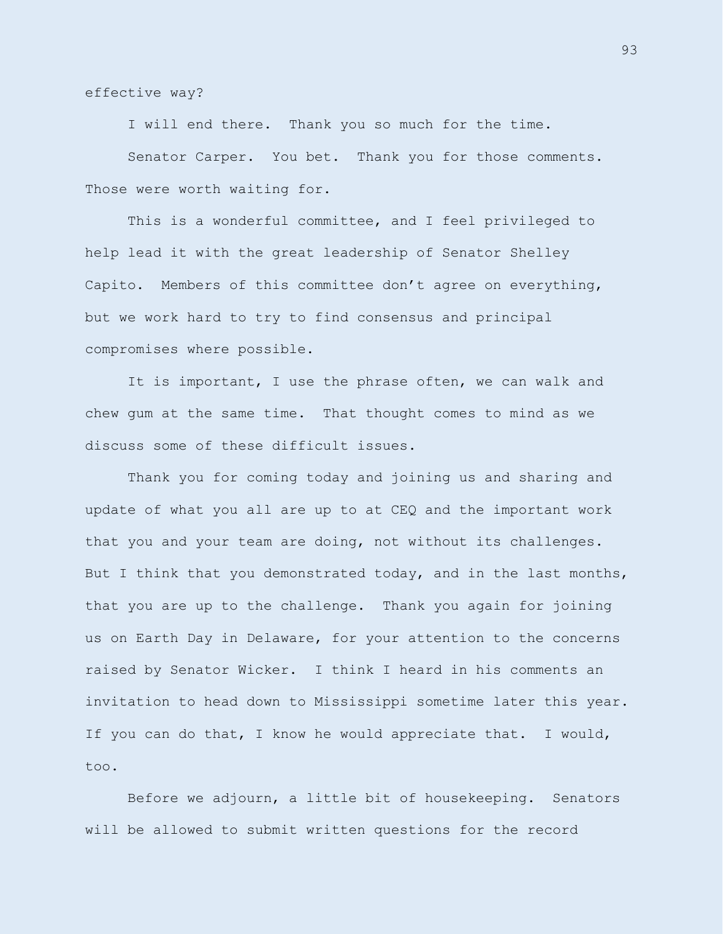effective way?

I will end there. Thank you so much for the time.

Senator Carper. You bet. Thank you for those comments. Those were worth waiting for.

This is a wonderful committee, and I feel privileged to help lead it with the great leadership of Senator Shelley Capito. Members of this committee don't agree on everything, but we work hard to try to find consensus and principal compromises where possible.

It is important, I use the phrase often, we can walk and chew gum at the same time. That thought comes to mind as we discuss some of these difficult issues.

Thank you for coming today and joining us and sharing and update of what you all are up to at CEQ and the important work that you and your team are doing, not without its challenges. But I think that you demonstrated today, and in the last months, that you are up to the challenge. Thank you again for joining us on Earth Day in Delaware, for your attention to the concerns raised by Senator Wicker. I think I heard in his comments an invitation to head down to Mississippi sometime later this year. If you can do that, I know he would appreciate that. I would, too.

Before we adjourn, a little bit of housekeeping. Senators will be allowed to submit written questions for the record